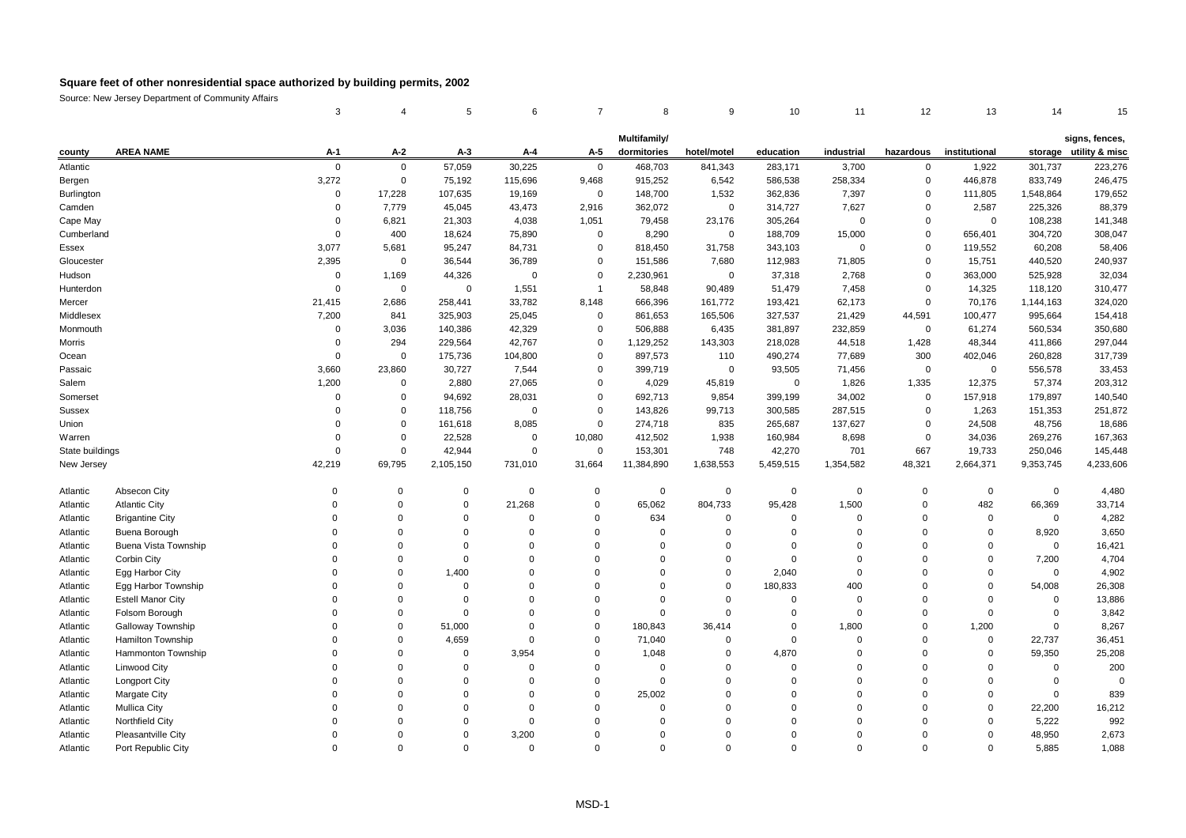|                 |                          | 3              | $\overline{4}$ | 5           | 6           | 7              | 8                           | 9           | 10          | 11             | 12          | 13            | 14          | 15                                       |
|-----------------|--------------------------|----------------|----------------|-------------|-------------|----------------|-----------------------------|-------------|-------------|----------------|-------------|---------------|-------------|------------------------------------------|
|                 |                          |                |                |             |             |                |                             |             |             |                |             |               |             |                                          |
| county          | <b>AREA NAME</b>         | A-1            | A-2            | $A-3$       | A-4         | A-5            | Multifamily/<br>dormitories | hotel/motel | education   | industrial     | hazardous   | institutional |             | signs, fences,<br>storage utility & misc |
| Atlantic        |                          | $\mathbf 0$    | $\mathbf 0$    | 57,059      | 30,225      | $\mathbf 0$    | 468,703                     | 841,343     | 283,171     | 3,700          | $\mathbf 0$ | 1,922         | 301,737     | 223,276                                  |
| Bergen          |                          | 3,272          | $\mathbf 0$    | 75,192      | 115,696     | 9,468          | 915,252                     | 6,542       | 586,538     | 258,334        | $\mathbf 0$ | 446,878       | 833,749     | 246,475                                  |
| Burlington      |                          | $\mathbf 0$    | 17,228         | 107,635     | 19,169      | $\mathbf 0$    | 148,700                     | 1,532       | 362,836     | 7,397          | $\mathbf 0$ | 111,805       | 1,548,864   | 179,652                                  |
| Camden          |                          | $\mathbf 0$    | 7,779          | 45,045      | 43,473      | 2,916          | 362,072                     | 0           | 314,727     | 7,627          | $\mathbf 0$ | 2,587         | 225,326     | 88,379                                   |
| Cape May        |                          | $\overline{0}$ | 6,821          | 21,303      | 4,038       | 1,051          | 79,458                      | 23,176      | 305,264     | $\Omega$       | $\mathbf 0$ | $\mathbf 0$   | 108,238     | 141,348                                  |
| Cumberland      |                          | $\mathbf 0$    | 400            | 18,624      | 75,890      | $\mathbf 0$    | 8,290                       | 0           | 188,709     | 15,000         | $\mathbf 0$ | 656,401       | 304,720     | 308,047                                  |
| Essex           |                          | 3,077          | 5,681          | 95,247      | 84,731      | $\Omega$       | 818,450                     | 31,758      | 343,103     | $\Omega$       | $\mathbf 0$ | 119,552       | 60,208      | 58,406                                   |
| Gloucester      |                          | 2,395          | $\mathbf 0$    | 36,544      | 36,789      | $\Omega$       | 151,586                     | 7,680       | 112,983     | 71,805         | $\mathbf 0$ | 15,751        | 440,520     | 240,937                                  |
| Hudson          |                          | $\overline{0}$ | 1,169          | 44,326      | $\mathbf 0$ | $\Omega$       | 2,230,961                   | 0           | 37,318      | 2,768          | $\mathbf 0$ | 363,000       | 525,928     | 32,034                                   |
| Hunterdon       |                          | $\mathbf 0$    | $\mathbf 0$    | $\mathbf 0$ | 1,551       | $\overline{1}$ | 58,848                      | 90,489      | 51,479      | 7,458          | $\mathbf 0$ | 14,325        | 118,120     | 310,477                                  |
| Mercer          |                          | 21,415         | 2,686          | 258,441     | 33,782      | 8,148          | 666,396                     | 161,772     | 193,421     | 62,173         | $\mathbf 0$ | 70,176        | 1,144,163   | 324,020                                  |
| Middlesex       |                          | 7,200          | 841            | 325,903     | 25,045      | $\mathbf 0$    | 861,653                     | 165,506     | 327,537     | 21,429         | 44,591      | 100,477       | 995,664     | 154,418                                  |
| Monmouth        |                          | $\Omega$       | 3,036          | 140,386     | 42,329      | $\Omega$       | 506,888                     | 6,435       | 381,897     | 232,859        | $\mathbf 0$ | 61,274        | 560,534     | 350,680                                  |
| Morris          |                          | $\mathbf 0$    | 294            | 229,564     | 42,767      | $\Omega$       | 1,129,252                   | 143,303     | 218,028     | 44,518         | 1,428       | 48,344        | 411,866     | 297,044                                  |
| Ocean           |                          | $\Omega$       | $\mathbf 0$    | 175,736     | 104,800     | $\mathbf 0$    | 897,573                     | 110         | 490,274     | 77,689         | 300         | 402,046       | 260,828     | 317,739                                  |
| Passaic         |                          | 3,660          | 23,860         | 30,727      | 7,544       | $\mathbf 0$    | 399,719                     | $\mathbf 0$ | 93,505      | 71,456         | $\mathbf 0$ | $\mathbf 0$   | 556,578     | 33,453                                   |
| Salem           |                          | 1,200          | $\mathbf 0$    | 2,880       | 27,065      | $\Omega$       | 4,029                       | 45,819      | $\mathbf 0$ | 1,826          | 1,335       | 12,375        | 57,374      | 203,312                                  |
| Somerset        |                          | $\Omega$       | $\overline{0}$ | 94,692      | 28,031      | $\mathbf 0$    | 692,713                     | 9,854       | 399,199     | 34,002         | $\mathbf 0$ | 157,918       | 179,897     | 140,540                                  |
| Sussex          |                          | $\Omega$       | $\overline{0}$ | 118,756     | $\mathbf 0$ | $\Omega$       | 143,826                     | 99,713      | 300,585     | 287,515        | $\mathbf 0$ | 1,263         | 151,353     | 251,872                                  |
| Union           |                          | $\Omega$       | $\overline{0}$ | 161,618     | 8,085       | $\Omega$       | 274,718                     | 835         | 265,687     | 137,627        | $\mathbf 0$ | 24,508        | 48,756      | 18,686                                   |
| Warren          |                          | $\Omega$       | $\mathbf 0$    | 22,528      | $\Omega$    | 10,080         | 412,502                     | 1,938       | 160,984     | 8,698          | $\mathbf 0$ | 34,036        | 269,276     | 167,363                                  |
| State buildings |                          | $\Omega$       | $\mathbf 0$    | 42,944      | 0           | $\mathbf 0$    | 153,301                     | 748         | 42,270      | 701            | 667         | 19,733        | 250,046     | 145,448                                  |
| New Jersey      |                          | 42,219         | 69,795         | 2,105,150   | 731,010     | 31,664         | 11,384,890                  | 1,638,553   | 5,459,515   | 1,354,582      | 48,321      | 2,664,371     | 9,353,745   | 4,233,606                                |
|                 |                          |                |                |             |             |                |                             |             |             |                |             |               |             |                                          |
| Atlantic        | Absecon City             | $\Omega$       | $\Omega$       | $\mathbf 0$ | $\Omega$    | $\mathbf 0$    | $\mathbf 0$                 | $\Omega$    | $\mathbf 0$ | $\Omega$       | $\Omega$    | $\mathbf 0$   | $\mathbf 0$ | 4,480                                    |
| Atlantic        | <b>Atlantic City</b>     | $\Omega$       | $\Omega$       | 0           | 21,268      | $\mathbf 0$    | 65,062                      | 804,733     | 95,428      | 1,500          | $\mathbf 0$ | 482           | 66,369      | 33,714                                   |
| Atlantic        | <b>Brigantine City</b>   | $\mathbf 0$    | $\Omega$       | 0           | $\Omega$    | $\mathbf 0$    | 634                         | 0           | $\Omega$    | $\mathbf 0$    | $\mathbf 0$ | 0             | $\mathbf 0$ | 4,282                                    |
| Atlantic        | Buena Borough            | $\Omega$       | $\Omega$       | 0           | $\Omega$    | $\mathbf 0$    | $\mathbf 0$                 | $\Omega$    | $\Omega$    | $\Omega$       | $\Omega$    | $\mathbf 0$   | 8,920       | 3,650                                    |
| Atlantic        | Buena Vista Township     | $\Omega$       | $\mathbf 0$    | $\mathbf 0$ | $\Omega$    | $\mathbf 0$    | $\mathbf 0$                 | $\Omega$    | $\Omega$    | $\overline{0}$ | $\Omega$    | 0             | $\mathbf 0$ | 16,421                                   |
| Atlantic        | Corbin City              | $\Omega$       | $\Omega$       | 0           | $\Omega$    | $\Omega$       | $\Omega$                    | $\Omega$    | $\Omega$    | $\Omega$       | $\Omega$    | 0             | 7,200       | 4,704                                    |
| Atlantic        | Egg Harbor City          | $\mathbf 0$    | $\mathbf 0$    | 1,400       | $\Omega$    | $\overline{0}$ | $\mathbf 0$                 | $\mathbf 0$ | 2,040       | $\mathbf 0$    | 0           | $\mathbf 0$   | $\mathbf 0$ | 4,902                                    |
| Atlantic        | Egg Harbor Township      | $\Omega$       | $\Omega$       | $\mathbf 0$ | $\Omega$    | $\Omega$       | $\Omega$                    | $\mathbf 0$ | 180,833     | 400            | 0           | $\mathbf 0$   | 54,008      | 26,308                                   |
| Atlantic        | <b>Estell Manor City</b> | $\Omega$       | $\Omega$       | 0           | $\Omega$    | $\Omega$       | $\mathbf 0$                 | $\Omega$    | $\Omega$    | $\Omega$       | $\Omega$    | $\mathbf 0$   | $\Omega$    | 13,886                                   |
| Atlantic        | Folsom Borough           | $\Omega$       | $\Omega$       | $\mathbf 0$ | $\Omega$    | $\mathbf 0$    | $\Omega$                    | $\Omega$    | $\Omega$    | $\Omega$       | $\Omega$    | $\mathbf 0$   | $\Omega$    | 3,842                                    |
| Atlantic        | <b>Galloway Township</b> | $\mathbf 0$    | $\Omega$       | 51,000      | $\Omega$    | $\mathbf 0$    | 180,843                     | 36,414      | $\Omega$    | 1,800          | $\mathbf 0$ | 1,200         | $\mathbf 0$ | 8,267                                    |
| Atlantic        | <b>Hamilton Township</b> | $\Omega$       | $\Omega$       | 4,659       | $\Omega$    | $\mathbf 0$    | 71,040                      | $\mathbf 0$ | $\Omega$    | $\mathbf 0$    | $\Omega$    | 0             | 22,737      | 36,451                                   |
| Atlantic        | Hammonton Township       | $\Omega$       | 0              | $\mathbf 0$ | 3,954       | $\mathbf 0$    | 1,048                       | $\mathbf 0$ | 4,870       | $\overline{0}$ | $\mathbf 0$ | 0             | 59,350      | 25,208                                   |
| Atlantic        | <b>Linwood City</b>      | $\Omega$       | $\Omega$       | 0           | $\Omega$    | $\mathbf 0$    | $\mathbf 0$                 | $\Omega$    | $\Omega$    | $\Omega$       | $\Omega$    | $\mathbf 0$   | $\Omega$    | 200                                      |
| Atlantic        | Longport City            | $\Omega$       | $\Omega$       | $\mathbf 0$ | $\Omega$    | $\mathbf 0$    | $\mathbf 0$                 | $\Omega$    | $\Omega$    | $\mathbf 0$    | 0           | $\mathbf 0$   | $\mathbf 0$ | $\overline{0}$                           |
| Atlantic        | <b>Margate City</b>      | O              | $\Omega$       | $\Omega$    | $\Omega$    | $\Omega$       | 25,002                      | $\Omega$    | $\Omega$    | $\Omega$       | O           | $\Omega$      | $\Omega$    | 839                                      |
| Atlantic        | <b>Mullica City</b>      | 0              | $\Omega$       | $\Omega$    | $\Omega$    | $\mathbf 0$    | $\Omega$                    | $\Omega$    | $\Omega$    | $\Omega$       | $\Omega$    | $\mathbf 0$   | 22,200      | 16,212                                   |
| Atlantic        | Northfield City          | $\Omega$       | $\Omega$       | $\Omega$    | $\Omega$    | $\mathbf 0$    | $\Omega$                    | $\Omega$    | $\Omega$    | $\Omega$       | 0           | $\Omega$      | 5,222       | 992                                      |
| Atlantic        | Pleasantville City       | $\Omega$       | $\Omega$       | $\Omega$    | 3,200       | $\Omega$       | $\Omega$                    | $\Omega$    | $\Omega$    | $\Omega$       | 0           | $\mathbf 0$   | 48,950      | 2,673                                    |
| Atlantic        | Port Republic City       | $\Omega$       | $\Omega$       | $\Omega$    | $\Omega$    | $\Omega$       | $\Omega$                    | $\Omega$    | $\Omega$    | $\Omega$       | $\Omega$    | $\Omega$      | 5.885       | 1,088                                    |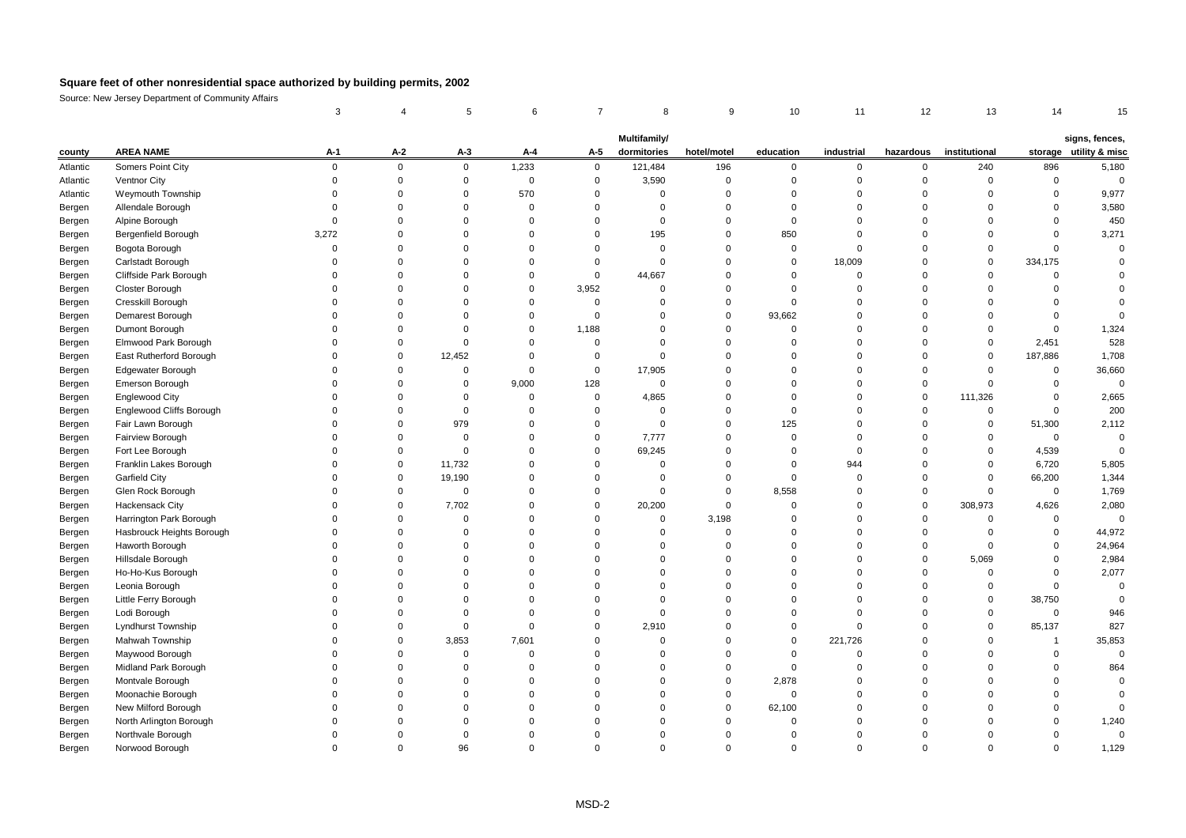|          |                                 | 3           |             | 5           | 6           | 7              | 8            | 9           | 10          | 11          | 12          | 13            | 14             |                        |
|----------|---------------------------------|-------------|-------------|-------------|-------------|----------------|--------------|-------------|-------------|-------------|-------------|---------------|----------------|------------------------|
|          |                                 |             |             |             |             |                | Multifamily/ |             |             |             |             |               |                | signs, fences,         |
| county   | <b>AREA NAME</b>                | A-1         | $A-2$       | $A-3$       | A-4         | A-5            | dormitories  | hotel/motel | education   | industrial  | hazardous   | institutional |                | storage utility & misc |
| Atlantic | Somers Point City               | $\pmb{0}$   | $\mathsf 0$ | $\mathbf 0$ | 1,233       | $\pmb{0}$      | 121,484      | 196         | $\mathbf 0$ | 0           | $\mathbf 0$ | 240           | 896            | 5,180                  |
| Atlantic | Ventnor City                    | $\mathbf 0$ | 0           | $\mathbf 0$ | $\mathbf 0$ | $\mathbf 0$    | 3,590        | $\Omega$    | $\mathbf 0$ | $\Omega$    | $\Omega$    | $\Omega$      | $\mathbf 0$    | $\overline{0}$         |
| Atlantic | Weymouth Township               | $\Omega$    | $\mathbf 0$ | $\mathbf 0$ | 570         | $\mathbf 0$    | $\mathbf 0$  | $\Omega$    | $\Omega$    | $\Omega$    | $\Omega$    | $\Omega$      | $\mathbf 0$    | 9,977                  |
| Bergen   | Allendale Borough               | $\Omega$    | $\mathbf 0$ | $\Omega$    | $\mathbf 0$ | $\Omega$       | $\Omega$     | $\Omega$    | $\Omega$    | $\Omega$    | $\Omega$    | $\Omega$      | $\mathbf 0$    | 3,580                  |
| Bergen   | Alpine Borough                  | $\mathbf 0$ | $\mathbf 0$ | $\mathbf 0$ | $\mathbf 0$ | $\mathbf 0$    | 0            | $\Omega$    | $\mathbf 0$ | $\Omega$    | $\Omega$    | $\Omega$      | $\mathbf 0$    | 450                    |
| Bergen   | Bergenfield Borough             | 3,272       | $\mathbf 0$ | $\Omega$    | $\mathbf 0$ | $\Omega$       | 195          | $\Omega$    | 850         | $\Omega$    | $\Omega$    | $\Omega$      | $\mathbf 0$    | 3,271                  |
| Bergen   | Bogota Borough                  | $\mathbf 0$ | $\mathbf 0$ | $\mathbf 0$ | $\Omega$    | $\mathbf 0$    | $\mathbf 0$  | $\Omega$    | $\mathbf 0$ | $\Omega$    | $\Omega$    | $\mathbf 0$   | $\mathbf 0$    | $\Omega$               |
| Bergen   | Carlstadt Borough               | $\Omega$    | 0           | $\Omega$    | $\mathbf 0$ | $\mathbf 0$    | $\mathbf 0$  | $\Omega$    | $\Omega$    | 18,009      | $\Omega$    | $\mathbf 0$   | 334,175        | $\Omega$               |
| Bergen   | Cliffside Park Borough          | $\Omega$    | 0           | $\mathbf 0$ | $\mathbf 0$ | $\mathbf 0$    | 44,667       | $\Omega$    | $\mathbf 0$ | $\mathbf 0$ | $\Omega$    | $\Omega$      | $\overline{0}$ |                        |
| Bergen   | Closter Borough                 | $\Omega$    | $\mathbf 0$ | $\Omega$    | $\mathbf 0$ | 3,952          | $\Omega$     | $\Omega$    | $\Omega$    | $\Omega$    | $\Omega$    | $\Omega$      | $\Omega$       |                        |
| Bergen   | Cresskill Borough               | $\Omega$    | $\mathbf 0$ | $\mathbf 0$ | $\mathbf 0$ | $\overline{0}$ | $\Omega$     | $\Omega$    | $\Omega$    | $\Omega$    | $\Omega$    | $\Omega$      | $\Omega$       | $\Omega$               |
| Bergen   | Demarest Borough                | $\Omega$    | $\mathbf 0$ | $\Omega$    | $\mathbf 0$ | $\overline{0}$ | $\Omega$     | $\Omega$    | 93,662      | $\Omega$    | $\Omega$    | $\Omega$      | $\mathbf 0$    | $\sqrt{ }$             |
| Bergen   | Dumont Borough                  | $\Omega$    | $\mathbf 0$ | $\Omega$    | $\mathbf 0$ | 1,188          | $\Omega$     | $\Omega$    | $\mathbf 0$ | $\Omega$    | $\Omega$    | $\Omega$      | $\mathbf 0$    | 1,324                  |
| Bergen   | Elmwood Park Borough            | $\Omega$    | $\mathbf 0$ | $\mathbf 0$ | $\mathbf 0$ | $\overline{0}$ | $\Omega$     | $\Omega$    | $\mathbf 0$ | $\Omega$    | $\Omega$    | $\Omega$      | 2,451          | 528                    |
| Bergen   | East Rutherford Borough         | $\Omega$    | $\mathbf 0$ | 12,452      | $\mathbf 0$ | $\Omega$       | $\mathbf 0$  | $\Omega$    | $\Omega$    | $\Omega$    | $\Omega$    | $\Omega$      | 187,886        | 1,708                  |
| Bergen   | Edgewater Borough               | $\Omega$    | 0           | $\mathbf 0$ | $\mathbf 0$ | $\mathbf 0$    | 17,905       | $\Omega$    | $\mathbf 0$ | $\Omega$    | $\Omega$    | $\Omega$      | $\mathbf 0$    | 36,660                 |
| Bergen   | Emerson Borough                 | $\Omega$    | $\mathbf 0$ | $\mathbf 0$ | 9,000       | 128            | $\mathbf 0$  | $\Omega$    | $\Omega$    | $\Omega$    | $\mathbf 0$ | $\Omega$      | $\mathbf 0$    | $\Omega$               |
| Bergen   | <b>Englewood City</b>           | $\Omega$    | $\mathbf 0$ | 0           | 0           | $\mathbf 0$    | 4,865        | $\Omega$    | $\Omega$    | $\Omega$    | $\mathbf 0$ | 111,326       | $\mathbf 0$    | 2,665                  |
| Bergen   | <b>Englewood Cliffs Borough</b> | $\Omega$    | $\mathbf 0$ | $\mathbf 0$ | $\mathbf 0$ | $\Omega$       | $\mathbf 0$  | $\Omega$    | $\mathbf 0$ | $\Omega$    | $\Omega$    | $\mathbf 0$   | $\mathbf 0$    | 200                    |
| Bergen   | Fair Lawn Borough               | $\Omega$    | 0           | 979         | $\mathbf 0$ | $\mathbf 0$    | 0            | $\Omega$    | 125         | $\Omega$    | $\Omega$    | $\mathbf 0$   | 51,300         | 2,112                  |
| Bergen   | Fairview Borough                | $\Omega$    | $\mathbf 0$ | $\pmb{0}$   | $\mathbf 0$ | $\Omega$       | 7,777        | $\Omega$    | $\Omega$    | $\Omega$    | $\Omega$    | $\Omega$      | $\mathbf 0$    | $\Omega$               |
| Bergen   | Fort Lee Borough                | $\Omega$    | 0           | $\mathbf 0$ | $\mathbf 0$ | $\mathbf 0$    | 69,245       | $\Omega$    | $\mathbf 0$ | 0           | $\Omega$    | $\Omega$      | 4,539          | $\overline{0}$         |
| Bergen   | Franklin Lakes Borough          | $\Omega$    | $\mathbf 0$ | 11,732      | $\mathbf 0$ | $\Omega$       | $\Omega$     | $\Omega$    | $\Omega$    | 944         | $\Omega$    | $\Omega$      | 6,720          | 5,805                  |
| Bergen   | Garfield City                   | $\Omega$    | 0           | 19,190      | $\Omega$    | $\Omega$       | $\Omega$     | $\Omega$    | $\mathbf 0$ | $\Omega$    | $\Omega$    | $\Omega$      | 66,200         | 1,344                  |
| Bergen   | Glen Rock Borough               | $\Omega$    | $\mathbf 0$ | $\mathbf 0$ | $\Omega$    | $\Omega$       | $\Omega$     | $\Omega$    | 8,558       | $\Omega$    | $\Omega$    | $\Omega$      | $\mathbf 0$    | 1,769                  |
| Bergen   | Hackensack City                 | $\Omega$    | $\mathbf 0$ | 7,702       | $\mathbf 0$ | $\mathbf 0$    | 20,200       | $\Omega$    | $\mathbf 0$ | $\Omega$    | $\mathbf 0$ | 308,973       | 4,626          | 2,080                  |
| Bergen   | Harrington Park Borough         | $\Omega$    | $\mathbf 0$ | $\Omega$    | $\mathbf 0$ | $\Omega$       | 0            | 3,198       | $\Omega$    | $\Omega$    | $\Omega$    | $\Omega$      | $\mathbf 0$    | $\Omega$               |
| Bergen   | Hasbrouck Heights Borough       | $\mathbf 0$ | $\mathbf 0$ | $\mathbf 0$ | $\mathbf 0$ | $\Omega$       | $\mathbf 0$  | $\mathbf 0$ | $\mathbf 0$ | $\mathbf 0$ | $\mathbf 0$ | $\mathbf 0$   | $\mathbf 0$    | 44,972                 |
| Bergen   | Haworth Borough                 | $\Omega$    | 0           | $\mathbf 0$ | $\mathbf 0$ | $\Omega$       | $\Omega$     | $\Omega$    | $\Omega$    | $\Omega$    | $\mathbf 0$ | $\Omega$      | $\mathbf 0$    | 24,964                 |
| Bergen   | Hillsdale Borough               | $\Omega$    | $\mathbf 0$ | $\mathbf 0$ | $\mathbf 0$ | $\mathbf 0$    | 0            | $\Omega$    | $\mathbf 0$ | $\mathbf 0$ | $\mathbf 0$ | 5,069         | $\mathbf 0$    | 2,984                  |
| Bergen   | Ho-Ho-Kus Borough               | $\Omega$    | $\mathbf 0$ | $\Omega$    | $\Omega$    | $\Omega$       | $\Omega$     | $\Omega$    | $\Omega$    | $\Omega$    | $\Omega$    | $\Omega$      | $\mathbf 0$    | 2,077                  |
| Bergen   | Leonia Borough                  | $\Omega$    | $\mathbf 0$ | $\Omega$    | $\mathbf 0$ | $\Omega$       | $\Omega$     | $\Omega$    | $\Omega$    | $\Omega$    | $\Omega$    | $\Omega$      | $\mathbf 0$    | $\mathbf 0$            |
| Bergen   | Little Ferry Borough            | $\Omega$    | $\mathbf 0$ | $\mathbf 0$ | $\mathbf 0$ | $\Omega$       | $\Omega$     | $\Omega$    | $\Omega$    | $\Omega$    | $\Omega$    | $\mathbf 0$   | 38,750         | $\Omega$               |
| Bergen   | Lodi Borough                    | $\Omega$    | $\mathbf 0$ | $\mathbf 0$ | $\mathbf 0$ | $\mathbf 0$    | $\mathbf 0$  | $\Omega$    | $\mathbf 0$ | $\Omega$    | $\Omega$    | $\Omega$      | $\mathbf 0$    | 946                    |
| Bergen   | <b>Lyndhurst Township</b>       | $\Omega$    | $\mathbf 0$ | $\mathbf 0$ | $\mathbf 0$ | $\Omega$       | 2,910        | $\Omega$    | $\Omega$    | $\Omega$    | $\Omega$    | $\Omega$      | 85,137         | 827                    |
| Bergen   | Mahwah Township                 | $\Omega$    | 0           | 3,853       | 7,601       | $\mathbf 0$    | 0            | $\Omega$    | $\mathbf 0$ | 221,726     | $\Omega$    | $\Omega$      | $\overline{1}$ | 35,853                 |
| Bergen   | Maywood Borough                 | $\Omega$    | 0           | $\mathbf 0$ | $\mathbf 0$ | $\Omega$       | $\mathbf 0$  | $\Omega$    | $\mathbf 0$ | $\Omega$    | $\Omega$    | $\Omega$      | $\mathbf 0$    | $\Omega$               |
| Bergen   | Midland Park Borough            | $\Omega$    | $\mathbf 0$ | $\mathbf 0$ | $\mathbf 0$ | $\Omega$       | $\Omega$     | $\Omega$    | $\mathbf 0$ | $\mathbf 0$ | $\Omega$    | $\Omega$      | $\mathbf 0$    | 864                    |
| Bergen   | Montvale Borough                | $\Omega$    | $\Omega$    | $\Omega$    | $\mathbf 0$ | $\Omega$       | $\Omega$     | $\Omega$    | 2,878       | $\Omega$    | $\Omega$    | $\Omega$      | $\mathbf 0$    | $\Omega$               |
| Bergen   | Moonachie Borough               | $\Omega$    | $\Omega$    | $\Omega$    | $\Omega$    | $\Omega$       | $\Omega$     | $\Omega$    | $\mathbf 0$ | $\Omega$    | $\Omega$    | $\Omega$      | $\Omega$       | $\Omega$               |
| Bergen   | New Milford Borough             | $\Omega$    | $\mathbf 0$ | $\Omega$    | $\mathbf 0$ | $\Omega$       | 0            | $\mathbf 0$ | 62,100      | $\Omega$    | $\Omega$    | $\Omega$      | $\mathbf 0$    | $\Omega$               |
| Bergen   | North Arlington Borough         | $\Omega$    | $\mathbf 0$ | $\Omega$    | $\mathbf 0$ | $\Omega$       | $\Omega$     | $\Omega$    | $\Omega$    | 0           | $\Omega$    | $\Omega$      | $\mathbf 0$    | 1,240                  |
| Bergen   | Northvale Borough               | $\Omega$    | $\Omega$    | $\Omega$    | $\Omega$    | $\Omega$       | $\Omega$     | $\Omega$    | $\Omega$    | $\Omega$    | $\Omega$    | $\Omega$      | $\Omega$       | $\mathbf 0$            |
| Bergen   | Norwood Borough                 | $\Omega$    | $\Omega$    | 96          | $\Omega$    | $\Omega$       | $\Omega$     |             | $\Omega$    | U           | $\Omega$    | $\Omega$      | $\Omega$       | 1,129                  |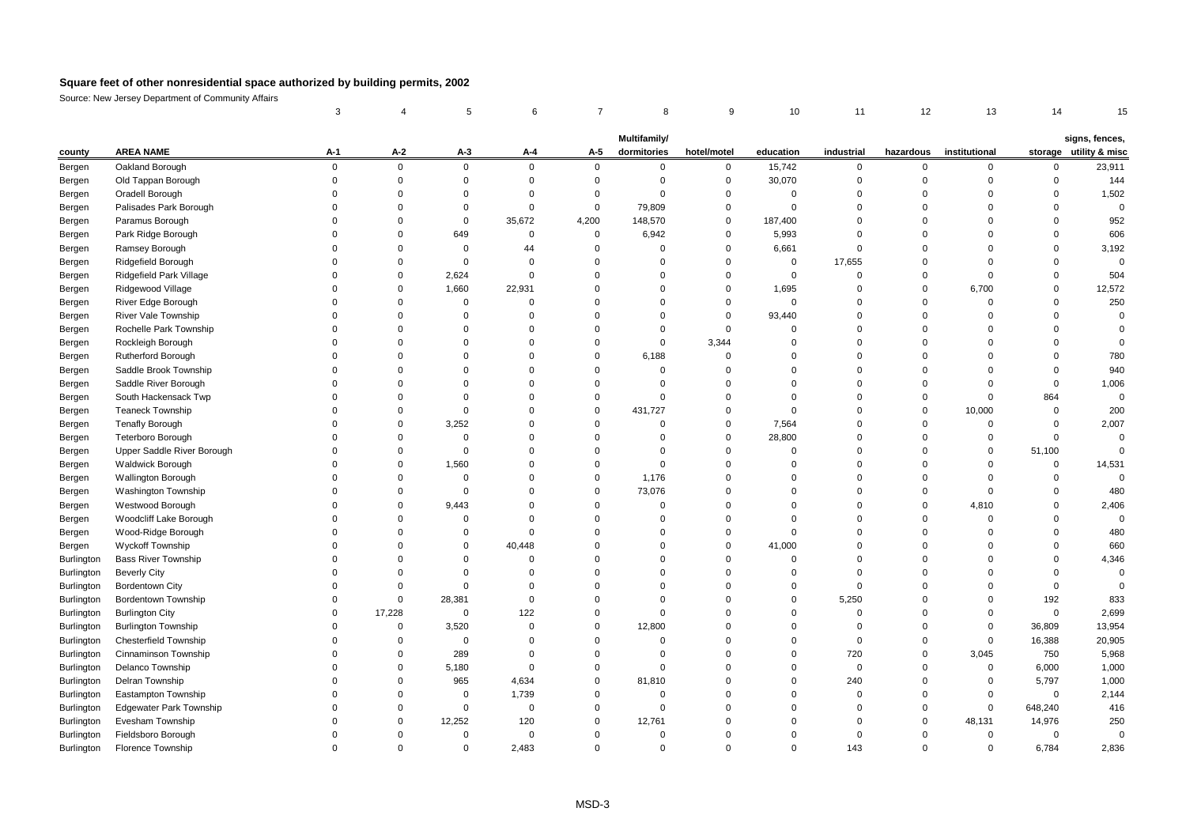|                   |                                       | 3           |             | 5           | 6              | 7           | 8                           | 9                          | 10                         | 11                   | 12            | 13            | 14          |                                          |
|-------------------|---------------------------------------|-------------|-------------|-------------|----------------|-------------|-----------------------------|----------------------------|----------------------------|----------------------|---------------|---------------|-------------|------------------------------------------|
|                   |                                       |             |             |             |                |             |                             |                            |                            |                      |               |               |             |                                          |
| county            | <b>AREA NAME</b>                      | A-1         | $A-2$       | $A-3$       | A-4            | A-5         | Multifamily/<br>dormitories | hotel/motel                | education                  | industrial           | hazardous     | institutional |             | signs, fences,<br>storage utility & misc |
|                   |                                       | $\mathbf 0$ | 0           | $\mathbf 0$ | $\mathbf 0$    | $\mathbf 0$ |                             |                            |                            |                      |               |               | $\mathbf 0$ |                                          |
| Bergen            | Oakland Borough<br>Old Tappan Borough | $\mathbf 0$ | 0           | $\mathbf 0$ | $\mathbf 0$    | $\mathbf 0$ | 0<br>$\Omega$               | $\mathbf 0$<br>$\mathbf 0$ | 15,742<br>30,070           | 0<br>$\Omega$        | 0<br>$\Omega$ | 0<br>$\Omega$ | $\mathbf 0$ | 23,911<br>144                            |
| Bergen            |                                       | $\Omega$    | $\mathbf 0$ | $\Omega$    | $\mathbf 0$    | $\mathbf 0$ | $\Omega$                    | $\Omega$                   |                            | $\Omega$             | $\Omega$      | $\Omega$      | $\mathbf 0$ |                                          |
| Bergen            | Oradell Borough                       | $\Omega$    | $\mathbf 0$ | $\mathbf 0$ | $\mathbf 0$    | $\mathbf 0$ |                             | $\mathbf 0$                | $\mathbf 0$<br>$\mathbf 0$ | $\Omega$             | $\Omega$      | $\Omega$      | $\Omega$    | 1,502<br>$\Omega$                        |
| Bergen            | Palisades Park Borough                |             |             |             |                |             | 79,809                      |                            |                            |                      |               |               |             |                                          |
| Bergen            | Paramus Borough                       | $\Omega$    | 0           | $\mathbf 0$ | 35,672         | 4,200       | 148,570                     | $\mathbf 0$                | 187,400                    | $\Omega$<br>$\Omega$ | $\Omega$      | $\Omega$      | $\mathbf 0$ | 952                                      |
| Bergen            | Park Ridge Borough                    | $\Omega$    | $\mathbf 0$ | 649         | $\mathbf 0$    | $\mathbf 0$ | 6,942                       | 0                          | 5,993                      |                      | $\Omega$      | $\Omega$      | $\mathbf 0$ | 606                                      |
| Bergen            | Ramsey Borough                        | $\Omega$    | $\mathbf 0$ | $\mathbf 0$ | 44             | $\mathbf 0$ | $\Omega$                    | $\Omega$                   | 6,661                      | $\Omega$             | $\Omega$      | $\Omega$      | $\mathbf 0$ | 3,192                                    |
| Bergen            | Ridgefield Borough                    | $\mathbf 0$ | $\mathsf 0$ | $\pmb{0}$   | $\mathbf 0$    | $\mathbf 0$ | $\mathbf 0$                 | $\Omega$                   | $\mathbf 0$                | 17,655               | $\Omega$      | $\Omega$      | $\mathbf 0$ | $\mathbf 0$                              |
| Bergen            | Ridgefield Park Village               | $\Omega$    | 0           | 2,624       | $\mathbf 0$    | $\Omega$    | 0                           | $\Omega$                   | $\mathbf 0$                | 0                    | 0             | $\Omega$      | $\mathbf 0$ | 504                                      |
| Bergen            | Ridgewood Village                     | $\mathbf 0$ | $\mathbf 0$ | 1,660       | 22,931         | $\Omega$    | $\mathbf 0$                 | $\mathbf 0$                | 1,695                      | $\Omega$             | $\mathbf 0$   | 6,700         | $\mathbf 0$ | 12,572                                   |
| Bergen            | River Edge Borough                    | $\Omega$    | $\mathbf 0$ | $\mathbf 0$ | $\mathbf 0$    | $\Omega$    | $\mathbf 0$                 | $\Omega$                   | $\mathbf 0$                | $\Omega$             | $\Omega$      | $\Omega$      | $\mathbf 0$ | 250                                      |
| Bergen            | <b>River Vale Township</b>            | $\Omega$    | $\mathbf 0$ | $\mathbf 0$ | $\mathbf 0$    | $\Omega$    | $\mathbf 0$                 | $\Omega$                   | 93,440                     | $\Omega$             | $\Omega$      | $\Omega$      | $\mathbf 0$ | $\Omega$                                 |
| Bergen            | Rochelle Park Township                | $\Omega$    | $\mathbf 0$ | $\Omega$    | $\mathbf 0$    | $\Omega$    | $\mathbf 0$                 | $\Omega$                   | $\mathbf 0$                | $\Omega$             | $\Omega$      | $\Omega$      | $\mathbf 0$ | $\Omega$                                 |
| Bergen            | Rockleigh Borough                     | $\Omega$    | $\mathbf 0$ | $\mathbf 0$ | $\mathbf 0$    | $\Omega$    | $\mathbf 0$                 | 3,344                      | $\mathbf 0$                | $\Omega$             | $\Omega$      | $\Omega$      | $\mathbf 0$ | $\Omega$                                 |
| Bergen            | <b>Rutherford Borough</b>             | $\Omega$    | $\mathbf 0$ | $\Omega$    | $\Omega$       | $\Omega$    | 6,188                       | $\Omega$                   | $\Omega$                   | $\mathbf 0$          | $\Omega$      | $\Omega$      | $\mathbf 0$ | 780                                      |
| Bergen            | Saddle Brook Township                 | $\Omega$    | $\mathbf 0$ | $\mathbf 0$ | $\mathbf 0$    | $\mathbf 0$ | $\mathbf 0$                 | $\Omega$                   | $\mathbf 0$                | $\mathbf 0$          | $\Omega$      | $\Omega$      | $\mathbf 0$ | 940                                      |
| Bergen            | Saddle River Borough                  | $\Omega$    | $\mathbf 0$ | $\Omega$    | $\Omega$       | $\Omega$    | $\Omega$                    | $\Omega$                   | $\Omega$                   | $\Omega$             | $\Omega$      | $\Omega$      | $\mathbf 0$ | 1,006                                    |
| Bergen            | South Hackensack Twp                  | $\Omega$    | $\mathbf 0$ | $\Omega$    | $\mathbf 0$    | $\Omega$    | $\mathbf 0$                 | $\Omega$                   | $\Omega$                   | $\Omega$             | $\Omega$      | $\Omega$      | 864         | $\overline{0}$                           |
| Bergen            | <b>Teaneck Township</b>               | $\Omega$    | $\mathbf 0$ | $\mathbf 0$ | $\Omega$       | $\Omega$    | 431,727                     | $\Omega$                   | $\mathbf 0$                | $\Omega$             | $\Omega$      | 10,000        | $\mathbf 0$ | 200                                      |
| Bergen            | <b>Tenafly Borough</b>                | $\Omega$    | 0           | 3,252       | $\mathbf 0$    | $\Omega$    | 0                           | 0                          | 7,564                      | $\Omega$             | $\Omega$      | $\mathbf 0$   | $\mathbf 0$ | 2,007                                    |
| Bergen            | Teterboro Borough                     | $\Omega$    | $\mathbf 0$ | $\mathbf 0$ | $\mathbf 0$    | $\Omega$    | $\Omega$                    | $\Omega$                   | 28,800                     | $\Omega$             | $\Omega$      | $\Omega$      | $\mathbf 0$ | $\Omega$                                 |
| Bergen            | Upper Saddle River Borough            | $\Omega$    | 0           | $\mathbf 0$ | $\mathbf 0$    | $\Omega$    | $\Omega$                    | $\Omega$                   | $\mathbf 0$                | $\Omega$             | $\Omega$      | $\Omega$      | 51,100      | $\Omega$                                 |
| Bergen            | Waldwick Borough                      | $\Omega$    | 0           | 1,560       | $\mathbf 0$    | $\Omega$    | $\mathbf 0$                 | $\Omega$                   | $\Omega$                   | $\Omega$             | $\Omega$      | $\Omega$      | $\mathbf 0$ | 14,531                                   |
| Bergen            | <b>Wallington Borough</b>             | $\Omega$    | 0           | $\mathbf 0$ | $\Omega$       | $\Omega$    | 1,176                       | $\Omega$                   | $\mathbf 0$                | $\Omega$             | $\Omega$      | $\Omega$      | $\mathbf 0$ | $\mathbf 0$                              |
| Bergen            | Washington Township                   | $\Omega$    | $\mathbf 0$ | $\mathbf 0$ | $\mathbf 0$    | $\Omega$    | 73,076                      | $\Omega$                   | $\Omega$                   | $\Omega$             | $\Omega$      | $\Omega$      | $\mathbf 0$ | 480                                      |
| Bergen            | Westwood Borough                      | $\Omega$    | $\Omega$    | 9,443       | $\Omega$       | $\Omega$    | $\Omega$                    | $\Omega$                   | $\Omega$                   | $\Omega$             | $\Omega$      | 4,810         | $\mathbf 0$ | 2,406                                    |
| Bergen            | Woodcliff Lake Borough                | $\Omega$    | 0           | $\mathbf 0$ | $\Omega$       | $\Omega$    | $\Omega$                    | $\Omega$                   | $\Omega$                   | $\Omega$             | $\Omega$      | $\Omega$      | $\mathbf 0$ | $\Omega$                                 |
| Bergen            | Wood-Ridge Borough                    | $\Omega$    | $\mathbf 0$ | $\mathbf 0$ | $\mathbf 0$    | $\Omega$    | $\Omega$                    | $\Omega$                   | $\mathbf 0$                | $\Omega$             | $\Omega$      | $\Omega$      | $\mathbf 0$ | 480                                      |
| Bergen            | Wyckoff Township                      | $\Omega$    | $\mathbf 0$ | $\mathbf 0$ | 40,448         | $\Omega$    | $\Omega$                    | $\Omega$                   | 41,000                     | $\mathbf 0$          | $\Omega$      | $\Omega$      | $\mathbf 0$ | 660                                      |
| Burlington        | <b>Bass River Township</b>            | $\Omega$    | $\Omega$    | $\mathbf 0$ | $\mathbf 0$    | $\Omega$    | $\Omega$                    | $\Omega$                   | $\mathbf 0$                | $\mathbf 0$          | $\Omega$      | $\Omega$      | $\mathbf 0$ | 4,346                                    |
| Burlington        | <b>Beverly City</b>                   | $\Omega$    | $\mathbf 0$ | $\mathbf 0$ | $\Omega$       | $\mathbf 0$ | $\mathbf 0$                 | $\Omega$                   | $\mathbf 0$                | $\mathbf 0$          | $\Omega$      | $\Omega$      | $\mathbf 0$ | $\overline{0}$                           |
| Burlington        | <b>Bordentown City</b>                | $\Omega$    | $\mathbf 0$ | $\mathbf 0$ | $\Omega$       | $\Omega$    | $\Omega$                    | $\Omega$                   | $\Omega$                   | $\Omega$             | $\Omega$      | $\Omega$      | $\mathbf 0$ | $\Omega$                                 |
| Burlington        | <b>Bordentown Township</b>            | $\Omega$    | $\mathbf 0$ | 28,381      | $\mathbf 0$    | $\Omega$    | $\Omega$                    | $\Omega$                   | $\Omega$                   | 5,250                | $\Omega$      | $\Omega$      | 192         | 833                                      |
| Burlington        | <b>Burlington City</b>                | $\Omega$    | 17,228      | $\mathbf 0$ | 122            | $\Omega$    | $\mathbf 0$                 | $\Omega$                   | $\Omega$                   | $\Omega$             | $\Omega$      | $\Omega$      | $\mathbf 0$ | 2,699                                    |
| Burlington        | <b>Burlington Township</b>            | 0           | 0           | 3,520       | $\mathbf 0$    | $\mathbf 0$ | 12,800                      | $\Omega$                   | $\mathbf 0$                | $\Omega$             | $\Omega$      | $\mathbf 0$   | 36,809      | 13,954                                   |
| Burlington        | Chesterfield Township                 | $\Omega$    | $\mathbf 0$ | $\mathbf 0$ | $\mathbf 0$    | $\Omega$    | $\mathbf 0$                 | $\Omega$                   | $\Omega$                   | $\Omega$             | $\Omega$      | $\mathbf 0$   | 16,388      | 20,905                                   |
| Burlington        | Cinnaminson Township                  | $\Omega$    | $\mathbf 0$ | 289         | $\overline{0}$ | $\Omega$    | $\mathbf 0$                 | $\Omega$                   | $\mathbf 0$                | 720                  | $\mathbf 0$   | 3,045         | 750         | 5,968                                    |
| <b>Burlington</b> | Delanco Township                      | $\Omega$    | 0           | 5,180       | $\mathbf 0$    | $\Omega$    | $\mathbf 0$                 | $\Omega$                   | $\Omega$                   | 0                    | $\Omega$      | $\mathbf 0$   | 6,000       | 1,000                                    |
| <b>Burlington</b> | Delran Township                       | $\Omega$    | $\mathbf 0$ | 965         | 4,634          | $\mathbf 0$ | 81,810                      | $\Omega$                   | $\mathbf 0$                | 240                  | $\Omega$      | $\mathbf 0$   | 5,797       | 1,000                                    |
| Burlington        | <b>Eastampton Township</b>            | $\Omega$    | $\mathbf 0$ | $\mathbf 0$ | 1,739          | $\Omega$    | $\Omega$                    | $\Omega$                   | $\Omega$                   | $\Omega$             | $\Omega$      | $\Omega$      | $\mathbf 0$ | 2,144                                    |
| Burlington        | <b>Edgewater Park Township</b>        | $\Omega$    | 0           | $\mathbf 0$ | $\mathbf 0$    | $\mathbf 0$ | $\Omega$                    | $\Omega$                   | $\Omega$                   | $\Omega$             | $\Omega$      | $\mathbf 0$   | 648,240     | 416                                      |
| Burlington        | Evesham Township                      | $\Omega$    | $\mathbf 0$ | 12,252      | 120            | $\mathbf 0$ | 12,761                      | $\Omega$                   | $\Omega$                   | $\Omega$             | $\Omega$      | 48,131        | 14,976      | 250                                      |
| Burlington        | Fieldsboro Borough                    | $\Omega$    | $\mathbf 0$ | $\mathbf 0$ | $\mathbf 0$    | $\Omega$    | 0                           | $\Omega$                   | $\Omega$                   | $\Omega$             | $\Omega$      | $\Omega$      | $\mathbf 0$ | $\overline{0}$                           |
| Burlington        | Florence Township                     | $\Omega$    | $\Omega$    | $\Omega$    | 2.483          | $\Omega$    | $\Omega$                    | $\Omega$                   | $\Omega$                   | 143                  | $\Omega$      | $\Omega$      | 6,784       | 2,836                                    |
|                   |                                       |             |             |             |                |             |                             |                            |                            |                      |               |               |             |                                          |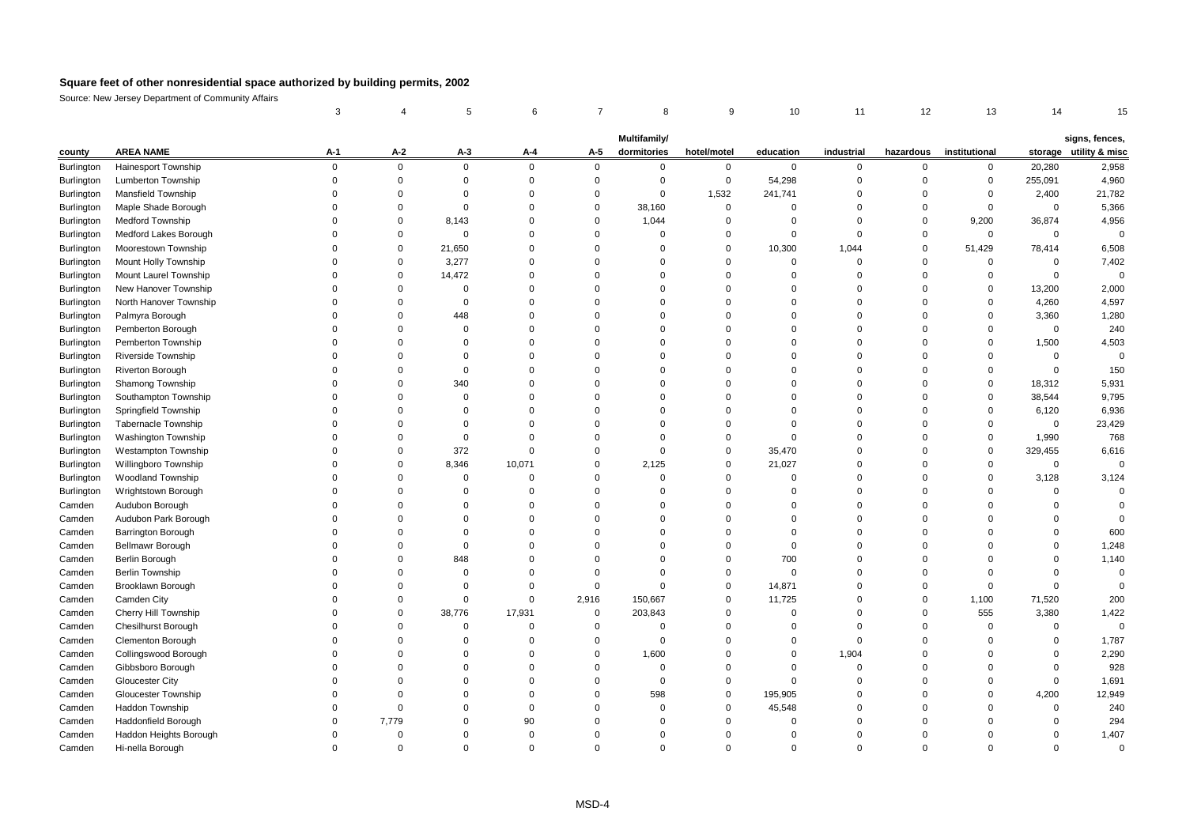|                   |                                                  | 3           |             |             | 6           | 7              | 8                           | 9           | 10             | 11          | 12               | 13            | 14                |                                          |
|-------------------|--------------------------------------------------|-------------|-------------|-------------|-------------|----------------|-----------------------------|-------------|----------------|-------------|------------------|---------------|-------------------|------------------------------------------|
|                   |                                                  |             |             |             |             |                |                             |             |                |             |                  |               |                   |                                          |
| county            | <b>AREA NAME</b>                                 | A-1         | $A-2$       | $A-3$       | A-4         | A-5            | Multifamily/<br>dormitories | hotel/motel | education      | industrial  | hazardous        | institutional |                   | signs, fences,<br>storage utility & misc |
|                   |                                                  | $\mathbf 0$ | 0           | $\mathbf 0$ | $\mathbf 0$ | $\mathbf 0$    | $\mathbf 0$                 | $\mathbf 0$ |                | $\mathbf 0$ |                  | 0             |                   |                                          |
| Burlington        | <b>Hainesport Township</b><br>Lumberton Township | $\mathbf 0$ | 0           | $\mathbf 0$ | $\mathbf 0$ | $\mathbf 0$    | $\mathbf 0$                 | $\mathbf 0$ | 0<br>54,298    | $\mathbf 0$ | 0<br>$\mathbf 0$ | $\mathbf 0$   | 20,280<br>255,091 | 2,958<br>4,960                           |
| Burlington        | <b>Mansfield Township</b>                        | $\Omega$    | $\Omega$    | $\mathbf 0$ | $\Omega$    | $\Omega$       | $\Omega$                    | 1,532       | 241,741        | $\Omega$    | $\Omega$         | $\Omega$      | 2,400             | 21,782                                   |
| <b>Burlington</b> |                                                  | $\Omega$    | $\Omega$    | $\mathbf 0$ | $\Omega$    | $\overline{0}$ |                             | $\mathbf 0$ | $\mathbf 0$    | $\Omega$    | $\mathbf 0$      | $\mathbf 0$   | $\mathbf 0$       | 5,366                                    |
| <b>Burlington</b> | Maple Shade Borough                              | 0           | $\Omega$    |             | $\Omega$    | $\mathbf 0$    | 38,160                      |             |                |             |                  |               |                   |                                          |
| Burlington        | Medford Township                                 |             |             | 8,143       | $\Omega$    |                | 1,044                       | $\mathbf 0$ | $\mathbf 0$    | $\mathbf 0$ | $\mathbf 0$      | 9,200         | 36,874            | 4,956                                    |
| Burlington        | Medford Lakes Borough                            | $\Omega$    | $\Omega$    | $\mathbf 0$ | $\Omega$    | $\mathbf 0$    | $\Omega$                    | $\Omega$    | $\mathbf 0$    | $\Omega$    | $\mathbf 0$      | $\Omega$      | $\mathbf 0$       | $\overline{0}$                           |
| Burlington        | Moorestown Township                              | $\Omega$    | 0           | 21,650      | $\Omega$    | $\mathbf 0$    | $\mathbf 0$                 | $\mathbf 0$ | 10,300         | 1,044       | $\mathbf 0$      | 51,429        | 78,414            | 6,508                                    |
| <b>Burlington</b> | Mount Holly Township                             | $\Omega$    | $\Omega$    | 3,277       |             | $\Omega$       | $\Omega$                    | $\Omega$    | $\mathbf 0$    | $\mathbf 0$ | $\Omega$         | $\Omega$      | $\mathbf 0$       | 7,402                                    |
| <b>Burlington</b> | Mount Laurel Township                            | $\Omega$    | $\mathbf 0$ | 14,472      | $\Omega$    | $\overline{0}$ | $\Omega$                    | $\Omega$    | 0              | 0           | 0                | 0             | $\mathbf 0$       | $\overline{0}$                           |
| Burlington        | New Hanover Township                             | $\Omega$    | $\Omega$    | $\mathbf 0$ | $\Omega$    | $\Omega$       | $\Omega$                    | $\Omega$    | $\Omega$       | $\Omega$    | $\Omega$         | $\Omega$      | 13,200            | 2,000                                    |
| <b>Burlington</b> | North Hanover Township                           | 0           | $\Omega$    | $\mathbf 0$ | $\Omega$    | $\Omega$       | $\Omega$                    | $\Omega$    | $\Omega$       | $\Omega$    | $\Omega$         | $\Omega$      | 4,260             | 4,597                                    |
| Burlington        | Palmyra Borough                                  | $\Omega$    | $\Omega$    | 448         | $\Omega$    | $\Omega$       | $\Omega$                    | $\Omega$    | $\Omega$       | $\mathbf 0$ | $\Omega$         | $\Omega$      | 3,360             | 1,280                                    |
| Burlington        | Pemberton Borough                                | 0           | $\Omega$    | $\mathbf 0$ | $\Omega$    | $\Omega$       | 0                           | $\Omega$    | $\Omega$       | $\Omega$    | $\Omega$         | $\Omega$      | $\mathbf 0$       | 240                                      |
| Burlington        | Pemberton Township                               | $\Omega$    | $\Omega$    | $\mathbf 0$ | $\Omega$    | $\mathbf 0$    | 0                           | $\Omega$    | $\mathbf 0$    | $\Omega$    | $\Omega$         | $\mathbf 0$   | 1,500             | 4,503                                    |
| Burlington        | <b>Riverside Township</b>                        | $\Omega$    | $\Omega$    | $\mathbf 0$ | $\Omega$    | $\Omega$       | $\Omega$                    | $\Omega$    | $\Omega$       | $\Omega$    | $\Omega$         | $\Omega$      | $\mathbf 0$       | $\Omega$                                 |
| <b>Burlington</b> | <b>Riverton Borough</b>                          | 0           | $\mathbf 0$ | $\mathbf 0$ | $\Omega$    | $\overline{0}$ | $\Omega$                    | $\Omega$    | $\Omega$       | $\mathbf 0$ | $\Omega$         | $\Omega$      | $\mathbf 0$       | 150                                      |
| Burlington        | Shamong Township                                 | $\Omega$    | $\mathbf 0$ | 340         | $\Omega$    | $\mathbf 0$    | $\Omega$                    | $\Omega$    | $\mathbf 0$    | $\mathbf 0$ | $\Omega$         | $\mathbf 0$   | 18,312            | 5,931                                    |
| Burlington        | Southampton Township                             | $\Omega$    | $\Omega$    | $\mathbf 0$ | $\Omega$    | $\Omega$       | $\mathbf 0$                 | $\Omega$    | $\Omega$       | $\Omega$    | $\Omega$         | $\Omega$      | 38,544            | 9,795                                    |
| Burlington        | Springfield Township                             | $\Omega$    | $\Omega$    | $\mathbf 0$ | $\Omega$    | $\mathbf 0$    | $\Omega$                    | $\Omega$    | $\Omega$       | $\mathbf 0$ | $\Omega$         | $\Omega$      | 6,120             | 6,936                                    |
| Burlington        | Tabernacle Township                              | $\Omega$    | $\Omega$    | $\Omega$    | $\Omega$    | $\Omega$       | $\Omega$                    | $\Omega$    | $\Omega$       | $\Omega$    | $\Omega$         | $\Omega$      | $\mathbf 0$       | 23,429                                   |
| Burlington        | <b>Washington Township</b>                       | $\Omega$    | $\Omega$    | $\mathbf 0$ | $\Omega$    | $\Omega$       | $\mathbf 0$                 | $\Omega$    | $\mathbf 0$    | $\Omega$    | $\Omega$         | 0             | 1,990             | 768                                      |
| Burlington        | <b>Westampton Township</b>                       | $\Omega$    | $\Omega$    | 372         | $\Omega$    | $\mathbf 0$    | $\mathbf 0$                 | $\mathbf 0$ | 35,470         | $\Omega$    | $\Omega$         | $\mathbf 0$   | 329,455           | 6,616                                    |
| <b>Burlington</b> | Willingboro Township                             | $\Omega$    | $\Omega$    | 8,346       | 10,071      | $\overline{0}$ | 2,125                       | $\mathbf 0$ | 21,027         | $\mathbf 0$ | $\Omega$         | $\Omega$      | $\mathbf 0$       | $\Omega$                                 |
| Burlington        | <b>Woodland Township</b>                         | $\Omega$    | $\mathbf 0$ | $\mathbf 0$ | $\Omega$    | $\mathbf 0$    | $\mathbf 0$                 | $\mathbf 0$ | $\mathbf 0$    | $\mathbf 0$ | $\Omega$         | $\mathbf 0$   | 3,128             | 3,124                                    |
| Burlington        | Wrightstown Borough                              | $\Omega$    | $\Omega$    | $\mathbf 0$ | $\Omega$    | $\Omega$       | $\Omega$                    | $\Omega$    | $\Omega$       | $\Omega$    | $\Omega$         | $\Omega$      | $\mathbf 0$       | $\Omega$                                 |
| Camden            | Audubon Borough                                  | $\Omega$    | $\Omega$    | $\mathbf 0$ | $\Omega$    | $\mathbf 0$    | $\Omega$                    | $\Omega$    | $\mathbf 0$    | $\Omega$    | $\Omega$         | $\Omega$      | $\Omega$          | $\Omega$                                 |
| Camden            | Audubon Park Borough                             | $\Omega$    | $\Omega$    | $\Omega$    | $\Omega$    | $\Omega$       | $\Omega$                    | $\Omega$    | $\Omega$       | $\Omega$    | $\Omega$         | $\Omega$      | $\Omega$          | $\Omega$                                 |
| Camden            | <b>Barrington Borough</b>                        | $\Omega$    | $\Omega$    | $\Omega$    | $\Omega$    | $\Omega$       | $\Omega$                    | $\Omega$    | $\Omega$       | $\Omega$    | $\Omega$         | $\Omega$      | $\mathbf 0$       | 600                                      |
| Camden            | <b>Bellmawr Borough</b>                          | $\Omega$    | $\mathbf 0$ | $\mathsf 0$ | $\Omega$    | $\Omega$       | 0                           | $\Omega$    | $\mathbf 0$    | $\mathbf 0$ | $\Omega$         | $\Omega$      | $\mathbf 0$       | 1,248                                    |
| Camden            | Berlin Borough                                   | $\Omega$    | $\Omega$    | 848         | $\Omega$    | $\Omega$       | $\Omega$                    | $\Omega$    | 700            | $\Omega$    | $\Omega$         | $\Omega$      | $\mathbf 0$       | 1,140                                    |
| Camden            | <b>Berlin Township</b>                           | $\Omega$    | $\Omega$    | $\mathsf 0$ | $\Omega$    | $\mathbf 0$    | $\Omega$                    | $\mathbf 0$ | $\overline{0}$ | $\mathbf 0$ | $\Omega$         | $\Omega$      | $\mathbf 0$       | $\mathbf 0$                              |
| Camden            | Brooklawn Borough                                | $\Omega$    | $\Omega$    | $\mathbf 0$ | $\Omega$    | $\mathbf 0$    | $\Omega$                    | $\mathbf 0$ | 14,871         | $\mathbf 0$ | $\Omega$         | $\Omega$      | $\mathbf 0$       | $\Omega$                                 |
| Camden            | Camden City                                      | $\Omega$    | $\mathbf 0$ | $\mathbf 0$ | $\mathbf 0$ | 2,916          | 150,667                     | 0           | 11,725         | 0           | $\mathbf 0$      | 1,100         | 71,520            | 200                                      |
| Camden            | Cherry Hill Township                             | $\Omega$    | $\Omega$    | 38,776      | 17,931      | $\mathbf 0$    | 203,843                     | $\Omega$    | $\mathbf 0$    | $\Omega$    | $\mathbf 0$      | 555           | 3,380             | 1,422                                    |
| Camden            | <b>Chesilhurst Borough</b>                       | $\Omega$    | $\Omega$    | $\mathbf 0$ | $\Omega$    | $\mathbf 0$    | $\Omega$                    | $\Omega$    | $\mathbf 0$    | $\Omega$    | $\Omega$         | $\Omega$      | $\mathbf 0$       | $\Omega$                                 |
| Camden            | Clementon Borough                                | $\Omega$    | $\Omega$    | $\Omega$    | $\Omega$    | $\mathbf 0$    | $\mathbf 0$                 | $\Omega$    | $\mathbf 0$    | $\Omega$    | $\Omega$         | $\Omega$      | $\mathbf 0$       | 1,787                                    |
| Camden            | Collingswood Borough                             | $\Omega$    | $\Omega$    | $\Omega$    | $\Omega$    | $\Omega$       | 1,600                       | $\Omega$    | $\mathbf 0$    | 1,904       | $\Omega$         | $\Omega$      | $\mathbf 0$       | 2,290                                    |
| Camden            | Gibbsboro Borough                                | $\Omega$    | $\Omega$    | $\Omega$    | $\Omega$    | $\mathbf 0$    | 0                           | $\Omega$    | $\mathbf 0$    | $\mathbf 0$ | $\Omega$         | $\Omega$      | $\mathbf 0$       | 928                                      |
| Camden            | Gloucester City                                  | $\Omega$    | $\Omega$    | $\Omega$    | $\Omega$    | $\overline{0}$ | $\Omega$                    | $\Omega$    | $\mathbf 0$    | $\mathbf 0$ | $\Omega$         | $\Omega$      | $\mathbf 0$       | 1,691                                    |
| Camden            | <b>Gloucester Township</b>                       |             | $\Omega$    | $\Omega$    | $\Omega$    | $\overline{0}$ | 598                         | 0           | 195,905        | 0           | $\Omega$         | $\Omega$      | 4,200             | 12,949                                   |
| Camden            | Haddon Township                                  | $\Omega$    | $\mathbf 0$ | $\mathbf 0$ | $\Omega$    | $\overline{0}$ | $\mathbf 0$                 | $\mathbf 0$ | 45,548         | $\mathbf 0$ | $\Omega$         | $\Omega$      | $\mathbf 0$       | 240                                      |
| Camden            | Haddonfield Borough                              | $\Omega$    | 7,779       | $\Omega$    | 90          | $\overline{0}$ | $\Omega$                    | $\Omega$    | $\mathbf 0$    | $\Omega$    | $\Omega$         | $\Omega$      | $\mathbf 0$       | 294                                      |
| Camden            | Haddon Heights Borough                           | O           | $\Omega$    | $\Omega$    | $\Omega$    | $\Omega$       | $\Omega$                    | $\Omega$    | $\Omega$       | $\Omega$    | $\Omega$         | $\Omega$      | $\mathbf 0$       | 1,407                                    |
| Camden            | Hi-nella Borough                                 | $\Omega$    | $\Omega$    | $\Omega$    | $\Omega$    | $\Omega$       | $\Omega$                    | $\Omega$    | $\Omega$       | $\Omega$    | $\Omega$         | $\Omega$      | $\Omega$          | $\Omega$                                 |
|                   |                                                  |             |             |             |             |                |                             |             |                |             |                  |               |                   |                                          |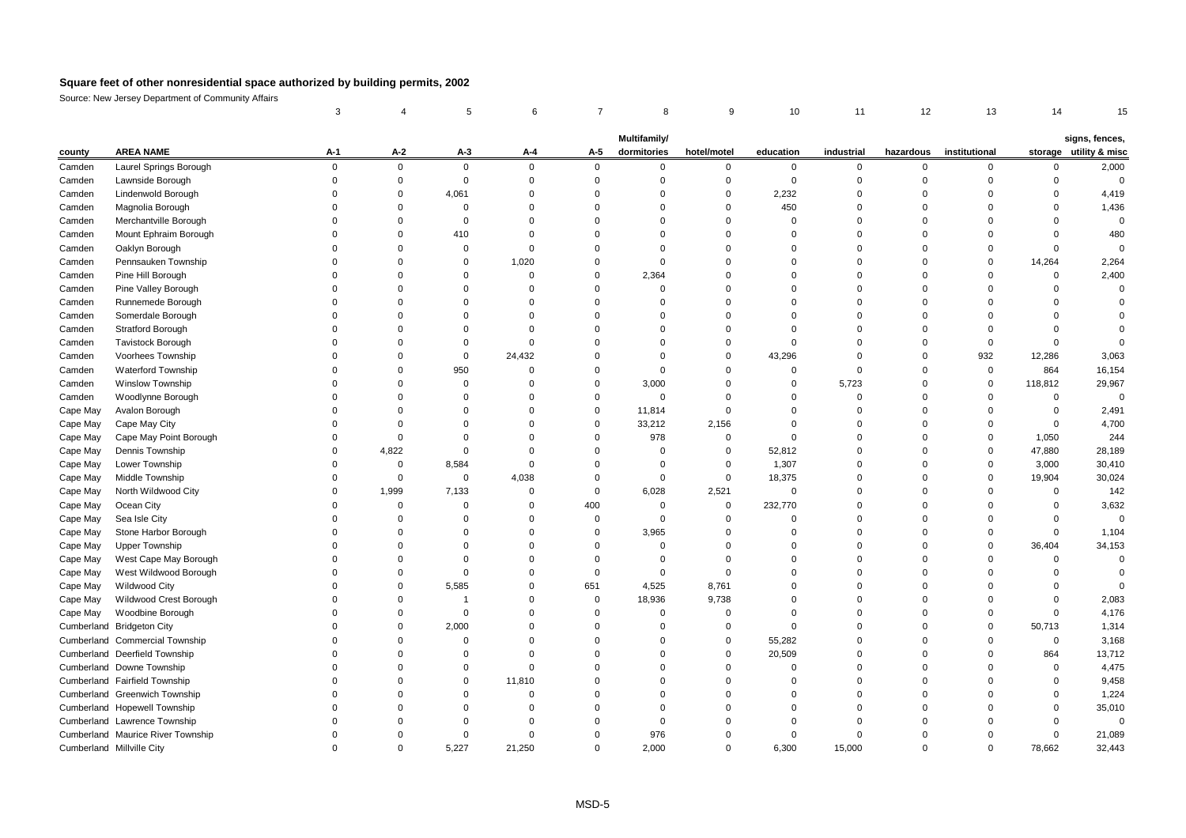|          |                                   | 3           |             | 5              | 6                    |                | 8                           | 9           | 10          | 11          | 12        | 13            | 14          | 15                                       |
|----------|-----------------------------------|-------------|-------------|----------------|----------------------|----------------|-----------------------------|-------------|-------------|-------------|-----------|---------------|-------------|------------------------------------------|
|          |                                   |             |             |                |                      |                |                             |             |             |             |           |               |             |                                          |
| county   | <b>AREA NAME</b>                  | A-1         | $A-2$       | $A-3$          | A-4                  | A-5            | Multifamily/<br>dormitories | hotel/motel | education   | industrial  | hazardous | institutional |             | signs, fences,<br>storage utility & misc |
| Camden   | Laurel Springs Borough            | $\mathbf 0$ | $\mathbf 0$ | $\mathbf 0$    | $\mathbf 0$          | $\mathbf 0$    | 0                           | $\mathbf 0$ | $\mathbf 0$ | $\mathbf 0$ | 0         | $\mathbf 0$   | $\mathbf 0$ | 2,000                                    |
| Camden   | Lawnside Borough                  | $\mathbf 0$ | $\mathbf 0$ | $\mathbf 0$    | $\Omega$             | $\mathbf 0$    | $\mathbf 0$                 | $\Omega$    | $\mathbf 0$ | $\Omega$    | $\Omega$  | $\Omega$      | $\Omega$    | $\mathbf 0$                              |
| Camden   | Lindenwold Borough                | O           | $\Omega$    | 4,061          | $\Omega$             | $\Omega$       | $\Omega$                    | $\Omega$    | 2,232       | $\Omega$    | $\Omega$  | $\Omega$      | $\Omega$    | 4,419                                    |
| Camden   | Magnolia Borough                  | O           | $\Omega$    | 0              | $\Omega$             | $\Omega$       | $\Omega$                    | $\Omega$    | 450         | $\Omega$    | $\Omega$  | $\Omega$      | $\Omega$    | 1,436                                    |
| Camden   | Merchantville Borough             | 0           | $\Omega$    | $\mathbf 0$    | $\Omega$             | $\Omega$       | $\Omega$                    | $\Omega$    | $\Omega$    | $\Omega$    | $\Omega$  | $\Omega$      | $\Omega$    | $\mathbf 0$                              |
| Camden   | Mount Ephraim Borough             | 0           | $\Omega$    | 410            | $\Omega$             | $\Omega$       | $\Omega$                    | $\Omega$    | $\Omega$    | $\Omega$    | $\Omega$  | $\Omega$      | $\Omega$    | 480                                      |
| Camden   | Oaklyn Borough                    | 0           | $\Omega$    | $\mathbf 0$    | $\Omega$             | $\Omega$       | $\Omega$                    | $\Omega$    | $\Omega$    | $\Omega$    | $\Omega$  | $\Omega$      | $\Omega$    | $\Omega$                                 |
| Camden   | Pennsauken Township               | $\Omega$    | $\Omega$    | $\mathbf 0$    | 1,020                | $\Omega$       | $\Omega$                    | $\Omega$    | $\Omega$    | $\Omega$    | $\Omega$  | $\mathbf 0$   | 14,264      | 2,264                                    |
| Camden   | Pine Hill Borough                 | O           | $\Omega$    | 0              | $\Omega$             | $\mathbf 0$    | 2,364                       | $\Omega$    | $\Omega$    | $\Omega$    | $\Omega$  | 0             | $\mathbf 0$ | 2,400                                    |
|          | Pine Valley Borough               |             | $\Omega$    | $\Omega$       | $\Omega$             | $\Omega$       | $\Omega$                    | $\Omega$    |             | $\Omega$    | $\Omega$  | $\Omega$      | $\Omega$    | $\Omega$                                 |
| Camden   |                                   |             | $\Omega$    | $\Omega$       | $\Omega$             | $\Omega$       | $\Omega$                    | $\Omega$    | $\Omega$    | $\Omega$    | O         | $\Omega$      | $\Omega$    |                                          |
| Camden   | Runnemede Borough                 | O           | $\Omega$    | $\Omega$       | $\Omega$             | $\Omega$       | $\Omega$                    | $\Omega$    | $\Omega$    | $\Omega$    | $\Omega$  | $\Omega$      | $\Omega$    | $\Omega$                                 |
| Camden   | Somerdale Borough                 | O           | $\Omega$    | $\Omega$       | $\Omega$             | $\Omega$       | $\Omega$                    | $\Omega$    | $\Omega$    | $\Omega$    | $\Omega$  | $\Omega$      | $\Omega$    | $\Omega$                                 |
| Camden   | <b>Stratford Borough</b>          |             | $\Omega$    | $\mathbf 0$    | $\Omega$             | $\Omega$       |                             | $\Omega$    | $\Omega$    | $\Omega$    |           | $\mathbf 0$   | $\Omega$    | $\Omega$                                 |
| Camden   | <b>Tavistock Borough</b>          | 0           |             |                |                      |                | $\Omega$                    |             |             |             | $\Omega$  |               |             |                                          |
| Camden   | Voorhees Township                 |             | $\Omega$    | $\mathbf 0$    | 24,432               | $\Omega$       | $\Omega$                    | $\Omega$    | 43,296      | $\Omega$    | $\Omega$  | 932           | 12,286      | 3,063                                    |
| Camden   | <b>Waterford Township</b>         | O           | $\Omega$    | 950            | $\Omega$<br>$\Omega$ | $\Omega$       | $\Omega$                    | $\Omega$    | $\Omega$    | $\Omega$    | $\Omega$  | $\mathbf 0$   | 864         | 16,154                                   |
| Camden   | <b>Winslow Township</b>           | 0           | $\Omega$    | $\mathbf 0$    |                      | $\overline{0}$ | 3,000                       | $\mathbf 0$ | $\Omega$    | 5,723       | $\Omega$  | $\mathbf 0$   | 118,812     | 29,967                                   |
| Camden   | Woodlynne Borough                 |             | $\Omega$    | $\Omega$       | $\Omega$             | $\Omega$       | $\Omega$                    | $\Omega$    | $\Omega$    | $\Omega$    | $\Omega$  | $\Omega$      | $\Omega$    | $\overline{0}$                           |
| Cape May | Avalon Borough                    |             | $\Omega$    | $\Omega$       | $\Omega$             | $\Omega$       | 11,814                      | $\Omega$    | $\Omega$    | $\Omega$    | $\Omega$  | $\Omega$      | $\mathbf 0$ | 2,491                                    |
| Cape May | Cape May City                     | n           | $\Omega$    | $\Omega$       | $\Omega$             | $\Omega$       | 33,212                      | 2,156       | $\Omega$    | $\Omega$    | $\Omega$  | $\Omega$      | $\Omega$    | 4,700                                    |
| Cape May | Cape May Point Borough            | 0           | $\Omega$    | $\mathbf 0$    | $\Omega$             | $\mathbf 0$    | 978                         | 0           | $\Omega$    | $\Omega$    | 0         | $\Omega$      | 1,050       | 244                                      |
| Cape May | Dennis Township                   | $\Omega$    | 4,822       | $\mathbf 0$    | $\Omega$             | $\Omega$       | $\Omega$                    | $\mathbf 0$ | 52,812      | $\Omega$    | $\Omega$  | $\mathbf 0$   | 47,880      | 28,189                                   |
| Cape May | Lower Township                    | O           | $\Omega$    | 8,584          | $\Omega$             | $\Omega$       | $\Omega$                    | $\mathbf 0$ | 1,307       | $\Omega$    | 0         | $\mathbf 0$   | 3,000       | 30,410                                   |
| Cape May | Middle Township                   | 0           | $\mathbf 0$ | $\pmb{0}$      | 4,038                | $\overline{0}$ | $\mathbf 0$                 | $\mathsf 0$ | 18,375      | $\Omega$    | $\Omega$  | $\mathbf 0$   | 19,904      | 30,024                                   |
| Cape May | North Wildwood City               | 0           | 1,999       | 7,133          | $\Omega$             | $\overline{0}$ | 6,028                       | 2,521       | $\Omega$    | $\Omega$    | $\Omega$  | $\Omega$      | $\Omega$    | 142                                      |
| Cape May | Ocean City                        |             | 0           | $\mathbf 0$    | $\Omega$             | 400            | $\Omega$                    | $\mathsf 0$ | 232,770     | $\Omega$    | $\Omega$  | $\Omega$      | $\Omega$    | 3,632                                    |
| Cape May | Sea Isle City                     | O           | $\Omega$    | $\Omega$       | $\Omega$             | $\overline{0}$ | $\Omega$                    | $\Omega$    | $\Omega$    | $\Omega$    | $\Omega$  | $\Omega$      | $\Omega$    | $\Omega$                                 |
| Cape May | Stone Harbor Borough              | O           | $\Omega$    | $\Omega$       | $\Omega$             | $\mathbf 0$    | 3,965                       | $\Omega$    | $\Omega$    | $\Omega$    | $\Omega$  | $\Omega$      | $\mathbf 0$ | 1,104                                    |
| Cape May | <b>Upper Township</b>             | 0           | $\Omega$    | $\mathbf 0$    | $\Omega$             | $\overline{0}$ | $\mathbf 0$                 | $\Omega$    | $\Omega$    | $\mathbf 0$ | $\Omega$  | $\mathbf 0$   | 36,404      | 34,153                                   |
| Cape May | West Cape May Borough             | 0           | $\Omega$    | $\mathbf 0$    | $\Omega$             | $\Omega$       | $\Omega$                    | $\Omega$    | $\Omega$    | $\Omega$    | $\Omega$  | $\Omega$      | $\Omega$    | $\overline{0}$                           |
| Cape May | West Wildwood Borough             | O           | $\Omega$    | $\mathbf 0$    | $\Omega$             | $\mathbf 0$    | $\mathbf 0$                 | $\mathbf 0$ | $\Omega$    | $\Omega$    | $\Omega$  | $\Omega$      | $\Omega$    | $\Omega$                                 |
| Cape May | <b>Wildwood City</b>              | $\Omega$    | $\Omega$    | 5,585          | $\Omega$             | 651            | 4,525                       | 8,761       | $\Omega$    | $\Omega$    | $\Omega$  | $\Omega$      | $\Omega$    | $\Omega$                                 |
| Cape May | Wildwood Crest Borough            | 0           | $\Omega$    | $\overline{1}$ | $\Omega$             | $\overline{0}$ | 18,936                      | 9,738       | U           | $\Omega$    | $\Omega$  | $\Omega$      | $\Omega$    | 2,083                                    |
| Cape May | Woodbine Borough                  | n           | $\Omega$    | $\mathbf 0$    | $\Omega$             | $\Omega$       | $\Omega$                    | $\Omega$    | $\Omega$    | $\Omega$    | n         | $\Omega$      | $\Omega$    | 4,176                                    |
|          | Cumberland Bridgeton City         | O           | $\Omega$    | 2,000          | $\Omega$             | $\Omega$       | $\Omega$                    | $\Omega$    | $\Omega$    | $\Omega$    | O         | $\Omega$      | 50,713      | 1,314                                    |
|          | Cumberland Commercial Township    | 0           | $\Omega$    | $\mathbf 0$    | $\Omega$             | $\Omega$       | $\Omega$                    | $\mathbf 0$ | 55,282      | $\Omega$    | $\Omega$  | $\Omega$      | $\mathbf 0$ | 3,168                                    |
|          | Cumberland Deerfield Township     | 0           | $\Omega$    | $\mathbf 0$    | $\Omega$             | $\Omega$       | $\Omega$                    | $\Omega$    | 20,509      | $\Omega$    | $\Omega$  | $\Omega$      | 864         | 13,712                                   |
|          | Cumberland Downe Township         | 0           | 0           | 0              | $\Omega$             | $\Omega$       | $\Omega$                    | $\Omega$    | $\Omega$    | $\Omega$    | $\Omega$  | $\Omega$      | $\Omega$    | 4,475                                    |
|          | Cumberland Fairfield Township     | $\Omega$    | $\Omega$    | $\mathbf 0$    | 11,810               | $\Omega$       | $\Omega$                    | $\Omega$    | $\Omega$    | $\Omega$    | $\Omega$  | $\Omega$      | $\Omega$    | 9,458                                    |
|          | Cumberland Greenwich Township     | O           | $\Omega$    | $\mathbf 0$    | $\Omega$             | $\Omega$       | $\Omega$                    | $\Omega$    | $\Omega$    | $\Omega$    | $\Omega$  | $\Omega$      | $\Omega$    | 1,224                                    |
|          | Cumberland Hopewell Township      | 0           | $\Omega$    | $\Omega$       | $\Omega$             | $\Omega$       | $\Omega$                    | $\Omega$    | $\Omega$    | $\Omega$    | $\Omega$  | $\Omega$      | $\Omega$    | 35,010                                   |
|          | Cumberland Lawrence Township      |             | O           | $\Omega$       | $\Omega$             | $\Omega$       | $\Omega$                    | $\Omega$    |             | $\Omega$    |           | $\Omega$      | $\Omega$    | $\mathbf 0$                              |
|          | Cumberland Maurice River Township | O           | $\Omega$    | $\Omega$       | $\Omega$             | $\Omega$       | 976                         | $\Omega$    | $\Omega$    | $\Omega$    | $\Omega$  | $\Omega$      | $\Omega$    | 21,089                                   |
|          | Cumberland Millville City         | $\Omega$    | $\Omega$    | 5.227          | 21,250               | $\Omega$       | 2,000                       | $\Omega$    | 6,300       | 15,000      | $\Omega$  | $\Omega$      | 78,662      | 32,443                                   |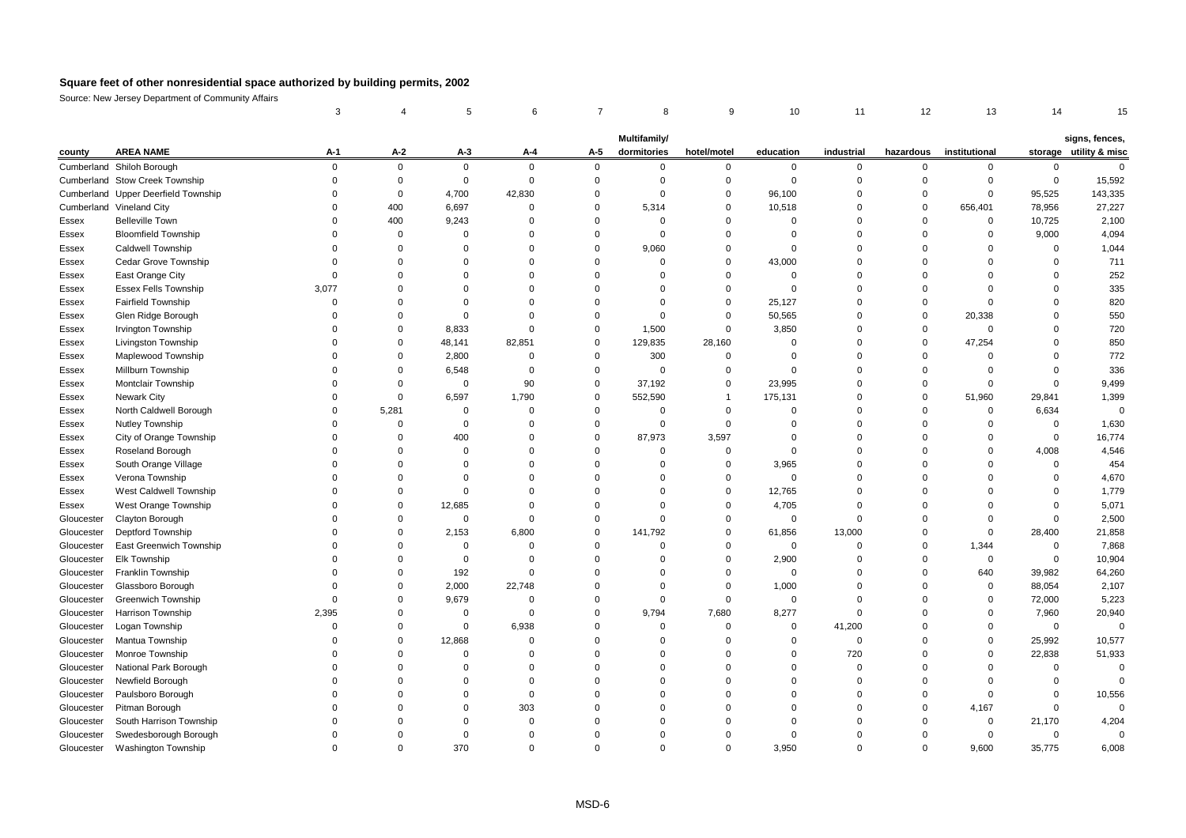|            |                                     | 3           |             |             | 6           |             | 8            |             | 10             | 11          | 12          | 13            |             |                        |
|------------|-------------------------------------|-------------|-------------|-------------|-------------|-------------|--------------|-------------|----------------|-------------|-------------|---------------|-------------|------------------------|
|            |                                     |             |             |             |             |             | Multifamily/ |             |                |             |             |               |             | signs, fences,         |
| county     | <b>AREA NAME</b>                    | A-1         | $A-2$       | $A-3$       | A-4         | A-5         | dormitories  | hotel/motel | education      | industrial  | hazardous   | institutional |             | storage utility & misc |
|            | Cumberland Shiloh Borough           | 0           | $\mathbf 0$ | $\mathbf 0$ | $\mathbf 0$ | $\mathbf 0$ | 0            | 0           | $\mathbf 0$    | 0           | $\mathbf 0$ | 0             | 0           | $\mathbf 0$            |
|            | Cumberland Stow Creek Township      | $\Omega$    | $\mathbf 0$ | $\mathsf 0$ | $\mathbf 0$ | $\mathbf 0$ | $\Omega$     | $\mathbf 0$ | $\mathbf 0$    | 0           | $\Omega$    | $\mathbf 0$   | $\mathbf 0$ | 15,592                 |
|            | Cumberland Upper Deerfield Township | $\Omega$    | $\mathbf 0$ | 4,700       | 42,830      | $\Omega$    | $\Omega$     | $\mathbf 0$ | 96,100         | $\Omega$    | $\Omega$    | $\mathbf 0$   | 95,525      | 143,335                |
|            | Cumberland Vineland City            | O           | 400         | 6,697       | $\mathbf 0$ | $\Omega$    | 5,314        | 0           | 10,518         | $\mathbf 0$ | $\Omega$    | 656,401       | 78,956      | 27,227                 |
| Essex      | <b>Belleville Town</b>              | $\Omega$    | 400         | 9,243       | $\Omega$    | $\mathbf 0$ | $\mathbf 0$  | $\mathbf 0$ | $\mathbf 0$    | $\mathbf 0$ | $\mathbf 0$ | $\mathbf 0$   | 10,725      | 2,100                  |
| Essex      | <b>Bloomfield Township</b>          | 0           | $\Omega$    | $\Omega$    | $\Omega$    | $\Omega$    | $\mathbf 0$  | $\mathbf 0$ | $\Omega$       | $\mathbf 0$ | $\Omega$    | $\mathbf 0$   | 9,000       | 4,094                  |
| Essex      | Caldwell Township                   | 0           | $\Omega$    | $\Omega$    | $\Omega$    | $\mathbf 0$ | 9,060        | $\mathbf 0$ | $\mathbf 0$    | $\mathbf 0$ | $\Omega$    | $\mathbf 0$   | $\mathbf 0$ | 1,044                  |
| Essex      | Cedar Grove Township                | $\Omega$    | $\Omega$    | $\Omega$    | $\Omega$    | $\Omega$    | $\mathbf 0$  | $\mathbf 0$ | 43,000         | $\mathbf 0$ | $\Omega$    | $\Omega$      | $\Omega$    | 711                    |
| Essex      | East Orange City                    | $\Omega$    | 0           | $\Omega$    | $\Omega$    | $\Omega$    | $\Omega$     | 0           | 0              | 0           | $\Omega$    | $\Omega$      | $\mathbf 0$ | 252                    |
| Essex      | <b>Essex Fells Township</b>         | 3,077       | $\Omega$    | $\Omega$    | $\Omega$    | $\Omega$    | $\Omega$     | $\mathbf 0$ | $\Omega$       | $\mathbf 0$ | $\Omega$    | $\Omega$      | $\Omega$    | 335                    |
| Essex      | Fairfield Township                  | $\Omega$    | $\Omega$    | $\Omega$    | $\Omega$    | $\Omega$    | $\mathbf 0$  | $\mathbf 0$ | 25,127         | $\mathbf 0$ | $\Omega$    | $\Omega$      | $\Omega$    | 820                    |
| Essex      | Glen Ridge Borough                  | 0           | $\Omega$    | $\Omega$    | $\Omega$    | $\Omega$    | $\Omega$     | $\mathbf 0$ | 50,565         | $\Omega$    | $\Omega$    | 20,338        | $\mathbf 0$ | 550                    |
| Essex      | Irvington Township                  | O           | $\Omega$    | 8,833       | $\mathbf 0$ | $\Omega$    | 1,500        | $\mathbf 0$ | 3,850          | 0           | $\Omega$    | $\mathbf 0$   | $\Omega$    | 720                    |
| Essex      | Livingston Township                 | 0           | $\Omega$    | 48,141      | 82,851      | $\mathbf 0$ | 129,835      | 28,160      | $\overline{0}$ | 0           | $\mathbf 0$ | 47,254        | $\mathbf 0$ | 850                    |
| Essex      | Maplewood Township                  | 0           | $\Omega$    | 2,800       | $\mathbf 0$ | $\Omega$    | 300          | $\mathbf 0$ | $\Omega$       | $\mathbf 0$ | $\Omega$    | $\Omega$      | $\Omega$    | 772                    |
| Essex      | <b>Millburn Township</b>            | O           | $\mathbf 0$ | 6,548       | $\mathbf 0$ | $\Omega$    | $\mathbf 0$  | $\mathbf 0$ | $\mathbf 0$    | 0           | $\Omega$    | $\mathbf 0$   | $\Omega$    | 336                    |
| Essex      | Montclair Township                  | U           | $\mathbf 0$ | $\mathbf 0$ | 90          | $\mathbf 0$ | 37,192       | $\mathbf 0$ | 23,995         | 0           | $\Omega$    | $\mathbf 0$   | $\mathbf 0$ | 9,499                  |
| Essex      | <b>Newark City</b>                  | O           | $\mathbf 0$ | 6,597       | 1,790       | $\Omega$    | 552,590      |             | 175,131        | 0           | $\Omega$    | 51,960        | 29,841      | 1,399                  |
| Essex      | North Caldwell Borough              | 0           | 5,281       | $\mathbf 0$ | $\Omega$    | $\Omega$    | $\mathbf 0$  | $\mathbf 0$ | $\mathbf 0$    | $\Omega$    | $\Omega$    | $\mathbf 0$   | 6,634       | $\mathbf 0$            |
| Essex      | Nutley Township                     | $\Omega$    | $\Omega$    | $\Omega$    | $\mathbf 0$ | $\Omega$    | $\Omega$     | $\mathbf 0$ | $\Omega$       | $\Omega$    | $\Omega$    | $\mathbf 0$   | $\mathbf 0$ | 1,630                  |
| Essex      | City of Orange Township             | 0           | $\Omega$    | 400         | $\Omega$    | $\Omega$    | 87,973       | 3,597       | 0              | 0           | $\Omega$    | $\mathbf 0$   | 0           | 16,774                 |
| Essex      | Roseland Borough                    | U           | $\Omega$    | $\Omega$    | $\Omega$    | $\Omega$    | $\Omega$     | $\mathbf 0$ | $\Omega$       | $\mathbf 0$ | $\Omega$    | $\mathbf 0$   | 4,008       | 4,546                  |
| Essex      | South Orange Village                | O           | $\Omega$    | $\Omega$    | $\Omega$    | $\Omega$    | $\Omega$     | $\mathbf 0$ | 3,965          | $\mathbf 0$ | $\Omega$    | $\Omega$      | $\Omega$    | 454                    |
| Essex      | Verona Township                     | 0           | $\mathbf 0$ | $\Omega$    | $\Omega$    | $\Omega$    | $\Omega$     | $\mathbf 0$ | $\mathbf 0$    | 0           | $\Omega$    | $\Omega$      | $\mathbf 0$ | 4,670                  |
| Essex      | West Caldwell Township              | $\Omega$    | $\Omega$    | $\Omega$    | $\Omega$    | $\Omega$    | $\Omega$     | $\mathbf 0$ | 12,765         | 0           | $\Omega$    | $\Omega$      | $\mathbf 0$ | 1,779                  |
| Essex      | West Orange Township                | O           | $\Omega$    | 12,685      | $\Omega$    | $\Omega$    | $\Omega$     | $\mathbf 0$ | 4,705          | $\mathbf 0$ | $\Omega$    | $\mathbf 0$   | $\mathbf 0$ | 5,071                  |
| Gloucester | Clayton Borough                     | $\Omega$    | $\mathbf 0$ | $\Omega$    | $\mathbf 0$ | $\Omega$    | $\Omega$     | $\mathbf 0$ | $\overline{0}$ | $\mathbf 0$ | $\Omega$    | $\mathbf 0$   | $\Omega$    | 2,500                  |
| Gloucester | Deptford Township                   | O           | $\Omega$    | 2,153       | 6,800       | $\Omega$    | 141,792      | $\mathbf 0$ | 61,856         | 13,000      | $\Omega$    | $\mathbf 0$   | 28,400      | 21,858                 |
| Gloucester | East Greenwich Township             | O           | $\mathbf 0$ | $\mathbf 0$ | $\mathbf 0$ | $\mathbf 0$ | $\mathbf 0$  | $\mathbf 0$ | $\mathbf 0$    | 0           | $\mathbf 0$ | 1,344         | $\mathbf 0$ | 7,868                  |
| Gloucester | Elk Township                        | $\Omega$    | $\Omega$    | $\Omega$    | $\mathbf 0$ | $\Omega$    | $\Omega$     | $\mathbf 0$ | 2,900          | 0           | $\Omega$    | $\mathbf 0$   | 0           | 10,904                 |
| Gloucester | Franklin Township                   | $\Omega$    | $\mathbf 0$ | 192         | $\mathbf 0$ | $\Omega$    | $\Omega$     | $\mathbf 0$ | $\overline{0}$ | 0           | $\Omega$    | 640           | 39,982      | 64,260                 |
| Gloucester | Glassboro Borough                   | $\Omega$    | $\Omega$    | 2,000       | 22,748      | $\Omega$    | $\Omega$     | $\mathbf 0$ | 1,000          | 0           | $\Omega$    | $\mathbf 0$   | 88,054      | 2,107                  |
| Gloucester | <b>Greenwich Township</b>           | $\mathbf 0$ | $\mathbf 0$ | 9,679       | $\mathbf 0$ | $\mathbf 0$ | $\mathbf 0$  | $\mathbf 0$ | $\mathbf 0$    | 0           | $\Omega$    | $\mathbf 0$   | 72,000      | 5,223                  |
| Gloucester | Harrison Township                   | 2,395       | $\Omega$    | $\Omega$    | $\mathbf 0$ | $\Omega$    | 9,794        | 7,680       | 8,277          | $\mathbf 0$ | $\Omega$    | $\mathbf 0$   | 7,960       | 20,940                 |
| Gloucester | Logan Township                      | $\Omega$    | $\Omega$    | $\mathbf 0$ | 6,938       | $\Omega$    | $\mathbf 0$  | $\mathbf 0$ | $\mathbf 0$    | 41,200      | $\Omega$    | $\mathbf 0$   | $\mathbf 0$ | $\mathbf 0$            |
| Gloucester | Mantua Township                     | $\Omega$    | $\Omega$    | 12,868      | $\Omega$    | $\Omega$    | $\Omega$     | $\mathbf 0$ | $\mathbf 0$    | 0           | $\Omega$    | $\mathbf 0$   | 25,992      | 10,577                 |
| Gloucester | Monroe Township                     | O           | $\Omega$    | $\Omega$    | $\Omega$    | $\Omega$    | $\Omega$     | $\Omega$    | $\Omega$       | 720         | $\Omega$    | $\mathbf 0$   | 22,838      | 51,933                 |
| Gloucester | National Park Borough               | 0           | $\Omega$    | $\Omega$    | $\Omega$    | $\Omega$    | $\Omega$     | $\Omega$    | $\Omega$       | 0           | $\Omega$    | $\Omega$      | $\mathbf 0$ | $\Omega$               |
| Gloucester | Newfield Borough                    | O           | $\Omega$    | $\Omega$    | $\Omega$    | $\Omega$    | $\Omega$     | $\Omega$    | $\Omega$       | $\Omega$    | $\Omega$    | $\Omega$      | $\Omega$    | $\Omega$               |
| Gloucester | Paulsboro Borough                   | O           | $\Omega$    | $\Omega$    | $\Omega$    | $\Omega$    | $\Omega$     | $\Omega$    | $\Omega$       | 0           | $\Omega$    | $\Omega$      | $\Omega$    | 10,556                 |
| Gloucester | Pitman Borough                      | 0           | $\mathbf 0$ | $\Omega$    | 303         | $\mathbf 0$ | $\Omega$     | $\Omega$    | 0              | 0           | $\Omega$    | 4,167         | $\mathbf 0$ | $\Omega$               |
| Gloucester | South Harrison Township             | 0           | $\Omega$    | $\Omega$    | $\mathbf 0$ | $\Omega$    | $\Omega$     | $\Omega$    | $\Omega$       | $\mathbf 0$ | $\Omega$    | $\mathbf 0$   | 21,170      | 4,204                  |
| Gloucester | Swedesborough Borough               | O           | $\Omega$    | $\Omega$    | $\Omega$    | $\Omega$    | $\Omega$     | $\Omega$    | $\Omega$       | $\Omega$    | $\Omega$    | $\Omega$      | 0           | $\Omega$               |
| Gloucester | Washington Township                 | O           | $\Omega$    | 370         | $\Omega$    | $\Omega$    | $\Omega$     | $\Omega$    | 3,950          | $\Omega$    | $\Omega$    | 9,600         | 35,775      | 6,008                  |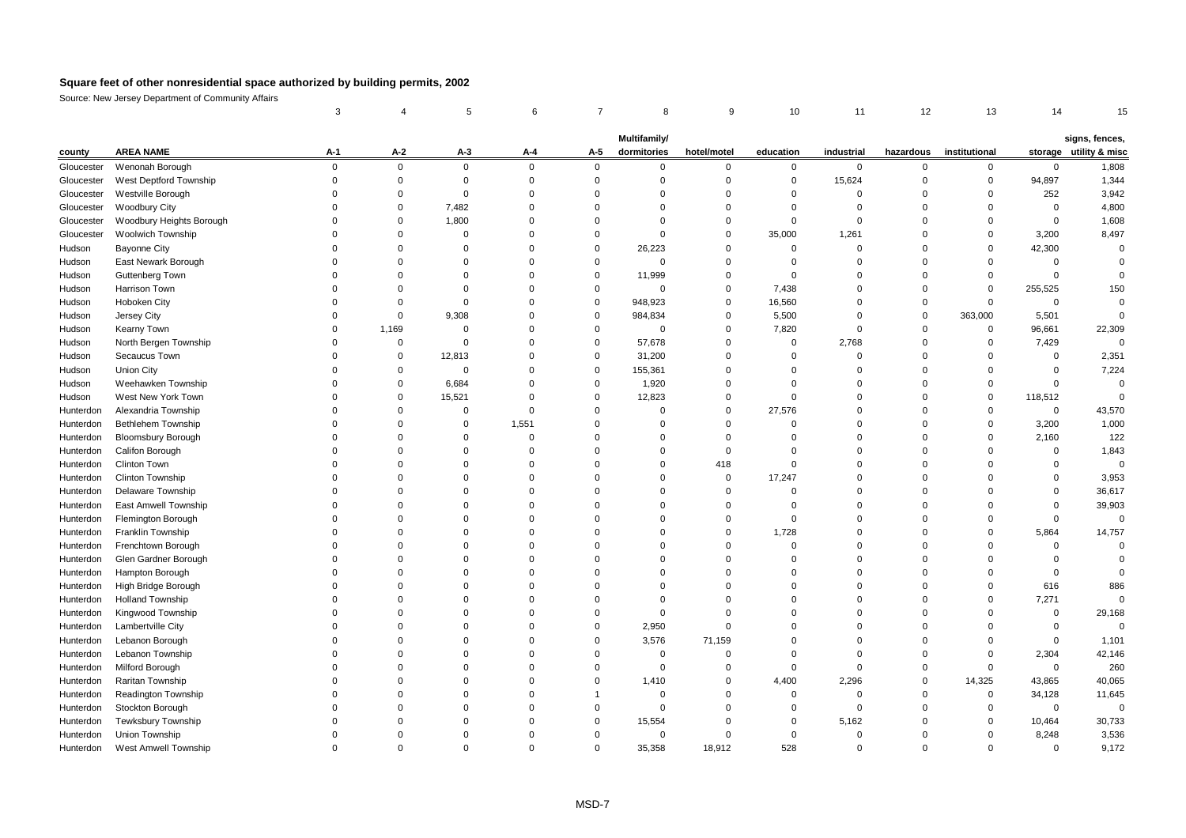|            |                            | 3           |             |             | 6           |             | 8            | 9           | 10          | 11          | 12          | 13            | 14             | 15                     |
|------------|----------------------------|-------------|-------------|-------------|-------------|-------------|--------------|-------------|-------------|-------------|-------------|---------------|----------------|------------------------|
|            |                            |             |             |             |             |             |              |             |             |             |             |               |                |                        |
|            |                            |             |             |             |             |             | Multifamily/ |             |             |             |             |               |                | signs, fences,         |
| county     | <b>AREA NAME</b>           | A-1         | $A-2$       | $A-3$       | A-4         | A-5         | dormitories  | hotel/motel | education   | industrial  | hazardous   | institutional |                | storage utility & misc |
| Gloucester | Wenonah Borough            | $\mathbf 0$ | 0           | $\mathbf 0$ | $\mathbf 0$ | $\mathbf 0$ | $\mathbf 0$  | 0           | $\mathbf 0$ | $\mathbf 0$ | 0           | $\mathbf 0$   | $\mathbf 0$    | 1,808                  |
| Gloucester | West Deptford Township     | $\Omega$    | $\mathbf 0$ | $\mathbf 0$ | $\mathbf 0$ | $\Omega$    | $\Omega$     | $\Omega$    | $\mathbf 0$ | 15,624      | $\Omega$    | $\Omega$      | 94,897         | 1,344                  |
| Gloucester | Westville Borough          | $\Omega$    | $\mathbf 0$ | $\mathbf 0$ | $\mathbf 0$ | $\Omega$    | $\Omega$     | $\Omega$    | $\Omega$    | $\Omega$    | $\Omega$    | $\Omega$      | 252            | 3,942                  |
| Gloucester | <b>Woodbury City</b>       | $\Omega$    | 0           | 7,482       | $\Omega$    | $\Omega$    | $\Omega$     | $\Omega$    | $\Omega$    | $\Omega$    | $\Omega$    | $\Omega$      | $\mathbf 0$    | 4,800                  |
| Gloucester | Woodbury Heights Borough   | $\Omega$    | $\mathbf 0$ | 1,800       | $\mathbf 0$ | $\Omega$    | $\mathbf 0$  | $\Omega$    | $\mathbf 0$ | $\Omega$    | $\Omega$    | $\Omega$      | $\mathbf 0$    | 1,608                  |
| Gloucester | <b>Woolwich Township</b>   | $\Omega$    | $\mathbf 0$ | $\mathbf 0$ | $\Omega$    | $\Omega$    | $\Omega$     | $\Omega$    | 35,000      | 1,261       | $\Omega$    | $\Omega$      | 3,200          | 8,497                  |
| Hudson     | <b>Bayonne City</b>        | $\Omega$    | $\mathbf 0$ | 0           | $\Omega$    | $\Omega$    | 26,223       | $\Omega$    | $\mathbf 0$ | 0           | $\Omega$    | $\Omega$      | 42,300         | $\Omega$               |
| Hudson     | East Newark Borough        | $\Omega$    | 0           | $\mathbf 0$ | $\Omega$    | $\mathbf 0$ | 0            | $\Omega$    | $\mathbf 0$ | $\mathbf 0$ | $\Omega$    | $\Omega$      | $\mathbf 0$    | $\overline{0}$         |
| Hudson     | Guttenberg Town            | $\Omega$    | $\mathbf 0$ | $\mathbf 0$ | $\Omega$    | $\Omega$    | 11,999       | $\Omega$    | $\mathbf 0$ | $\Omega$    | $\Omega$    | $\Omega$      | $\overline{0}$ | $\Omega$               |
| Hudson     | Harrison Town              | $\Omega$    | $\Omega$    | $\mathbf 0$ | $\Omega$    | $\Omega$    | 0            | $\Omega$    | 7,438       | $\Omega$    | $\Omega$    | $\Omega$      | 255,525        | 150                    |
| Hudson     | Hoboken City               | $\Omega$    | $\mathbf 0$ | $\mathbf 0$ | $\Omega$    | $\Omega$    | 948,923      | $\Omega$    | 16,560      | $\Omega$    | $\mathbf 0$ | $\Omega$      | $\mathbf 0$    | $\Omega$               |
| Hudson     | Jersey City                | $\Omega$    | $\mathbf 0$ | 9,308       | $\mathbf 0$ | $\Omega$    | 984,834      | $\mathbf 0$ | 5,500       | $\Omega$    | $\mathbf 0$ | 363,000       | 5,501          | $\Omega$               |
| Hudson     | Kearny Town                | $\Omega$    | 1,169       | $\mathbf 0$ | $\mathbf 0$ | $\Omega$    | 0            | $\Omega$    | 7,820       | $\Omega$    | $\Omega$    | $\Omega$      | 96,661         | 22,309                 |
| Hudson     | North Bergen Township      | $\Omega$    | 0           | $\mathbf 0$ | $\mathbf 0$ | $\Omega$    | 57,678       | $\Omega$    | $\mathbf 0$ | 2,768       | $\Omega$    | $\mathbf 0$   | 7,429          | $\Omega$               |
| Hudson     | Secaucus Town              | $\Omega$    | 0           | 12,813      | $\mathbf 0$ | $\Omega$    | 31,200       | $\Omega$    | $\Omega$    | $\Omega$    | $\Omega$    | $\Omega$      | $\mathbf 0$    | 2,351                  |
| Hudson     | <b>Union City</b>          | $\Omega$    | $\mathbf 0$ | $\mathbf 0$ | $\mathbf 0$ | $\Omega$    | 155,361      | $\Omega$    | $\Omega$    | $\Omega$    | $\Omega$    | $\Omega$      | $\mathbf 0$    | 7,224                  |
| Hudson     | Weehawken Township         | $\Omega$    | $\mathbf 0$ | 6,684       | $\Omega$    | $\Omega$    | 1,920        | $\Omega$    | $\Omega$    | $\Omega$    | $\Omega$    | $\Omega$      | $\mathbf 0$    | $\Omega$               |
| Hudson     | West New York Town         | $\Omega$    | $\mathbf 0$ | 15,521      | $\mathbf 0$ | $\Omega$    | 12,823       | $\Omega$    | $\Omega$    | $\Omega$    | $\Omega$    | $\Omega$      | 118,512        | $\overline{0}$         |
| Hunterdon  | Alexandria Township        | $\Omega$    | $\mathbf 0$ | $\mathbf 0$ | $\mathbf 0$ | $\Omega$    | $\Omega$     | $\Omega$    | 27,576      | $\Omega$    | $\Omega$    | $\Omega$      | $\mathbf 0$    | 43,570                 |
| Hunterdon  | <b>Bethlehem Township</b>  | $\Omega$    | 0           | $\mathbf 0$ | 1,551       | $\Omega$    | $\Omega$     | $\Omega$    | $\mathbf 0$ | $\Omega$    | $\Omega$    | $\Omega$      | 3,200          | 1,000                  |
| Hunterdon  | <b>Bloomsbury Borough</b>  | $\Omega$    | $\Omega$    | $\mathbf 0$ | $\Omega$    | $\Omega$    | $\Omega$     | $\Omega$    | $\Omega$    | $\Omega$    | $\Omega$    | $\Omega$      | 2,160          | 122                    |
| Hunterdon  | Califon Borough            | $\Omega$    | 0           | $\mathbf 0$ | $\Omega$    | $\Omega$    | $\Omega$     | $\Omega$    | $\Omega$    | 0           | $\Omega$    | $\Omega$      | $\mathbf 0$    | 1,843                  |
| Hunterdon  | Clinton Town               | $\Omega$    | $\mathbf 0$ | $\Omega$    | $\Omega$    | $\Omega$    | $\mathbf 0$  | 418         | $\Omega$    | $\Omega$    | $\Omega$    | $\Omega$      | $\Omega$       | $\Omega$               |
| Hunterdon  | <b>Clinton Township</b>    | $\Omega$    | $\Omega$    | $\Omega$    | $\Omega$    | $\Omega$    | $\Omega$     | $\Omega$    | 17,247      | $\Omega$    | $\Omega$    | $\Omega$      | $\mathbf 0$    | 3,953                  |
| Hunterdon  | Delaware Township          | $\Omega$    | $\Omega$    | $\Omega$    | $\Omega$    | $\Omega$    | $\Omega$     | $\Omega$    | $\Omega$    | $\Omega$    | $\Omega$    | $\Omega$      | $\mathbf 0$    | 36,617                 |
| Hunterdon  | East Amwell Township       | $\Omega$    | $\mathbf 0$ | $\Omega$    | $\Omega$    | $\Omega$    | $\Omega$     | $\Omega$    | $\Omega$    | $\Omega$    | $\Omega$    | $\Omega$      | $\mathbf 0$    | 39,903                 |
| Hunterdon  | <b>Flemington Borough</b>  | $\Omega$    | 0           | $\mathbf 0$ | $\mathbf 0$ | $\Omega$    | $\mathbf 0$  | $\Omega$    | $\mathbf 0$ | $\mathbf 0$ | $\Omega$    | $\Omega$      | $\mathbf 0$    | $\overline{0}$         |
| Hunterdon  | <b>Franklin Township</b>   | $\Omega$    | $\mathbf 0$ | $\Omega$    | $\mathbf 0$ | $\Omega$    | $\Omega$     | $\Omega$    | 1,728       | $\Omega$    | $\Omega$    | $\Omega$      | 5,864          | 14,757                 |
| Hunterdon  | Frenchtown Borough         | $\Omega$    | 0           | $\mathbf 0$ | $\Omega$    | $\mathbf 0$ | $\Omega$     | $\Omega$    | $\mathbf 0$ | $\mathbf 0$ | $\Omega$    | $\Omega$      | $\mathbf 0$    | $\overline{0}$         |
| Hunterdon  | Glen Gardner Borough       | $\Omega$    | 0           | $\Omega$    | $\Omega$    | $\Omega$    | $\Omega$     | $\Omega$    | $\Omega$    | $\Omega$    | $\Omega$    | $\Omega$      | $\Omega$       | $\Omega$               |
| Hunterdon  | Hampton Borough            | $\Omega$    | $\mathbf 0$ | $\Omega$    | $\Omega$    | $\Omega$    | $\Omega$     | $\Omega$    | $\mathbf 0$ | 0           | $\Omega$    | $\Omega$      | $\mathbf 0$    | $\overline{0}$         |
| Hunterdon  | High Bridge Borough        | $\Omega$    | $\mathbf 0$ | $\Omega$    | $\Omega$    | $\Omega$    | $\Omega$     | $\Omega$    | $\Omega$    | $\Omega$    | $\Omega$    | $\Omega$      | 616            | 886                    |
| Hunterdon  | <b>Holland Township</b>    | $\Omega$    | $\Omega$    | $\Omega$    | $\Omega$    | $\Omega$    | $\mathbf 0$  | $\Omega$    | $\Omega$    | $\Omega$    | $\Omega$    | $\Omega$      | 7,271          | $\overline{0}$         |
| Hunterdon  | Kingwood Township          | $\Omega$    | $\mathbf 0$ | $\Omega$    | $\mathbf 0$ | $\Omega$    | $\mathbf 0$  | $\Omega$    | $\Omega$    | $\Omega$    | $\Omega$    | $\Omega$      | $\mathbf 0$    | 29,168                 |
| Hunterdon  | Lambertville City          | $\Omega$    | $\mathbf 0$ | $\mathbf 0$ | $\mathbf 0$ | $\Omega$    | 2,950        | $\Omega$    | $\Omega$    | $\Omega$    | $\Omega$    | $\Omega$      | $\mathbf 0$    | $\Omega$               |
| Hunterdon  | Lebanon Borough            | $\Omega$    | $\Omega$    | $\Omega$    | $\Omega$    | $\Omega$    | 3,576        | 71,159      | $\Omega$    | $\Omega$    | $\Omega$    | $\Omega$      | $\mathbf 0$    | 1,101                  |
| Hunterdon  | Lebanon Township           | $\Omega$    | 0           | $\mathbf 0$ | $\mathbf 0$ | $\mathbf 0$ | $\mathbf 0$  | $\Omega$    | $\Omega$    | $\Omega$    | $\Omega$    | $\Omega$      | 2,304          | 42,146                 |
| Hunterdon  | Milford Borough            | $\Omega$    | $\mathbf 0$ | $\Omega$    | $\Omega$    | $\Omega$    | 0            | $\Omega$    | $\mathbf 0$ | $\Omega$    | $\Omega$    | $\Omega$      | $\mathbf 0$    | 260                    |
| Hunterdon  | Raritan Township           | $\Omega$    | $\Omega$    | $\Omega$    | $\Omega$    | $\Omega$    | 1,410        | $\Omega$    | 4,400       | 2,296       | $\mathbf 0$ | 14,325        | 43,865         | 40,065                 |
| Hunterdon  | <b>Readington Township</b> | $\Omega$    | $\Omega$    | $\Omega$    | $\Omega$    |             | $\Omega$     | $\Omega$    | $\mathbf 0$ | $\Omega$    | $\Omega$    | $\Omega$      | 34,128         | 11,645                 |
| Hunterdon  | Stockton Borough           | $\Omega$    | 0           | $\Omega$    | $\mathbf 0$ | $\Omega$    | $\mathbf 0$  | $\Omega$    | $\Omega$    | $\Omega$    | $\Omega$    | $\Omega$      | $\mathbf 0$    | $\Omega$               |
| Hunterdon  | <b>Tewksbury Township</b>  | $\Omega$    | $\Omega$    | $\Omega$    | $\Omega$    | $\Omega$    | 15,554       | $\Omega$    | $\Omega$    | 5,162       | $\Omega$    | $\Omega$      | 10,464         | 30,733                 |
| Hunterdon  | Union Township             | $\Omega$    | $\Omega$    | $\Omega$    | $\Omega$    | $\Omega$    | $\Omega$     | $\Omega$    | $\Omega$    | $\Omega$    | $\Omega$    | $\Omega$      | 8,248          | 3,536                  |
| Hunterdon  | West Amwell Township       | $\Omega$    | $\Omega$    | $\Omega$    | $\Omega$    | $\Omega$    | 35,358       | 18.912      | 528         | $\Omega$    | $\Omega$    | $\Omega$      | $\Omega$       | 9,172                  |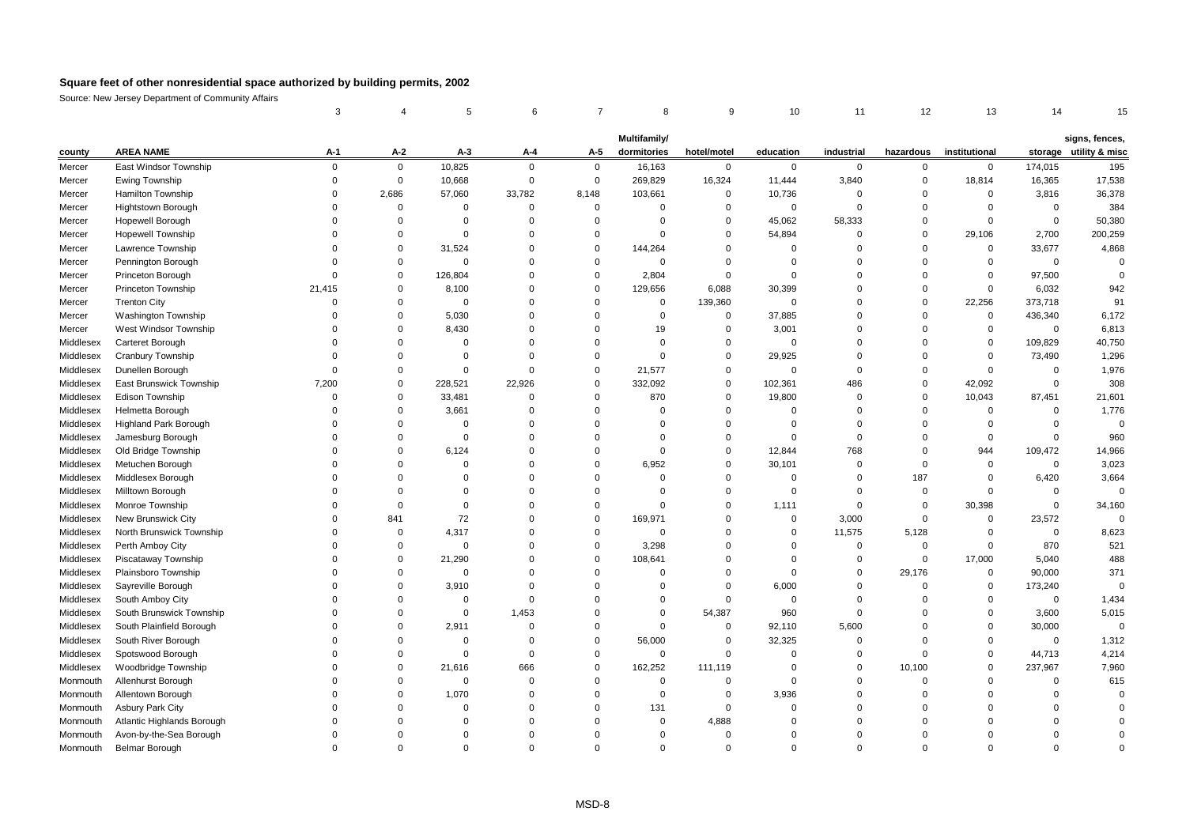|           |                              | 3           |             |             | 6           |                | 8                           | 9           | 10             | 11          | 12          | 13            | 14             |                                          |
|-----------|------------------------------|-------------|-------------|-------------|-------------|----------------|-----------------------------|-------------|----------------|-------------|-------------|---------------|----------------|------------------------------------------|
|           |                              |             |             |             |             |                |                             |             |                |             |             |               |                |                                          |
| county    | <b>AREA NAME</b>             | A-1         | $A-2$       | $A-3$       | A-4         | A-5            | Multifamily/<br>dormitories | hotel/motel | education      | industrial  | hazardous   | institutional |                | signs, fences,<br>storage utility & misc |
| Mercer    | East Windsor Township        | $\mathbf 0$ | $\mathbf 0$ | 10,825      | $\mathbf 0$ | $\mathbf 0$    | 16,163                      | $\mathbf 0$ | $\mathbf 0$    | 0           | 0           | $\mathbf 0$   | 174,015        | 195                                      |
| Mercer    | Ewing Township               | 0           | $\mathbf 0$ | 10,668      | $\mathbf 0$ | $\overline{0}$ | 269,829                     | 16,324      | 11,444         | 3,840       | $\mathbf 0$ | 18,814        | 16,365         | 17,538                                   |
| Mercer    | Hamilton Township            | $\Omega$    | 2,686       | 57,060      | 33,782      | 8,148          | 103,661                     | $\Omega$    | 10,736         | $\Omega$    | $\Omega$    | $\Omega$      | 3,816          | 36,378                                   |
| Mercer    | <b>Hightstown Borough</b>    | $\Omega$    | $\Omega$    | $\Omega$    | $\Omega$    | $\mathbf 0$    | 0                           | $\Omega$    | $\mathbf 0$    | $\Omega$    | $\Omega$    | $\Omega$      | $\mathbf 0$    | 384                                      |
| Mercer    | Hopewell Borough             | 0           | $\mathbf 0$ | $\mathbf 0$ | $\mathbf 0$ | $\mathbf 0$    | $\mathbf 0$                 | $\mathbf 0$ | 45,062         | 58,333      | 0           | $\Omega$      | $\mathbf 0$    | 50,380                                   |
| Mercer    | <b>Hopewell Township</b>     | $\Omega$    | $\mathbf 0$ | $\mathbf 0$ | $\Omega$    | $\Omega$       | $\Omega$                    | $\Omega$    | 54,894         | $\Omega$    | $\Omega$    | 29,106        | 2,700          | 200,259                                  |
| Mercer    | Lawrence Township            | $\Omega$    | $\mathbf 0$ | 31,524      | $\mathbf 0$ | $\Omega$       | 144,264                     | $\Omega$    | $\mathbf 0$    | $\Omega$    | $\Omega$    | $\mathbf 0$   | 33,677         | 4,868                                    |
| Mercer    | Pennington Borough           | $\Omega$    | 0           | $\mathbf 0$ | $\Omega$    | $\Omega$       | $\mathbf 0$                 | $\Omega$    | $\Omega$       | $\Omega$    | $\Omega$    | $\Omega$      | $\overline{0}$ | $\overline{0}$                           |
| Mercer    | Princeton Borough            | 0           | 0           | 126,804     | $\Omega$    | $\mathbf 0$    | 2,804                       | $\Omega$    | $\mathbf 0$    | 0           | 0           | $\mathbf 0$   | 97,500         | $\Omega$                                 |
| Mercer    | Princeton Township           | 21,415      | $\mathbf 0$ | 8,100       | $\Omega$    | $\Omega$       | 129,656                     | 6,088       | 30,399         | $\Omega$    | $\Omega$    | $\Omega$      | 6,032          | 942                                      |
| Mercer    | <b>Trenton City</b>          | $\Omega$    | $\mathbf 0$ | $\Omega$    | $\Omega$    | $\Omega$       | 0                           | 139,360     | $\Omega$       | $\Omega$    | $\mathbf 0$ | 22,256        | 373,718        | 91                                       |
| Mercer    | Washington Township          | $\Omega$    | $\Omega$    | 5,030       | $\Omega$    | $\Omega$       | $\mathbf 0$                 | $\mathbf 0$ | 37,885         | $\Omega$    | $\Omega$    | $\Omega$      | 436,340        | 6,172                                    |
| Mercer    | West Windsor Township        | $\Omega$    | $\mathbf 0$ | 8,430       | $\Omega$    | $\Omega$       | 19                          | $\Omega$    | 3,001          | $\Omega$    | $\Omega$    | $\Omega$      | $\mathbf 0$    | 6,813                                    |
| Middlesex | Carteret Borough             | $\Omega$    | 0           | $\mathbf 0$ | $\Omega$    | $\Omega$       | 0                           | $\Omega$    | $\mathbf 0$    | $\Omega$    | $\Omega$    | $\mathbf 0$   | 109,829        | 40,750                                   |
| Middlesex | Cranbury Township            | $\Omega$    | $\mathbf 0$ | $\Omega$    | $\Omega$    | $\Omega$       | $\Omega$                    | $\mathbf 0$ | 29,925         | $\Omega$    | $\Omega$    | $\Omega$      | 73,490         | 1,296                                    |
| Middlesex | Dunellen Borough             | $\Omega$    | 0           | 0           | $\mathbf 0$ | $\Omega$       | 21,577                      | $\Omega$    | $\mathbf 0$    | $\Omega$    | $\Omega$    | $\Omega$      | $\overline{0}$ | 1,976                                    |
| Middlesex | East Brunswick Township      | 7,200       | 0           | 228,521     | 22,926      | $\mathbf 0$    | 332,092                     | 0           | 102,361        | 486         | $\mathbf 0$ | 42,092        | $\mathbf 0$    | 308                                      |
| Middlesex | <b>Edison Township</b>       | $\mathbf 0$ | $\mathbf 0$ | 33,481      | $\mathbf 0$ | $\Omega$       | 870                         | $\Omega$    | 19,800         | $\Omega$    | $\Omega$    | 10,043        | 87,451         | 21,601                                   |
| Middlesex | Helmetta Borough             | $\Omega$    | $\Omega$    | 3,661       | $\Omega$    | $\Omega$       | $\Omega$                    | $\Omega$    | $\overline{0}$ | $\Omega$    | $\Omega$    | $\mathbf 0$   | $\overline{0}$ | 1,776                                    |
| Middlesex | <b>Highland Park Borough</b> | $\Omega$    | $\Omega$    | $\mathbf 0$ | $\Omega$    | $\Omega$       | $\Omega$                    | $\Omega$    | $\Omega$       | $\Omega$    | $\Omega$    | $\Omega$      | $\Omega$       | $\overline{0}$                           |
| Middlesex | Jamesburg Borough            | $\Omega$    | 0           | $\mathbf 0$ | $\Omega$    | $\Omega$       | $\mathbf 0$                 | $\Omega$    | $\mathbf 0$    | $\Omega$    | 0           | $\mathbf 0$   | $\mathbf 0$    | 960                                      |
| Middlesex | Old Bridge Township          | $\Omega$    | $\mathbf 0$ | 6,124       | $\Omega$    | $\Omega$       | $\mathbf 0$                 | $\mathbf 0$ | 12,844         | 768         | $\mathbf 0$ | 944           | 109,472        | 14,966                                   |
| Middlesex | Metuchen Borough             | $\Omega$    | $\mathbf 0$ | 0           | $\Omega$    | $\Omega$       | 6,952                       | $\Omega$    | 30,101         | $\Omega$    | $\mathbf 0$ | $\Omega$      | $\mathbf 0$    | 3,023                                    |
| Middlesex | Middlesex Borough            | $\Omega$    | 0           | $\mathbf 0$ | $\Omega$    | $\mathbf 0$    | $\mathbf 0$                 | $\Omega$    | $\mathbf 0$    | 0           | 187         | $\Omega$      | 6,420          | 3,664                                    |
| Middlesex | Milltown Borough             | $\Omega$    | 0           | $\mathbf 0$ | $\Omega$    | $\Omega$       | $\mathbf 0$                 | $\Omega$    | $\mathbf 0$    | $\Omega$    | 0           | $\Omega$      | $\Omega$       | $\Omega$                                 |
| Middlesex | Monroe Township              | $\Omega$    | $\mathbf 0$ | $\mathbf 0$ | $\Omega$    | $\Omega$       | $\mathbf 0$                 | $\Omega$    | 1,111          | $\Omega$    | $\mathbf 0$ | 30,398        | $\mathbf 0$    | 34,160                                   |
| Middlesex | New Brunswick City           | $\Omega$    | 841         | 72          | $\Omega$    | $\Omega$       | 169,971                     | $\Omega$    | $\mathbf 0$    | 3,000       | $\mathbf 0$ | $\Omega$      | 23,572         | $\Omega$                                 |
| Middlesex | North Brunswick Township     | $\Omega$    | $\Omega$    | 4,317       | $\Omega$    | $\Omega$       | 0                           | $\Omega$    | $\Omega$       | 11,575      | 5,128       | $\mathbf 0$   | $\mathbf 0$    | 8,623                                    |
| Middlesex | Perth Amboy City             | $\Omega$    | $\mathbf 0$ | $\mathbf 0$ | $\mathbf 0$ | $\Omega$       | 3,298                       | $\Omega$    | $\Omega$       | $\mathbf 0$ | $\mathbf 0$ | $\mathbf 0$   | 870            | 521                                      |
| Middlesex | Piscataway Township          | $\Omega$    | $\mathbf 0$ | 21,290      | $\mathbf 0$ | $\Omega$       | 108,641                     | $\Omega$    | $\Omega$       | $\Omega$    | $\mathbf 0$ | 17,000        | 5,040          | 488                                      |
| Middlesex | Plainsboro Township          | $\Omega$    | 0           | $\mathbf 0$ | $\Omega$    | $\Omega$       | $\mathbf 0$                 | $\Omega$    | $\mathbf 0$    | $\mathbf 0$ | 29,176      | $\mathbf 0$   | 90,000         | 371                                      |
| Middlesex | Sayreville Borough           | $\Omega$    | 0           | 3,910       | $\Omega$    | $\Omega$       | $\Omega$                    | $\Omega$    | 6,000          | 0           | 0           | $\mathbf 0$   | 173,240        | $\Omega$                                 |
| Middlesex | South Amboy City             | $\Omega$    | 0           | $\mathbf 0$ | $\Omega$    | $\Omega$       | $\mathbf 0$                 | $\mathbf 0$ | $\mathbf 0$    | 0           | 0           | $\Omega$      | $\mathbf 0$    | 1,434                                    |
| Middlesex | South Brunswick Township     | $\Omega$    | $\mathbf 0$ | $\Omega$    | 1,453       | $\Omega$       | $\mathbf 0$                 | 54,387      | 960            | $\Omega$    | $\Omega$    | $\Omega$      | 3,600          | 5,015                                    |
| Middlesex | South Plainfield Borough     | $\Omega$    | $\Omega$    | 2,911       | $\Omega$    | $\Omega$       | $\Omega$                    | $\mathbf 0$ | 92,110         | 5,600       | $\Omega$    | $\Omega$      | 30,000         | $\overline{0}$                           |
| Middlesex | South River Borough          | $\Omega$    | $\mathbf 0$ | $\mathbf 0$ | $\Omega$    | $\mathbf 0$    | 56,000                      | $\Omega$    | 32,325         | $\mathbf 0$ | $\Omega$    | $\Omega$      | $\Omega$       | 1,312                                    |
| Middlesex | Spotswood Borough            | $\Omega$    | $\mathbf 0$ | $\mathbf 0$ | $\mathbf 0$ | $\Omega$       | 0                           | $\Omega$    | $\mathbf 0$    | $\Omega$    | $\mathbf 0$ | $\Omega$      | 44,713         | 4,214                                    |
| Middlesex | Woodbridge Township          | $\Omega$    | $\mathbf 0$ | 21,616      | 666         | $\Omega$       | 162,252                     | 111,119     | $\mathbf 0$    | $\Omega$    | 10,100      | $\Omega$      | 237,967        | 7,960                                    |
| Monmouth  | Allenhurst Borough           | $\Omega$    | $\Omega$    | $\mathbf 0$ | $\Omega$    | $\Omega$       | $\mathbf 0$                 | $\Omega$    | $\Omega$       | $\Omega$    | $\mathbf 0$ | $\Omega$      | $\overline{0}$ | 615                                      |
| Monmouth  | Allentown Borough            | $\Omega$    | 0           | 1,070       | $\Omega$    | $\mathbf 0$    | $\mathbf 0$                 | $\Omega$    | 3,936          | 0           | $\Omega$    | $\Omega$      | $\Omega$       | $\Omega$                                 |
| Monmouth  | Asbury Park City             | $\Omega$    | 0           | $\mathbf 0$ | $\Omega$    | $\mathbf 0$    | 131                         | $\mathbf 0$ | $\overline{0}$ | $\mathbf 0$ | $\mathbf 0$ | $\Omega$      | $\overline{0}$ |                                          |
| Monmouth  | Atlantic Highlands Borough   | $\Omega$    | $\mathbf 0$ | $\Omega$    | $\Omega$    | $\Omega$       | 0                           | 4,888       | $\Omega$       | $\Omega$    | $\Omega$    | $\Omega$      | $\mathbf 0$    |                                          |
| Monmouth  | Avon-by-the-Sea Borough      | $\Omega$    | $\Omega$    | $\Omega$    | $\Omega$    | $\Omega$       | $\Omega$                    | $\Omega$    | 0              | $\Omega$    | $\Omega$    | $\Omega$      | $\Omega$       |                                          |
| Monmouth  | <b>Belmar Borough</b>        | $\Omega$    | $\Omega$    | $\Omega$    | $\Omega$    | $\Omega$       | $\Omega$                    | $\Omega$    | $\Omega$       | $\Omega$    | $\Omega$    | $\Omega$      | $\Omega$       | $\Omega$                                 |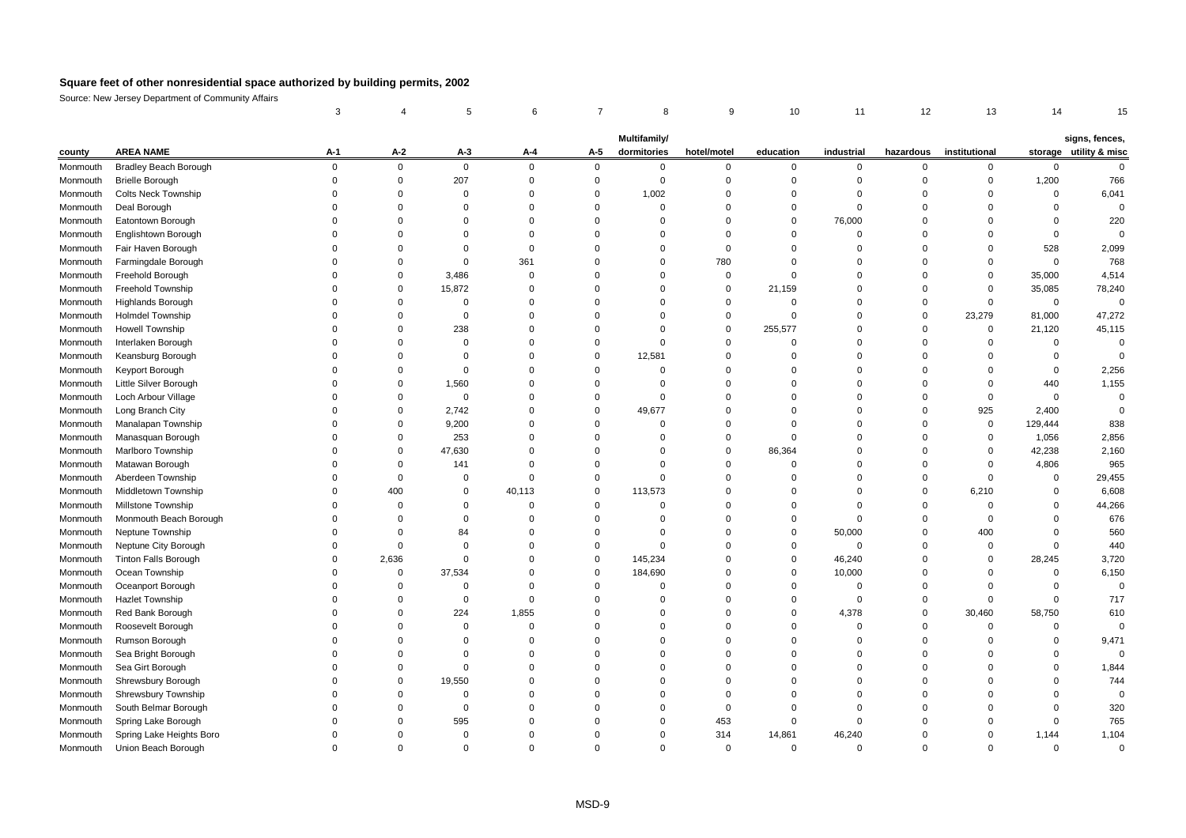|          |                                                        | 3                          |                            | 5                          | 6                       |                            | 8                          | 9                       | 10                         | 11                      | 12                   | 13                         | 14                    | 15                      |
|----------|--------------------------------------------------------|----------------------------|----------------------------|----------------------------|-------------------------|----------------------------|----------------------------|-------------------------|----------------------------|-------------------------|----------------------|----------------------------|-----------------------|-------------------------|
|          |                                                        |                            |                            |                            |                         |                            |                            |                         |                            |                         |                      |                            |                       |                         |
|          | <b>AREA NAME</b>                                       |                            | $A-2$                      | $A-3$                      |                         |                            | Multifamily/               | hotel/motel             | education                  | industrial              | hazardous            | institutional              |                       | signs, fences,          |
| county   |                                                        | A-1                        |                            |                            | A-4                     | A-5                        | dormitories                |                         |                            |                         |                      |                            |                       | storage utility & misc  |
| Monmouth | <b>Bradley Beach Borough</b><br><b>Brielle Borough</b> | $\mathbf 0$<br>$\mathbf 0$ | $\mathbf 0$<br>$\mathbf 0$ | $\mathbf 0$<br>207         | $\mathbf 0$<br>$\Omega$ | $\mathbf 0$<br>$\mathbf 0$ | $\mathbf 0$<br>$\mathbf 0$ | $\mathbf 0$<br>$\Omega$ | $\mathbf 0$<br>$\mathbf 0$ | $\mathbf 0$<br>$\Omega$ | 0<br>$\Omega$        | $\mathbf 0$<br>$\mathbf 0$ | $\mathbf 0$<br>1,200  | $\mathsf 0$<br>766      |
| Monmouth |                                                        | $\Omega$                   | $\Omega$                   | $\mathbf 0$                | $\Omega$                | $\Omega$                   |                            | $\Omega$                | $\Omega$                   | $\Omega$                | $\Omega$             | $\Omega$                   | $\mathbf 0$           |                         |
| Monmouth | Colts Neck Township                                    | O                          | $\Omega$                   | $\mathbf 0$                | $\Omega$                | $\Omega$                   | 1,002<br>0                 | $\Omega$                | $\mathbf 0$                | $\Omega$                | $\Omega$             | $\Omega$                   | $\Omega$              | 6,041<br>$\overline{0}$ |
| Monmouth | Deal Borough                                           | 0                          | $\Omega$                   | $\Omega$                   | $\Omega$                | $\Omega$                   | $\Omega$                   | $\Omega$                | $\Omega$                   | 76,000                  | $\Omega$             | $\Omega$                   | $\Omega$              | 220                     |
| Monmouth | Eatontown Borough                                      | 0                          | $\Omega$                   |                            | $\Omega$                | $\Omega$                   |                            | $\Omega$                | $\Omega$                   | $\Omega$                |                      | $\Omega$                   | $\overline{0}$        | $\overline{0}$          |
| Monmouth | Englishtown Borough                                    | $\Omega$                   | $\Omega$                   | $\mathbf 0$<br>$\mathbf 0$ | $\Omega$                | $\Omega$                   | $\Omega$<br>$\Omega$       | $\Omega$                | $\Omega$                   | $\Omega$                | $\Omega$<br>$\Omega$ | $\Omega$                   |                       |                         |
| Monmouth | Fair Haven Borough                                     | $\Omega$                   | $\Omega$                   |                            |                         | $\Omega$                   | $\Omega$                   |                         | $\Omega$                   | $\Omega$                | $\Omega$             |                            | 528                   | 2,099                   |
| Monmouth | Farmingdale Borough                                    | $\Omega$                   | $\mathbf 0$                | $\mathbf 0$<br>3,486       | 361<br>$\Omega$         | $\mathbf 0$                | $\mathbf 0$                | 780<br>$\mathbf 0$      | $\mathbf 0$                | $\Omega$                | $\mathbf 0$          | $\mathbf 0$<br>$\mathbf 0$ | $\mathbf 0$<br>35,000 | 768<br>4,514            |
| Monmouth | Freehold Borough                                       | $\Omega$                   | $\Omega$                   |                            | $\Omega$                | $\Omega$                   | $\Omega$                   | $\mathbf 0$             |                            | $\Omega$                | $\Omega$             | $\mathbf 0$                |                       |                         |
| Monmouth | Freehold Township                                      |                            |                            | 15,872                     |                         |                            |                            |                         | 21,159                     |                         |                      |                            | 35,085                | 78,240                  |
| Monmouth | Highlands Borough                                      | $\Omega$<br>$\Omega$       | $\Omega$<br>$\Omega$       | $\mathbf 0$                | $\Omega$<br>$\Omega$    | $\mathbf 0$<br>$\Omega$    | $\Omega$<br>$\Omega$       | $\Omega$                | $\Omega$<br>$\Omega$       | $\Omega$<br>$\Omega$    | $\Omega$             | $\mathbf 0$                | $\overline{0}$        | $\overline{0}$          |
| Monmouth | <b>Holmdel Township</b>                                |                            |                            | $\mathbf 0$                |                         |                            |                            | $\mathbf 0$             |                            |                         | 0                    | 23,279                     | 81,000                | 47,272                  |
| Monmouth | <b>Howell Township</b>                                 | 0                          | $\Omega$                   | 238                        | $\Omega$<br>$\Omega$    | $\Omega$                   | $\Omega$                   | $\mathbf 0$             | 255,577                    | $\mathbf 0$             | 0                    | $\mathbf 0$                | 21,120                | 45,115                  |
| Monmouth | Interlaken Borough                                     | $\Omega$                   | $\Omega$                   | $\mathbf 0$                |                         | $\Omega$                   | $\Omega$                   | $\Omega$                | $\Omega$                   | $\Omega$                | $\mathbf 0$          | $\mathbf 0$                | $\Omega$              | $\Omega$                |
| Monmouth | Keansburg Borough                                      | 0                          | $\Omega$                   | 0                          | $\Omega$                | $\Omega$                   | 12,581                     | $\Omega$                | $\Omega$                   | $\Omega$                | $\Omega$             | 0                          | $\Omega$              | $\overline{0}$          |
| Monmouth | Keyport Borough                                        | $\Omega$                   | $\mathbf 0$                | $\mathbf 0$                | $\Omega$                | $\overline{0}$             | $\mathbf 0$                | $\Omega$                | $\Omega$                   | $\mathbf 0$             | $\Omega$             | $\mathbf 0$                | $\overline{0}$        | 2,256                   |
| Monmouth | Little Silver Borough                                  | 0                          | $\Omega$                   | 1,560                      | $\Omega$                | $\Omega$                   | $\Omega$                   | $\Omega$                | $\Omega$                   | $\Omega$                | $\Omega$             | $\mathbf 0$                | 440                   | 1,155                   |
| Monmouth | Loch Arbour Village                                    | 0                          | $\Omega$                   | $\mathbf 0$                | $\Omega$                | $\Omega$                   | $\Omega$                   | $\Omega$                | $\Omega$                   | $\Omega$                | $\Omega$             | $\mathbf 0$                | $\Omega$              | $\pmb{0}$               |
| Monmouth | Long Branch City                                       | $\Omega$                   | $\Omega$                   | 2,742                      | $\Omega$                | $\Omega$                   | 49,677                     | $\Omega$                | $\Omega$                   | $\Omega$                | $\Omega$             | 925                        | 2,400                 | $\mathbf 0$             |
| Monmouth | Manalapan Township                                     | 0                          | $\Omega$                   | 9,200                      | $\Omega$                | $\Omega$                   | $\Omega$                   | $\Omega$                | $\Omega$                   | $\Omega$                | $\Omega$             | $\mathbf 0$                | 129,444               | 838                     |
| Monmouth | Manasquan Borough                                      | $\Omega$                   | $\Omega$                   | 253                        | $\Omega$                | $\Omega$                   | $\Omega$                   | $\Omega$                | $\Omega$                   | $\Omega$                | $\Omega$             | $\mathbf 0$                | 1,056                 | 2,856                   |
| Monmouth | Marlboro Township                                      | 0                          | $\Omega$                   | 47,630                     | $\Omega$                | $\Omega$                   | $\Omega$                   | $\Omega$                | 86,364                     | $\Omega$                | 0                    | $\mathbf 0$                | 42,238                | 2,160                   |
| Monmouth | Matawan Borough                                        | $\Omega$                   | $\mathbf 0$                | 141                        | $\Omega$                | $\Omega$                   | $\Omega$                   | $\Omega$                | $\Omega$                   | $\Omega$                | 0                    | $\mathbf 0$                | 4,806                 | 965                     |
| Monmouth | Aberdeen Township                                      | 0                          | $\Omega$                   | $\mathbf 0$                | $\Omega$                | $\Omega$                   | $\Omega$                   | $\Omega$                | $\Omega$                   | $\Omega$                | $\mathbf 0$          | $\mathbf 0$                | $\Omega$              | 29,455                  |
| Monmouth | Middletown Township                                    | $\Omega$                   | 400                        | $\mathbf 0$                | 40,113                  | $\mathbf 0$                | 113,573                    | $\Omega$                | $\Omega$                   | $\Omega$                | 0                    | 6,210                      | $\overline{0}$        | 6,608                   |
| Monmouth | Millstone Township                                     | O                          | $\Omega$                   | $\mathbf 0$                | $\Omega$                | $\Omega$                   | $\Omega$                   | $\Omega$                | $\Omega$                   | $\Omega$                | $\Omega$             | $\Omega$                   | $\mathbf 0$           | 44,266                  |
| Monmouth | Monmouth Beach Borough                                 | $\Omega$                   | $\Omega$                   | $\mathbf 0$                | $\Omega$                | $\Omega$                   | $\Omega$                   | $\Omega$                | $\Omega$                   | $\Omega$                | $\Omega$             | $\Omega$                   | $\mathbf 0$           | 676                     |
| Monmouth | Neptune Township                                       | O                          | $\Omega$                   | 84                         | $\Omega$                | $\Omega$                   | $\Omega$                   | $\Omega$                | $\Omega$                   | 50,000                  | 0                    | 400                        | $\Omega$              | 560                     |
| Monmouth | Neptune City Borough                                   | 0                          | $\Omega$                   | $\mathbf 0$                | $\Omega$                | $\Omega$                   | $\Omega$                   | $\Omega$                | $\Omega$                   | $\Omega$                | 0                    | 0                          | $\Omega$              | 440                     |
| Monmouth | <b>Tinton Falls Borough</b>                            | $\Omega$                   | 2,636                      | $\mathbf 0$                | $\Omega$                | $\Omega$                   | 145,234                    | $\Omega$                | $\Omega$                   | 46,240                  | $\Omega$             | $\Omega$                   | 28,245                | 3,720                   |
| Monmouth | Ocean Township                                         | 0                          | $\Omega$                   | 37,534                     | $\Omega$                | $\Omega$                   | 184,690                    | $\Omega$                | $\Omega$                   | 10,000                  | $\Omega$             | $\mathbf 0$                | $\mathbf 0$           | 6,150                   |
| Monmouth | Oceanport Borough                                      | 0                          | $\mathbf 0$                | $\mathbf 0$                | $\Omega$                | $\overline{0}$             | $\mathbf 0$                | $\Omega$                | $\mathbf 0$                | $\mathbf 0$             | $\mathbf 0$          | $\mathbf 0$                | $\overline{0}$        | $\overline{0}$          |
| Monmouth | <b>Hazlet Township</b>                                 | $\Omega$                   | $\Omega$                   | $\mathbf 0$                | $\Omega$                | $\Omega$                   | $\Omega$                   | $\Omega$                | $\Omega$                   | $\Omega$                | $\Omega$             | $\mathbf 0$                | $\Omega$              | 717                     |
| Monmouth | Red Bank Borough                                       | $\Omega$                   | $\Omega$                   | 224                        | 1,855                   | $\Omega$                   | $\Omega$                   | $\Omega$                | $\Omega$                   | 4,378                   | $\mathbf 0$          | 30,460                     | 58,750                | 610                     |
| Monmouth | Roosevelt Borough                                      | $\Omega$                   | $\Omega$                   | $\mathbf 0$                | $\Omega$                | $\Omega$                   | $\Omega$                   | $\Omega$                | $\Omega$                   | $\Omega$                | $\Omega$             | $\mathbf 0$                | $\Omega$              | $\Omega$                |
| Monmouth | Rumson Borough                                         | 0                          | $\Omega$                   | $\mathbf 0$                | $\Omega$                | $\Omega$                   | $\Omega$                   | $\Omega$                | $\Omega$                   | $\Omega$                | 0                    | $\Omega$                   | $\mathbf 0$           | 9,471                   |
| Monmouth | Sea Bright Borough                                     | $\Omega$                   | $\Omega$                   | $\mathbf 0$                | $\Omega$                | $\Omega$                   | $\Omega$                   | $\Omega$                | $\Omega$                   | $\Omega$                | 0                    | $\Omega$                   | $\Omega$              | $\Omega$                |
| Monmouth | Sea Girt Borough                                       | $\Omega$                   | $\Omega$                   | $\mathbf 0$                | $\Omega$                | $\Omega$                   | $\Omega$                   | $\Omega$                | $\Omega$                   | $\Omega$                | $\Omega$             | $\Omega$                   | $\mathbf 0$           | 1,844                   |
| Monmouth | Shrewsbury Borough                                     | $\Omega$                   | $\mathbf 0$                | 19,550                     | $\Omega$                | $\mathbf 0$                | $\Omega$                   | $\Omega$                | $\Omega$                   | $\mathbf 0$             | $\Omega$             | $\mathbf 0$                | $\Omega$              | 744                     |
| Monmouth | Shrewsbury Township                                    | 0                          | $\Omega$                   | $\mathbf 0$                | $\Omega$                | $\Omega$                   | $\Omega$                   | $\Omega$                | $\Omega$                   | $\Omega$                | $\Omega$             | $\Omega$                   | $\Omega$              | $\mathbf 0$             |
| Monmouth | South Belmar Borough                                   | O                          | $\Omega$                   | $\mathbf 0$                | $\Omega$                | $\Omega$                   | $\Omega$                   | $\Omega$                | $\Omega$                   | $\Omega$                | O                    | $\Omega$                   | $\Omega$              | 320                     |
| Monmouth | Spring Lake Borough                                    | U                          | $\Omega$                   | 595                        | $\Omega$                | $\Omega$                   | $\Omega$                   | 453                     | $\Omega$                   | $\Omega$                | n                    | $\Omega$                   | $\Omega$              | 765                     |
| Monmouth | Spring Lake Heights Boro                               | O                          | $\Omega$                   | $\mathbf 0$                | $\Omega$                | $\Omega$                   | $\Omega$                   | 314                     | 14,861                     | 46,240                  | $\Omega$             | $\Omega$                   | 1,144                 | 1,104                   |
| Monmouth | Union Beach Borough                                    | $\Omega$                   | $\Omega$                   | $\Omega$                   | $\Omega$                | $\Omega$                   | $\Omega$                   | $\Omega$                | $\Omega$                   | $\Omega$                | $\Omega$             | $\Omega$                   | $\Omega$              | $\Omega$                |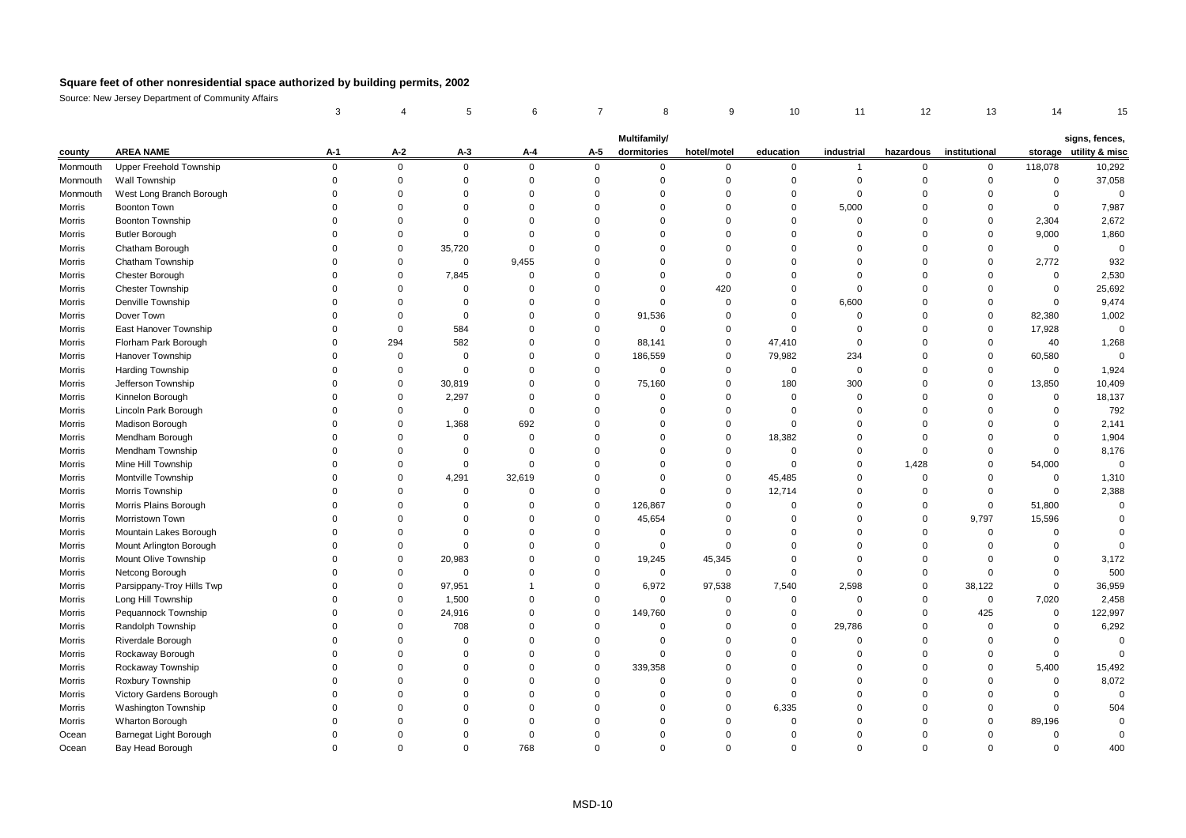|          |                            | 3           |             |             | 6              |             | 8                           | 9           | 10          | 11           | 12          | 13            | 14             |                                          |
|----------|----------------------------|-------------|-------------|-------------|----------------|-------------|-----------------------------|-------------|-------------|--------------|-------------|---------------|----------------|------------------------------------------|
|          |                            |             |             |             |                |             |                             |             |             |              |             |               |                |                                          |
| county   | <b>AREA NAME</b>           | A-1         | $A-2$       | $A-3$       | A-4            | A-5         | Multifamily/<br>dormitories | hotel/motel | education   | industrial   | hazardous   | institutional |                | signs, fences,<br>storage utility & misc |
| Monmouth | Upper Freehold Township    | $\mathbf 0$ | $\mathbf 0$ | $\mathsf 0$ | $\mathbf 0$    | $\mathbf 0$ | $\mathbf 0$                 | $\mathbf 0$ | $\mathbf 0$ | $\mathbf{1}$ | $\mathbf 0$ | $\mathbf 0$   | 118,078        | 10,292                                   |
| Monmouth | Wall Township              | $\mathbf 0$ | 0           | $\mathbf 0$ | $\mathbf 0$    | $\Omega$    | $\Omega$                    | $\Omega$    | $\mathbf 0$ | $\Omega$     | $\Omega$    | $\Omega$      | $\mathbf 0$    | 37,058                                   |
| Monmouth | West Long Branch Borough   | $\Omega$    | $\mathbf 0$ | $\mathbf 0$ | $\Omega$       | $\Omega$    | $\Omega$                    | $\Omega$    | $\mathbf 0$ | $\Omega$     | $\Omega$    | $\Omega$      | $\mathbf 0$    | $\overline{0}$                           |
| Morris   | Boonton Town               | $\Omega$    | $\Omega$    | $\Omega$    | $\Omega$       | $\Omega$    | $\Omega$                    | $\Omega$    | $\Omega$    | 5,000        | $\Omega$    | $\Omega$      | $\mathbf 0$    | 7,987                                    |
| Morris   | Boonton Township           | 0           | $\mathbf 0$ | $\mathbf 0$ | $\mathbf 0$    | $\Omega$    | $\mathbf 0$                 | $\Omega$    | $\mathbf 0$ | $\Omega$     | $\Omega$    | $\Omega$      | 2,304          | 2,672                                    |
| Morris   | <b>Butler Borough</b>      | $\Omega$    | $\mathbf 0$ | $\Omega$    | $\mathbf 0$    | $\Omega$    | $\Omega$                    | $\Omega$    | $\Omega$    | $\Omega$     | $\Omega$    | $\Omega$      | 9,000          | 1,860                                    |
| Morris   | Chatham Borough            | $\Omega$    | $\mathbf 0$ | 35,720      | $\mathsf 0$    | $\Omega$    | $\Omega$                    | $\Omega$    | $\Omega$    | $\mathbf 0$  | $\Omega$    | $\Omega$      | $\mathbf 0$    | $\overline{0}$                           |
| Morris   | Chatham Township           | $\Omega$    | 0           | $\mathbf 0$ | 9,455          | $\Omega$    | $\Omega$                    | $\Omega$    | $\Omega$    | $\mathbf 0$  | $\Omega$    | $\Omega$      | 2,772          | 932                                      |
| Morris   | Chester Borough            | $\Omega$    | $\mathbf 0$ | 7,845       | $\mathbf 0$    | $\mathbf 0$ | $\mathbf 0$                 | $\Omega$    | $\Omega$    | $\mathbf 0$  | $\Omega$    | $\Omega$      | $\mathbf 0$    | 2,530                                    |
| Morris   | Chester Township           | $\Omega$    | $\mathbf 0$ | $\mathbf 0$ | $\Omega$       | $\Omega$    | $\Omega$                    | 420         | $\Omega$    | $\Omega$     | $\Omega$    | $\Omega$      | $\mathbf 0$    | 25,692                                   |
| Morris   | Denville Township          | $\Omega$    | 0           | $\mathbf 0$ | $\mathbf 0$    | $\Omega$    | 0                           | $\Omega$    | $\Omega$    | 6,600        | $\Omega$    | $\Omega$      | $\mathbf 0$    | 9,474                                    |
| Morris   | Dover Town                 | $\Omega$    | $\mathbf 0$ | $\mathbf 0$ | $\mathbf 0$    | $\Omega$    | 91,536                      | $\Omega$    | $\Omega$    | $\Omega$     | $\Omega$    | $\mathbf 0$   | 82,380         | 1,002                                    |
| Morris   | East Hanover Township      | $\Omega$    | $\mathbf 0$ | 584         | $\mathbf 0$    | $\Omega$    | $\mathbf 0$                 | $\Omega$    | $\mathbf 0$ | $\Omega$     | $\Omega$    | $\Omega$      | 17,928         | $\Omega$                                 |
| Morris   | Florham Park Borough       | $\Omega$    | 294         | 582         | $\mathbf 0$    | $\Omega$    | 88,141                      | $\mathbf 0$ | 47,410      | $\mathbf 0$  | $\Omega$    | $\Omega$      | 40             | 1,268                                    |
| Morris   | Hanover Township           | $\Omega$    | 0           | $\mathbf 0$ | $\mathbf 0$    | $\Omega$    | 186,559                     | $\mathbf 0$ | 79,982      | 234          | $\Omega$    | $\mathbf 0$   | 60,580         | $\mathbf 0$                              |
| Morris   | Harding Township           | $\Omega$    | 0           | $\mathbf 0$ | $\mathbf 0$    | $\mathbf 0$ | 0                           | $\Omega$    | $\mathbf 0$ | $\Omega$     | $\Omega$    | $\Omega$      | $\mathbf 0$    | 1,924                                    |
| Morris   | Jefferson Township         | $\Omega$    | $\mathbf 0$ | 30,819      | $\mathbf 0$    | $\Omega$    | 75,160                      | $\Omega$    | 180         | 300          | $\Omega$    | $\Omega$      | 13,850         | 10,409                                   |
| Morris   | Kinnelon Borough           | $\Omega$    | $\mathbf 0$ | 2,297       | $\mathbf 0$    | $\Omega$    | 0                           | $\Omega$    | $\mathbf 0$ | $\Omega$     | $\Omega$    | $\Omega$      | $\mathbf 0$    | 18,137                                   |
| Morris   | Lincoln Park Borough       | $\Omega$    | 0           | $\mathbf 0$ | $\mathbf 0$    | $\Omega$    | $\Omega$                    | $\Omega$    | $\mathbf 0$ | $\Omega$     | $\Omega$    | $\Omega$      | $\mathbf 0$    | 792                                      |
| Morris   | <b>Madison Borough</b>     | $\Omega$    | 0           | 1,368       | 692            | $\Omega$    | 0                           | $\Omega$    | $\mathbf 0$ | $\Omega$     | $\Omega$    | $\Omega$      | $\mathbf 0$    | 2,141                                    |
| Morris   | Mendham Borough            | $\Omega$    | $\mathbf 0$ | $\mathbf 0$ | $\Omega$       | $\Omega$    | $\Omega$                    | $\Omega$    | 18,382      | $\mathbf 0$  | $\Omega$    | $\Omega$      | $\mathbf 0$    | 1,904                                    |
| Morris   | Mendham Township           | $\Omega$    | 0           | 0           | $\mathbf 0$    | $\Omega$    | $\Omega$                    | $\Omega$    | $\mathbf 0$ | 0            | $\mathbf 0$ | $\Omega$      | $\mathbf 0$    | 8,176                                    |
| Morris   | Mine Hill Township         | $\Omega$    | $\mathbf 0$ | $\mathbf 0$ | $\mathbf 0$    | $\Omega$    | $\Omega$                    | $\Omega$    | $\mathbf 0$ | $\Omega$     | 1,428       | $\Omega$      | 54,000         | $\Omega$                                 |
| Morris   | Montville Township         | $\Omega$    | $\Omega$    | 4,291       | 32,619         | $\Omega$    | $\Omega$                    | $\Omega$    | 45,485      | $\Omega$     | $\mathbf 0$ | $\Omega$      | $\mathbf 0$    | 1,310                                    |
| Morris   | Morris Township            | $\Omega$    | $\Omega$    | $\mathbf 0$ | $\Omega$       | $\Omega$    | $\Omega$                    | $\Omega$    | 12,714      | $\Omega$     | $\Omega$    | $\Omega$      | $\Omega$       | 2,388                                    |
| Morris   | Morris Plains Borough      | $\Omega$    | $\mathbf 0$ | 0           | $\mathbf 0$    | $\mathbf 0$ | 126,867                     | $\Omega$    | $\mathbf 0$ | $\Omega$     | 0           | $\mathbf 0$   | 51,800         | $\overline{0}$                           |
| Morris   | Morristown Town            | $\Omega$    | $\mathbf 0$ | $\mathbf 0$ | $\mathbf 0$    | $\Omega$    | 45,654                      | $\Omega$    | $\Omega$    | $\Omega$     | $\mathbf 0$ | 9,797         | 15,596         | $\mathbf 0$                              |
| Morris   | Mountain Lakes Borough     | $\Omega$    | $\mathbf 0$ | $\mathbf 0$ | $\mathbf 0$    | $\mathbf 0$ | $\mathbf 0$                 | $\Omega$    | $\mathbf 0$ | $\Omega$     | $\Omega$    | $\mathbf 0$   | $\overline{0}$ | $\Omega$                                 |
| Morris   | Mount Arlington Borough    | $\Omega$    | 0           | $\mathbf 0$ | $\mathbf 0$    | $\mathbf 0$ | 0                           | $\Omega$    | $\Omega$    | $\Omega$     | $\Omega$    | $\Omega$      | $\mathbf 0$    | $\Omega$                                 |
| Morris   | Mount Olive Township       | $\Omega$    | $\mathbf 0$ | 20,983      | $\mathbf 0$    | $\mathbf 0$ | 19,245                      | 45,345      | $\mathbf 0$ | $\mathbf 0$  | $\mathbf 0$ | $\Omega$      | $\mathbf 0$    | 3,172                                    |
| Morris   | Netcong Borough            | $\Omega$    | $\mathbf 0$ | $\mathbf 0$ | $\mathbf 0$    | $\Omega$    | 0                           | $\Omega$    | $\mathbf 0$ | $\Omega$     | $\Omega$    | $\Omega$      | $\mathbf 0$    | 500                                      |
| Morris   | Parsippany-Troy Hills Twp  | $\Omega$    | $\mathbf 0$ | 97,951      | $\overline{1}$ | $\Omega$    | 6,972                       | 97,538      | 7,540       | 2,598        | $\mathbf 0$ | 38,122        | $\mathbf 0$    | 36,959                                   |
| Morris   | Long Hill Township         | $\Omega$    | 0           | 1,500       | $\mathbf 0$    | $\Omega$    | 0                           | $\Omega$    | $\mathbf 0$ | $\Omega$     | $\Omega$    | $\mathbf 0$   | 7,020          | 2,458                                    |
| Morris   | Pequannock Township        | $\Omega$    | $\mathbf 0$ | 24,916      | $\mathbf 0$    | $\mathbf 0$ | 149,760                     | $\Omega$    | $\mathbf 0$ | $\Omega$     | $\mathbf 0$ | 425           | $\mathbf 0$    | 122,997                                  |
| Morris   | Randolph Township          | $\Omega$    | $\mathbf 0$ | 708         | $\mathbf 0$    | $\Omega$    | $\Omega$                    | $\Omega$    | $\Omega$    | 29,786       | $\Omega$    | $\Omega$      | $\mathbf 0$    | 6,292                                    |
| Morris   | Riverdale Borough          | $\Omega$    | $\mathbf 0$ | $\mathbf 0$ | $\mathbf 0$    | $\mathbf 0$ | $\mathbf 0$                 | $\Omega$    | $\Omega$    | $\mathbf 0$  | $\Omega$    | $\Omega$      | $\mathbf 0$    | $\mathbf 0$                              |
| Morris   | Rockaway Borough           | $\Omega$    | 0           | $\mathbf 0$ | $\mathbf 0$    | $\Omega$    | 0                           | $\Omega$    | $\Omega$    | 0            | $\Omega$    | $\Omega$      | $\mathbf 0$    | $\Omega$                                 |
| Morris   | Rockaway Township          | $\Omega$    | $\mathbf 0$ | $\Omega$    | $\overline{0}$ | $\Omega$    | 339,358                     | $\Omega$    | $\mathbf 0$ | $\mathbf 0$  | $\Omega$    | $\Omega$      | 5,400          | 15,492                                   |
| Morris   | Roxbury Township           | $\Omega$    | $\Omega$    | $\Omega$    | $\Omega$       | $\Omega$    | $\Omega$                    | $\Omega$    | $\Omega$    | $\Omega$     | $\Omega$    | $\Omega$      | $\mathbf 0$    | 8,072                                    |
| Morris   | Victory Gardens Borough    | $\Omega$    | $\Omega$    | $\Omega$    | $\Omega$       | $\Omega$    | $\Omega$                    | $\Omega$    | $\mathbf 0$ | $\Omega$     | $\Omega$    | $\Omega$      | $\mathbf 0$    | $\Omega$                                 |
| Morris   | <b>Washington Township</b> | $\Omega$    | $\mathbf 0$ | $\Omega$    | $\mathbf 0$    | $\Omega$    | $\Omega$                    | $\Omega$    | 6,335       | $\Omega$     | $\Omega$    | $\Omega$      | $\mathbf 0$    | 504                                      |
| Morris   | Wharton Borough            | $\Omega$    | $\mathbf 0$ | $\Omega$    | $\mathbf 0$    | $\Omega$    | $\Omega$                    | $\Omega$    | $\mathbf 0$ | 0            | $\Omega$    | $\Omega$      | 89,196         | $\Omega$                                 |
| Ocean    | Barnegat Light Borough     | $\Omega$    | $\Omega$    | $\Omega$    | $\mathbf 0$    | $\Omega$    | $\Omega$                    | $\Omega$    | $\Omega$    | $\Omega$     | $\Omega$    | $\Omega$      | $\Omega$       | $\mathbf 0$                              |
| Ocean    | Bay Head Borough           | $\Omega$    | $\Omega$    | $\Omega$    | 768            | $\Omega$    | $\Omega$                    |             | $\Omega$    | $\Omega$     | $\Omega$    | $\Omega$      | $\Omega$       | 400                                      |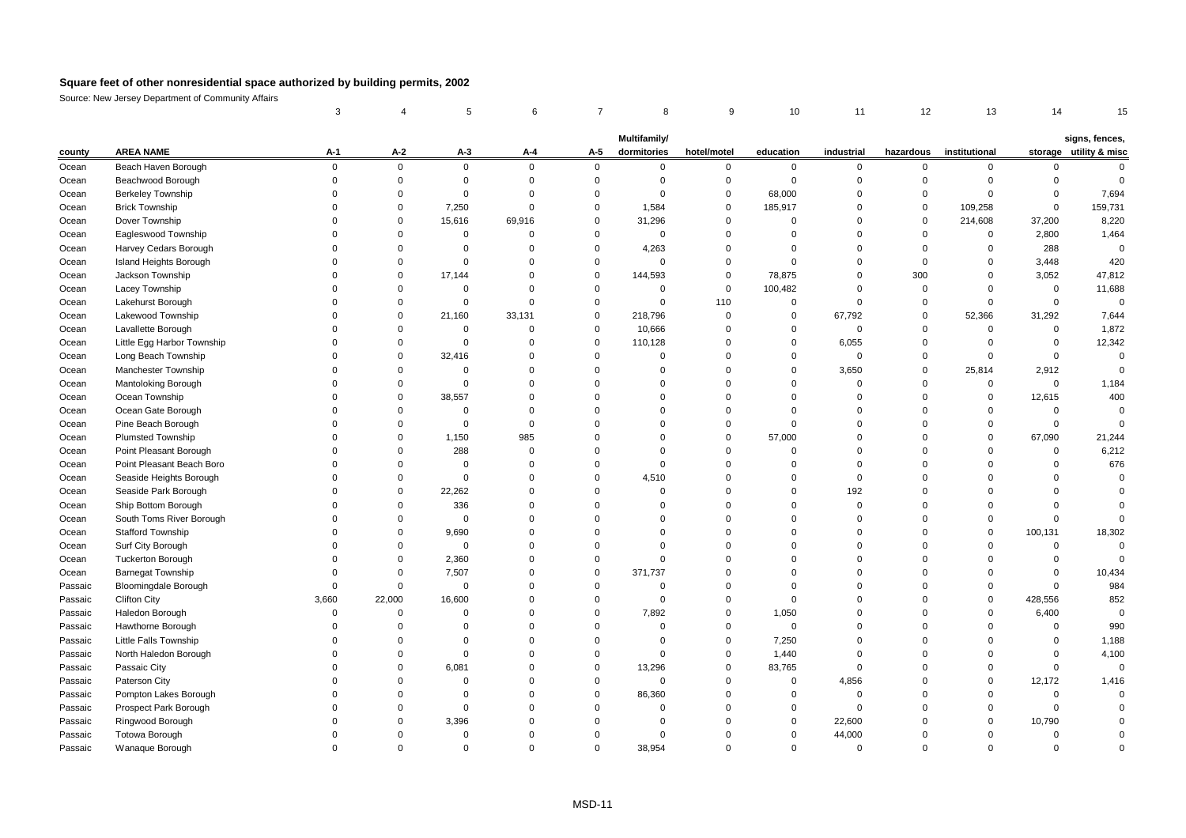|         |                             | 3           |             |             | 6           |                | 8                           | 9           | 10          | 11          | 12          | 13            | 14             |                                          |
|---------|-----------------------------|-------------|-------------|-------------|-------------|----------------|-----------------------------|-------------|-------------|-------------|-------------|---------------|----------------|------------------------------------------|
|         |                             |             |             |             |             |                |                             |             |             |             |             |               |                |                                          |
| county  | <b>AREA NAME</b>            | A-1         | $A-2$       | $A-3$       | A-4         | A-5            | Multifamily/<br>dormitories | hotel/motel | education   | industrial  | hazardous   | institutional |                | signs, fences,<br>storage utility & misc |
| Ocean   | Beach Haven Borough         | $\mathbf 0$ | 0           | $\mathbf 0$ | $\mathbf 0$ | $\mathbf 0$    | 0                           | 0           | 0           | $\mathbf 0$ | 0           | 0             | 0              | $\mathbf 0$                              |
| Ocean   | Beachwood Borough           | $\mathbf 0$ | 0           | $\mathbf 0$ | $\mathbf 0$ | $\overline{0}$ | $\Omega$                    | $\mathbf 0$ | $\mathbf 0$ | $\Omega$    | 0           | $\mathbf 0$   | $\Omega$       | $\Omega$                                 |
| Ocean   | <b>Berkeley Township</b>    | $\Omega$    | $\mathbf 0$ | $\mathbf 0$ | $\Omega$    | $\overline{0}$ | $\mathbf 0$                 | $\mathbf 0$ | 68,000      | $\Omega$    | 0           | $\mathbf 0$   | $\mathbf 0$    | 7,694                                    |
| Ocean   | <b>Brick Township</b>       | $\Omega$    | $\Omega$    | 7,250       | $\mathbf 0$ | $\mathbf 0$    | 1,584                       | $\mathbf 0$ | 185,917     | $\Omega$    | 0           | 109,258       | $\Omega$       | 159,731                                  |
| Ocean   | Dover Township              | $\Omega$    | 0           | 15,616      | 69,916      | $\mathbf 0$    | 31,296                      | $\mathbf 0$ | $\mathbf 0$ | $\Omega$    | 0           | 214,608       | 37,200         | 8,220                                    |
| Ocean   | Eagleswood Township         | 0           | 0           | $\mathbf 0$ | $\mathbf 0$ | $\mathbf 0$    | $\mathbf{0}$                | $\mathbf 0$ | $\mathbf 0$ | $\mathbf 0$ | $\mathbf 0$ | $\mathbf 0$   | 2,800          | 1,464                                    |
| Ocean   | Harvey Cedars Borough       | $\mathbf 0$ | 0           | $\mathbf 0$ | $\Omega$    | $\mathbf 0$    | 4,263                       | $\Omega$    | $\mathbf 0$ | $\Omega$    | 0           | $\mathbf 0$   | 288            | $\mathbf 0$                              |
| Ocean   | Island Heights Borough      | 0           | 0           | $\mathbf 0$ | $\Omega$    | $\mathbf 0$    | $\mathbf 0$                 | $\mathbf 0$ | $\mathbf 0$ | $\mathbf 0$ | 0           | $\mathbf 0$   | 3,448          | 420                                      |
| Ocean   | Jackson Township            | $\Omega$    | 0           | 17,144      | $\mathbf 0$ | $\mathbf 0$    | 144,593                     | 0           | 78,875      | $\mathbf 0$ | 300         | $\mathbf 0$   | 3,052          | 47,812                                   |
| Ocean   | Lacey Township              | $\Omega$    | 0           | $\mathsf 0$ | $\Omega$    | $\mathbf 0$    | $\mathbf 0$                 | $\mathsf 0$ | 100,482     | $\mathbf 0$ | $\mathbf 0$ | $\mathbf 0$   | $\mathbf 0$    | 11,688                                   |
| Ocean   | Lakehurst Borough           | $\Omega$    | $\Omega$    | $\mathbf 0$ | $\Omega$    | $\overline{0}$ | $\mathbf 0$                 | 110         | $\mathbf 0$ | $\Omega$    | $\mathbf 0$ | $\Omega$      | $\Omega$       | $\mathbf 0$                              |
| Ocean   | Lakewood Township           | $\Omega$    | 0           | 21,160      | 33,131      | $\mathbf 0$    | 218,796                     | $\mathsf 0$ | $\mathbf 0$ | 67,792      | 0           | 52,366        | 31,292         | 7,644                                    |
| Ocean   | Lavallette Borough          | $\Omega$    | $\mathbf 0$ | $\mathbf 0$ | $\mathbf 0$ | $\mathbf 0$    | 10,666                      | $\mathbf 0$ | $\Omega$    | $\Omega$    | $\mathbf 0$ | $\mathbf 0$   | $\mathbf 0$    | 1,872                                    |
| Ocean   | Little Egg Harbor Township  | 0           | 0           | $\mathsf 0$ | $\mathbf 0$ | $\mathbf 0$    | 110,128                     | $\Omega$    | $\mathbf 0$ | 6,055       | 0           | $\mathbf 0$   | $\mathsf 0$    | 12,342                                   |
| Ocean   | Long Beach Township         | $\Omega$    | 0           | 32,416      | $\Omega$    | $\mathbf 0$    | $\mathbf 0$                 | $\Omega$    | $\Omega$    | $\mathbf 0$ | 0           | $\mathbf 0$   | $\mathsf 0$    | $\mathbf 0$                              |
| Ocean   | Manchester Township         | $\Omega$    | 0           | $\mathbf 0$ | $\mathbf 0$ | $\mathbf 0$    | $\mathbf 0$                 | $\Omega$    | $\Omega$    | 3,650       | 0           | 25,814        | 2,912          | $\Omega$                                 |
| Ocean   | Mantoloking Borough         | $\Omega$    | $\mathbf 0$ | $\mathsf 0$ | $\Omega$    | $\Omega$       | $\Omega$                    | $\Omega$    | $\Omega$    | $\Omega$    | $\mathbf 0$ | $\mathbf 0$   | $\mathbf 0$    | 1,184                                    |
| Ocean   | Ocean Township              | $\Omega$    | $\mathbf 0$ | 38,557      | $\Omega$    | $\Omega$       | $\Omega$                    | $\Omega$    | $\Omega$    | $\Omega$    | $\Omega$    | $\mathbf 0$   | 12,615         | 400                                      |
| Ocean   | Ocean Gate Borough          | $\Omega$    | $\mathbf 0$ | $\mathbf 0$ | $\Omega$    | $\Omega$       | $\Omega$                    | $\Omega$    | $\Omega$    | $\Omega$    | $\Omega$    | $\Omega$      | $\Omega$       | $\mathbf 0$                              |
| Ocean   | Pine Beach Borough          | $\Omega$    | 0           | $\mathbf 0$ | $\mathbf 0$ | $\Omega$       | $\mathbf 0$                 | $\mathbf 0$ | $\mathbf 0$ | $\Omega$    | $\mathbf 0$ | $\Omega$      | $\Omega$       | $\overline{0}$                           |
| Ocean   | <b>Plumsted Township</b>    | $\Omega$    | $\mathbf 0$ | 1,150       | 985         | $\Omega$       | $\Omega$                    | $\mathbf 0$ | 57,000      | $\Omega$    | $\mathbf 0$ | $\Omega$      | 67,090         | 21,244                                   |
| Ocean   | Point Pleasant Borough      | $\Omega$    | 0           | 288         | $\mathbf 0$ | $\overline{0}$ | $\Omega$                    | $\mathbf 0$ | $\mathbf 0$ | $\Omega$    | $\mathbf 0$ | $\mathbf 0$   | $\mathbf 0$    | 6,212                                    |
| Ocean   | Point Pleasant Beach Boro   | $\Omega$    | 0           | $\mathbf 0$ | $\Omega$    | $\overline{0}$ | $\Omega$                    | $\Omega$    | $\Omega$    | $\Omega$    | $\mathbf 0$ | $\Omega$      | $\Omega$       | 676                                      |
| Ocean   | Seaside Heights Borough     | $\Omega$    | 0           | $\mathbf 0$ | $\Omega$    | $\overline{0}$ | 4,510                       | $\Omega$    | $\Omega$    | $\mathbf 0$ | $\Omega$    | $\Omega$      | $\Omega$       | $\overline{0}$                           |
| Ocean   | Seaside Park Borough        | $\Omega$    | $\mathbf 0$ | 22,262      | $\Omega$    | $\Omega$       | $\Omega$                    | $\Omega$    | $\Omega$    | 192         | $\Omega$    | $\Omega$      | $\Omega$       | $\Omega$                                 |
| Ocean   | Ship Bottom Borough         | $\Omega$    | $\mathbf 0$ | 336         | $\Omega$    | $\Omega$       | $\Omega$                    | $\Omega$    | $\Omega$    | $\Omega$    | $\Omega$    | $\Omega$      | $\Omega$       | $\Omega$                                 |
| Ocean   | South Toms River Borough    | $\Omega$    | 0           | $\Omega$    | $\Omega$    | $\Omega$       | $\Omega$                    | $\Omega$    | $\Omega$    | $\Omega$    | $\Omega$    | $\Omega$      | $\Omega$       | $\Omega$                                 |
| Ocean   | <b>Stafford Township</b>    | $\Omega$    | 0           | 9,690       | $\mathbf 0$ | $\Omega$       | $\Omega$                    | $\Omega$    | $\Omega$    | $\Omega$    | $\Omega$    | 0             | 100,131        | 18,302                                   |
| Ocean   | Surf City Borough           | $\Omega$    | $\mathbf 0$ | $\mathbf 0$ | $\Omega$    | $\overline{0}$ | $\Omega$                    | $\Omega$    | $\Omega$    | $\mathbf 0$ | $\Omega$    | $\mathbf 0$   | $\overline{0}$ | $\Omega$                                 |
| Ocean   | <b>Tuckerton Borough</b>    | $\Omega$    | 0           | 2,360       | $\Omega$    | $\overline{0}$ | $\Omega$                    | $\Omega$    | $\Omega$    | $\mathbf 0$ | $\Omega$    | $\Omega$      | $\Omega$       | $\Omega$                                 |
| Ocean   | <b>Barnegat Township</b>    | 0           | 0           | 7,507       | $\Omega$    | $\mathbf 0$    | 371,737                     | $\mathbf 0$ | $\Omega$    | $\mathbf 0$ | 0           | $\mathbf 0$   | $\overline{0}$ | 10,434                                   |
| Passaic | <b>Bloomingdale Borough</b> | $\Omega$    | 0           | $\mathbf 0$ | $\Omega$    | $\overline{0}$ | $\mathbf 0$                 | $\Omega$    | $\Omega$    | $\Omega$    | $\Omega$    | $\Omega$      | $\Omega$       | 984                                      |
| Passaic | <b>Clifton City</b>         | 3,660       | 22,000      | 16,600      | $\Omega$    | $\mathbf 0$    | $\mathbf 0$                 | $\Omega$    | $\Omega$    | $\Omega$    | $\Omega$    | $\mathbf 0$   | 428,556        | 852                                      |
| Passaic | Haledon Borough             | $\mathbf 0$ | $\mathbf 0$ | $\mathbf 0$ | $\Omega$    | $\Omega$       | 7,892                       | $\mathbf 0$ | 1,050       | $\Omega$    | $\Omega$    | $\Omega$      | 6,400          | $\Omega$                                 |
| Passaic | Hawthorne Borough           | $\mathbf 0$ | 0           | $\mathbf 0$ | $\mathbf 0$ | $\mathbf 0$    | $\mathbf 0$                 | $\mathbf 0$ | $\mathbf 0$ | $\mathbf 0$ | 0           | $\Omega$      | $\overline{0}$ | 990                                      |
| Passaic | Little Falls Township       | $\Omega$    | $\mathbf 0$ | $\mathbf 0$ | $\Omega$    | $\mathbf 0$    | $\Omega$                    | $\mathbf 0$ | 7,250       | $\Omega$    | $\mathbf 0$ | $\Omega$      | $\mathbf 0$    | 1,188                                    |
| Passaic | North Haledon Borough       | $\Omega$    | $\mathbf 0$ | $\mathsf 0$ | $\Omega$    | $\mathbf 0$    | $\mathbf{0}$                | $\mathbf 0$ | 1,440       | $\Omega$    | $\Omega$    | $\Omega$      | $\overline{0}$ | 4,100                                    |
| Passaic | Passaic City                | $\Omega$    | 0           | 6,081       | $\Omega$    | $\overline{0}$ | 13,296                      | $\mathbf 0$ | 83,765      | $\Omega$    | $\mathbf 0$ | $\Omega$      | $\mathsf 0$    | $\mathbf 0$                              |
| Passaic | Paterson City               | $\Omega$    | 0           | $\mathsf 0$ | $\Omega$    | $\mathbf 0$    | $\mathbf 0$                 | 0           | 0           | 4,856       | $\Omega$    | $\Omega$      | 12,172         | 1,416                                    |
| Passaic | Pompton Lakes Borough       | $\Omega$    | $\Omega$    | $\mathbf 0$ | $\Omega$    | $\Omega$       | 86,360                      | $\Omega$    | $\Omega$    | $\Omega$    | $\Omega$    | $\Omega$      | $\Omega$       | $\overline{0}$                           |
| Passaic | Prospect Park Borough       | $\Omega$    | $\Omega$    | $\Omega$    | $\Omega$    | $\Omega$       | $\Omega$                    | $\Omega$    | $\Omega$    | $\Omega$    | $\Omega$    | $\Omega$      | $\Omega$       |                                          |
| Passaic | Ringwood Borough            | $\Omega$    | $\mathbf 0$ | 3,396       | $\Omega$    | $\Omega$       | $\Omega$                    | $\Omega$    | $\Omega$    | 22,600      | $\Omega$    | $\Omega$      | 10,790         | $\Omega$                                 |
| Passaic | <b>Totowa Borough</b>       | $\Omega$    | $\mathbf 0$ | $\mathbf 0$ | $\Omega$    | $\Omega$       | $\Omega$                    | $\Omega$    | $\Omega$    | 44,000      | $\Omega$    | $\Omega$      | $\Omega$       | $\Omega$                                 |
| Passaic | Wanaque Borough             | $\Omega$    | $\Omega$    | $\Omega$    | $\Omega$    | $\Omega$       | 38.954                      | $\Omega$    | $\Omega$    | $\Omega$    | $\Omega$    | $\Omega$      | $\Omega$       | $\Omega$                                 |
|         |                             |             |             |             |             |                |                             |             |             |             |             |               |                |                                          |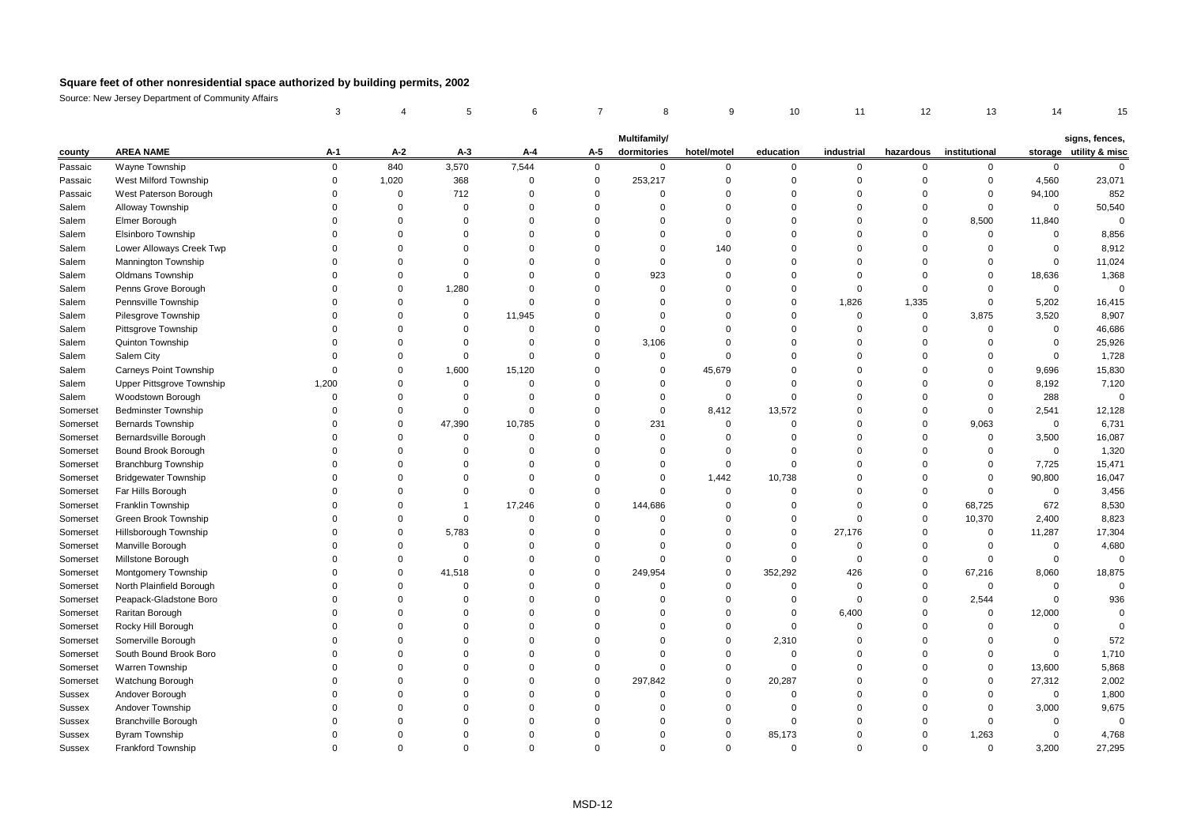|               |                               | 3                       |             |                | 6              |             | 8            | 9           | 10          | 11          | 12          | 13            | 14          | 15                     |
|---------------|-------------------------------|-------------------------|-------------|----------------|----------------|-------------|--------------|-------------|-------------|-------------|-------------|---------------|-------------|------------------------|
|               |                               |                         |             |                |                |             |              |             |             |             |             |               |             |                        |
|               |                               |                         |             |                |                |             | Multifamily/ |             |             |             |             |               |             | signs, fences,         |
| county        | <b>AREA NAME</b>              | A-1                     | $A-2$       | $A-3$          | A-4            | A-5         | dormitories  | hotel/motel | education   | industrial  | hazardous   | institutional |             | storage utility & misc |
| Passaic       | Wayne Township                | $\mathbf 0$             | 840         | 3,570          | 7,544          | $\mathbf 0$ | $\mathbf 0$  | 0           | $\mathbf 0$ | $\mathbf 0$ | $\mathbf 0$ | $\mathbf 0$   | $\mathbf 0$ | $\mathbf 0$            |
| Passaic       | West Milford Township         | $\mathsf{O}\phantom{0}$ | 1,020       | 368            | $\mathbf 0$    | $\mathbf 0$ | 253,217      | $\Omega$    | $\mathbf 0$ | $\Omega$    | $\Omega$    | $\Omega$      | 4,560       | 23,071                 |
| Passaic       | West Paterson Borough         | $\Omega$                | $\Omega$    | 712            | $\mathbf 0$    | $\Omega$    | $\mathbf 0$  | $\Omega$    | $\Omega$    | $\Omega$    | $\Omega$    | $\Omega$      | 94,100      | 852                    |
| Salem         | Alloway Township              | $\Omega$                | 0           | $\mathbf 0$    | $\mathbf 0$    | $\Omega$    | $\Omega$     | $\Omega$    | $\Omega$    | $\Omega$    | $\mathbf 0$ | $\Omega$      | $\mathbf 0$ | 50,540                 |
| Salem         | Elmer Borough                 | $\Omega$                | $\mathbf 0$ | $\mathbf 0$    | $\mathbf 0$    | $\Omega$    | $\mathbf 0$  | $\Omega$    | $\Omega$    | $\Omega$    | $\Omega$    | 8,500         | 11,840      | $\Omega$               |
| Salem         | Elsinboro Township            | $\Omega$                | $\mathbf 0$ | $\mathbf 0$    | $\Omega$       | $\Omega$    | $\Omega$     | $\Omega$    | $\Omega$    | $\Omega$    | $\Omega$    | $\mathbf 0$   | $\mathbf 0$ | 8,856                  |
| Salem         | Lower Alloways Creek Twp      | $\Omega$                | $\Omega$    | $\Omega$       | $\Omega$       | $\Omega$    | $\Omega$     | 140         | $\Omega$    | $\Omega$    | $\Omega$    | $\Omega$      | $\mathbf 0$ | 8,912                  |
| Salem         | Mannington Township           | $\Omega$                | 0           | $\mathbf 0$    | $\Omega$       | $\mathbf 0$ | 0            | $\Omega$    | $\Omega$    | 0           | $\Omega$    | $\Omega$      | $\mathbf 0$ | 11,024                 |
| Salem         | <b>Oldmans Township</b>       | $\Omega$                | $\mathbf 0$ | $\mathbf 0$    | $\Omega$       | $\Omega$    | 923          | $\Omega$    | $\Omega$    | $\Omega$    | $\mathbf 0$ | $\Omega$      | 18,636      | 1,368                  |
| Salem         | Penns Grove Borough           | $\Omega$                | $\Omega$    | 1,280          | $\Omega$       | $\Omega$    | $\Omega$     | $\Omega$    | $\Omega$    | $\Omega$    | $\mathbf 0$ | $\Omega$      | $\mathbf 0$ | $\overline{0}$         |
| Salem         | Pennsville Township           | $\Omega$                | $\mathbf 0$ | $\mathbf 0$    | $\Omega$       | $\Omega$    | $\Omega$     | $\Omega$    | $\Omega$    | 1,826       | 1,335       | $\Omega$      | 5,202       | 16,415                 |
| Salem         | Pilesgrove Township           | $\Omega$                | $\mathbf 0$ | 0              | 11,945         | $\Omega$    | $\Omega$     | $\Omega$    | $\Omega$    | $\Omega$    | $\mathbf 0$ | 3,875         | 3,520       | 8,907                  |
| Salem         | Pittsgrove Township           | $\Omega$                | $\mathbf 0$ | $\mathbf 0$    | $\mathbf 0$    | $\mathbf 0$ | $\mathbf 0$  | $\Omega$    | $\mathbf 0$ | $\mathbf 0$ | $\mathbf 0$ | $\mathbf 0$   | $\mathbf 0$ | 46,686                 |
| Salem         | Quinton Township              | $\Omega$                | $\mathbf 0$ | $\mathbf 0$    | $\mathbf 0$    | $\Omega$    | 3,106        | $\Omega$    | $\Omega$    | $\Omega$    | $\Omega$    | $\Omega$      | $\mathbf 0$ | 25,926                 |
| Salem         | Salem City                    | 0                       | $\mathbf 0$ | $\pmb{0}$      | $\mathbf 0$    | $\mathbf 0$ | 0            | $\Omega$    | $\Omega$    | $\mathbf 0$ | $\Omega$    | $\Omega$      | $\mathbf 0$ | 1,728                  |
| Salem         | <b>Carneys Point Township</b> | $\Omega$                | $\mathbf 0$ | 1,600          | 15,120         | $\Omega$    | $\Omega$     | 45,679      | $\Omega$    | $\Omega$    | $\Omega$    | $\Omega$      | 9,696       | 15,830                 |
| Salem         | Upper Pittsgrove Township     | 1,200                   | $\mathbf 0$ | $\mathbf 0$    | $\mathbf 0$    | $\Omega$    | $\mathbf 0$  | $\mathbf 0$ | $\mathbf 0$ | $\Omega$    | $\Omega$    | $\Omega$      | 8,192       | 7,120                  |
| Salem         | Woodstown Borough             | $\Omega$                | $\mathbf 0$ | $\mathbf 0$    | $\mathbf 0$    | $\Omega$    | 0            | $\mathbf 0$ | $\Omega$    | $\Omega$    | $\Omega$    | $\Omega$      | 288         | $\overline{0}$         |
| Somerset      | <b>Bedminster Township</b>    | $\Omega$                | 0           | 0              | $\mathbf 0$    | $\Omega$    | 0            | 8,412       | 13,572      | $\Omega$    | $\Omega$    | $\Omega$      | 2,541       | 12,128                 |
| Somerset      | <b>Bernards Township</b>      | $\Omega$                | $\mathbf 0$ | 47,390         | 10,785         | $\Omega$    | 231          | $\Omega$    | $\Omega$    | $\Omega$    | $\mathbf 0$ | 9,063         | $\mathbf 0$ | 6,731                  |
| Somerset      | Bernardsville Borough         | $\Omega$                | $\mathbf 0$ | $\mathbf 0$    | $\mathbf 0$    | $\Omega$    | $\Omega$     | $\Omega$    | $\Omega$    | $\Omega$    | $\Omega$    | $\mathbf 0$   | 3,500       | 16,087                 |
| Somerset      | Bound Brook Borough           | $\Omega$                | $\mathbf 0$ | $\Omega$       | $\Omega$       | $\Omega$    | $\Omega$     | $\Omega$    | $\Omega$    | $\Omega$    | $\Omega$    | $\Omega$      | $\mathbf 0$ | 1,320                  |
| Somerset      | <b>Branchburg Township</b>    | $\Omega$                | 0           | $\Omega$       | $\mathbf 0$    | $\Omega$    | 0            | $\Omega$    | $\mathbf 0$ | $\Omega$    | $\Omega$    | $\Omega$      | 7,725       | 15,471                 |
| Somerset      | <b>Bridgewater Township</b>   | $\Omega$                | $\mathbf 0$ | $\mathbf 0$    | $\overline{0}$ | $\Omega$    | $\mathbf 0$  | 1,442       | 10,738      | $\Omega$    | $\Omega$    | $\mathbf 0$   | 90,800      | 16,047                 |
| Somerset      | Far Hills Borough             | $\Omega$                | $\mathbf 0$ | $\mathbf 0$    | $\mathbf 0$    | $\Omega$    | $\mathbf 0$  | $\Omega$    | $\Omega$    | $\Omega$    | $\Omega$    | $\Omega$      | $\mathbf 0$ | 3,456                  |
| Somerset      | Franklin Township             | $\Omega$                | $\Omega$    | $\overline{1}$ | 17,246         | $\mathbf 0$ | 144,686      | $\Omega$    | $\Omega$    | $\Omega$    | $\mathbf 0$ | 68,725        | 672         | 8,530                  |
| Somerset      | Green Brook Township          | $\Omega$                | $\mathbf 0$ | $\mathbf 0$    | $\mathbf 0$    | $\Omega$    | 0            | $\Omega$    | $\Omega$    | $\Omega$    | $\Omega$    | 10,370        | 2,400       | 8,823                  |
| Somerset      | Hillsborough Township         | $\Omega$                | $\mathbf 0$ | 5,783          | $\mathbf 0$    | $\Omega$    | $\mathbf 0$  | $\Omega$    | $\mathbf 0$ | 27,176      | $\mathbf 0$ | $\mathbf 0$   | 11,287      | 17,304                 |
| Somerset      | Manville Borough              | $\Omega$                | 0           | $\mathbf 0$    | $\Omega$       | $\Omega$    | $\Omega$     | $\Omega$    | $\Omega$    | $\mathbf 0$ | $\Omega$    | $\Omega$      | $\mathbf 0$ | 4,680                  |
| Somerset      | Millstone Borough             | $\Omega$                | $\mathbf 0$ | $\mathbf 0$    | $\mathbf 0$    | $\Omega$    | $\Omega$     | $\Omega$    | $\mathbf 0$ | $\mathbf 0$ | $\mathbf 0$ | $\mathbf 0$   | $\mathbf 0$ | $\overline{0}$         |
| Somerset      | Montgomery Township           | $\Omega$                | $\mathbf 0$ | 41,518         | $\Omega$       | $\Omega$    | 249,954      | $\Omega$    | 352,292     | 426         | $\Omega$    | 67,216        | 8,060       | 18,875                 |
| Somerset      | North Plainfield Borough      | $\Omega$                | 0           | $\mathbf 0$    | $\Omega$       | $\Omega$    | 0            | $\Omega$    | $\mathbf 0$ | $\Omega$    | $\mathbf 0$ | $\Omega$      | $\mathbf 0$ | $\Omega$               |
| Somerset      | Peapack-Gladstone Boro        | $\Omega$                | $\Omega$    | $\Omega$       | $\Omega$       | $\Omega$    | $\Omega$     | $\Omega$    | $\Omega$    | $\Omega$    | $\Omega$    | 2,544         | $\mathbf 0$ | 936                    |
| Somerset      | Raritan Borough               | $\Omega$                | $\mathbf 0$ | $\Omega$       | $\Omega$       | $\Omega$    | $\mathbf 0$  | $\Omega$    | $\Omega$    | 6,400       | $\Omega$    | $\mathbf 0$   | 12,000      | $\Omega$               |
| Somerset      | Rocky Hill Borough            | $\Omega$                | $\mathbf 0$ | $\Omega$       | $\Omega$       | $\Omega$    | $\Omega$     | $\Omega$    | $\mathbf 0$ | $\Omega$    | $\Omega$    | $\Omega$      | $\Omega$    | $\Omega$               |
| Somerset      | Somerville Borough            | $\Omega$                | $\mathbf 0$ | $\Omega$       | $\mathbf 0$    | $\Omega$    | $\Omega$     | $\Omega$    | 2,310       | $\Omega$    | $\Omega$    | $\Omega$      | $\mathbf 0$ | 572                    |
| Somerset      | South Bound Brook Boro        | $\Omega$                | $\mathbf 0$ | $\Omega$       | $\Omega$       | $\Omega$    | $\Omega$     | $\Omega$    | $\mathbf 0$ | $\mathbf 0$ | $\Omega$    | $\Omega$      | $\mathbf 0$ | 1,710                  |
| Somerset      | Warren Township               | $\Omega$                | 0           | $\Omega$       | $\mathbf 0$    | $\Omega$    | 0            | $\Omega$    | $\mathbf 0$ | $\mathbf 0$ | $\Omega$    | $\Omega$      | 13,600      | 5,868                  |
| Somerset      | Watchung Borough              | $\Omega$                | $\mathbf 0$ | $\Omega$       | $\mathbf 0$    | $\Omega$    | 297,842      | $\Omega$    | 20,287      | $\Omega$    | $\Omega$    | $\Omega$      | 27,312      | 2,002                  |
| Sussex        | Andover Borough               | $\Omega$                | $\mathbf 0$ | $\Omega$       | $\Omega$       | $\Omega$    | $\mathbf 0$  | $\Omega$    | $\mathbf 0$ | $\Omega$    | $\Omega$    | $\Omega$      | $\mathbf 0$ | 1,800                  |
| <b>Sussex</b> | Andover Township              | $\Omega$                | $\Omega$    | $\Omega$       | $\Omega$       | $\Omega$    | $\Omega$     | $\Omega$    | $\Omega$    | $\Omega$    | $\Omega$    | $\Omega$      | 3,000       | 9,675                  |
| <b>Sussex</b> | <b>Branchville Borough</b>    | $\Omega$                | $\Omega$    | $\Omega$       | $\Omega$       | $\Omega$    | $\Omega$     | $\Omega$    | $\mathbf 0$ | $\Omega$    | $\Omega$    | $\Omega$      | $\mathbf 0$ | $\Omega$               |
| Sussex        | <b>Byram Township</b>         | $\Omega$                | $\Omega$    | $\Omega$       | $\Omega$       | $\Omega$    | $\Omega$     | $\Omega$    | 85,173      | $\Omega$    | $\Omega$    | 1,263         | $\mathbf 0$ | 4,768                  |
| <b>Sussex</b> | Frankford Township            | $\Omega$                | $\Omega$    | $\Omega$       | $\Omega$       | $\Omega$    | $\Omega$     | $\Omega$    | $\Omega$    | $\Omega$    | $\Omega$    | $\Omega$      | 3,200       | 27,295                 |
|               |                               |                         |             |                |                |             |              |             |             |             |             |               |             |                        |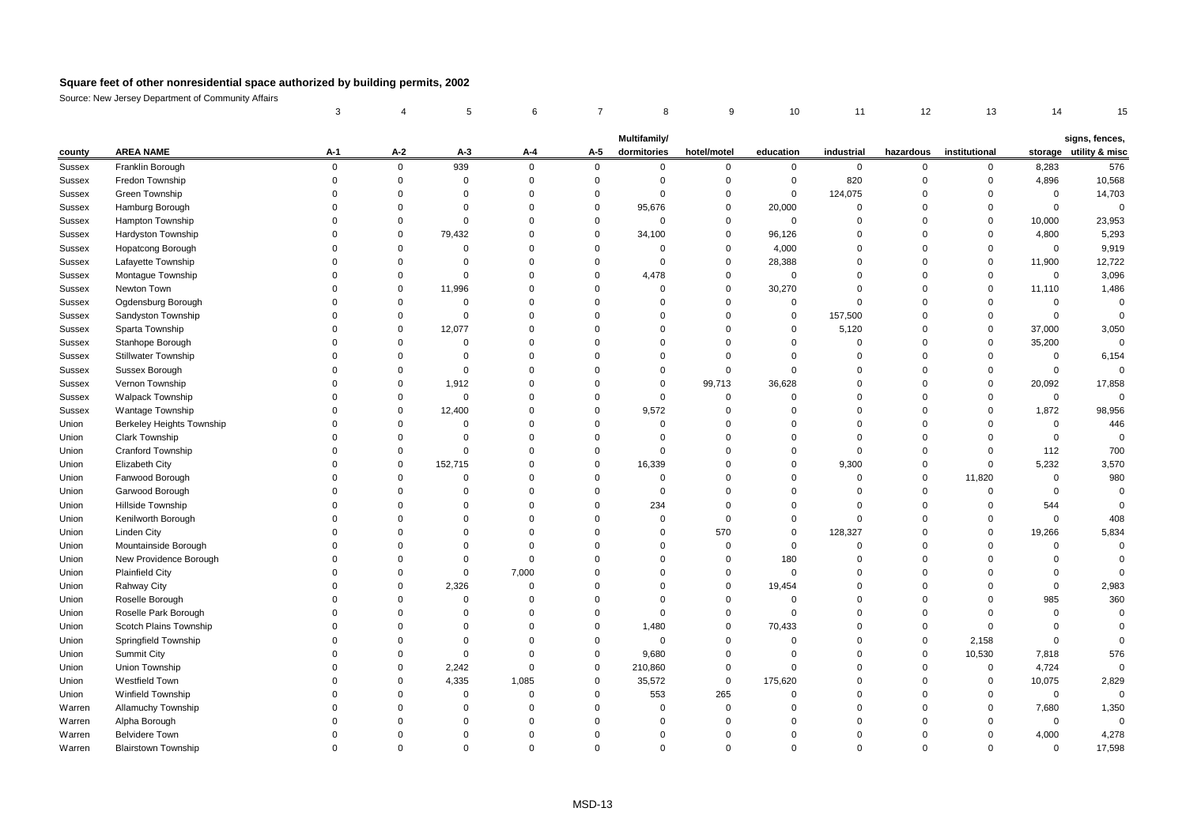|               |                                  | 3        |             |             | 6           |             | 8            | 9           | 10          | 11          | 12          | 13            | 14          | 15                     |
|---------------|----------------------------------|----------|-------------|-------------|-------------|-------------|--------------|-------------|-------------|-------------|-------------|---------------|-------------|------------------------|
|               |                                  |          |             |             |             |             |              |             |             |             |             |               |             |                        |
|               |                                  |          |             |             |             |             | Multifamily/ |             |             |             |             |               |             | signs, fences,         |
| county        | <b>AREA NAME</b>                 | $A-1$    | A-2         | $A-3$       | A-4         | A-5         | dormitories  | hotel/motel | education   | industrial  | hazardous   | institutional |             | storage utility & misc |
| Sussex        | Franklin Borough                 | 0        | $\mathbf 0$ | 939         | $\mathbf 0$ | $\mathbf 0$ | $\mathbf 0$  | $\mathbf 0$ | $\mathbf 0$ | 0           | 0           | $\mathbf 0$   | 8,283       | 576                    |
| Sussex        | Fredon Township                  | $\Omega$ | $\mathbf 0$ | $\Omega$    | $\mathbf 0$ | $\Omega$    | $\Omega$     | $\mathbf 0$ | $\Omega$    | 820         | $\Omega$    | $\Omega$      | 4,896       | 10,568                 |
| Sussex        | Green Township                   | O        | $\Omega$    | $\Omega$    | $\Omega$    | $\Omega$    | $\Omega$     | $\mathbf 0$ | $\mathbf 0$ | 124,075     | $\Omega$    | $\Omega$      | $\mathbf 0$ | 14,703                 |
| <b>Sussex</b> | Hamburg Borough                  | $\Omega$ | $\Omega$    | $\Omega$    | $\Omega$    | $\Omega$    | 95,676       | $\mathbf 0$ | 20,000      | $\Omega$    | $\Omega$    | $\Omega$      | $\mathbf 0$ | $\Omega$               |
| <b>Sussex</b> | Hampton Township                 | $\Omega$ | $\Omega$    | $\mathbf 0$ | $\Omega$    | $\Omega$    | $\mathbf 0$  | $\mathbf 0$ | $\mathbf 0$ | $\Omega$    | $\Omega$    | $\mathbf 0$   | 10,000      | 23,953                 |
| <b>Sussex</b> | Hardyston Township               | $\Omega$ | $\Omega$    | 79,432      | $\Omega$    | $\Omega$    | 34,100       | $\mathbf 0$ | 96,126      | $\Omega$    | $\Omega$    | $\Omega$      | 4,800       | 5,293                  |
| Sussex        | <b>Hopatcong Borough</b>         | $\Omega$ | $\mathbf 0$ | $\Omega$    | $\Omega$    | $\Omega$    | 0            | $\mathbf 0$ | 4,000       | $\mathbf 0$ | $\Omega$    | $\Omega$      | $\mathbf 0$ | 9,919                  |
| Sussex        | Lafayette Township               | $\Omega$ | $\Omega$    | $\Omega$    | $\Omega$    | $\Omega$    | $\mathbf 0$  | $\mathbf 0$ | 28,388      | $\Omega$    | $\Omega$    | $\mathbf 0$   | 11,900      | 12,722                 |
| Sussex        | Montague Township                | $\Omega$ | $\mathbf 0$ | $\Omega$    | $\mathbf 0$ | $\Omega$    | 4,478        | $\mathbf 0$ | $\mathbf 0$ | $\Omega$    | $\Omega$    | $\mathbf 0$   | $\mathbf 0$ | 3,096                  |
| Sussex        | Newton Town                      | O        | $\Omega$    | 11,996      | $\Omega$    | $\Omega$    | $\Omega$     | $\Omega$    | 30,270      | $\Omega$    | $\Omega$    | $\Omega$      | 11,110      | 1,486                  |
| <b>Sussex</b> | Ogdensburg Borough               | $\Omega$ | $\Omega$    | $\mathbf 0$ | $\Omega$    | $\Omega$    | $\Omega$     | $\Omega$    | $\Omega$    | $\Omega$    | $\Omega$    | $\Omega$      | $\mathbf 0$ | $\overline{0}$         |
| Sussex        | Sandyston Township               | $\Omega$ | $\mathbf 0$ | $\Omega$    | $\Omega$    | $\Omega$    | $\Omega$     | $\Omega$    | $\mathbf 0$ | 157,500     | $\Omega$    | $\mathbf 0$   | $\mathbf 0$ | $\Omega$               |
| Sussex        | Sparta Township                  | 0        | $\mathbf 0$ | 12,077      | $\Omega$    | $\Omega$    | $\Omega$     | $\Omega$    | $\Omega$    | 5,120       | $\Omega$    | $\mathbf 0$   | 37,000      | 3,050                  |
| Sussex        | Stanhope Borough                 | $\Omega$ | $\Omega$    | $\Omega$    | $\Omega$    | $\Omega$    | $\Omega$     | $\Omega$    | $\Omega$    | $\Omega$    | $\Omega$    | $\Omega$      | 35,200      | $\Omega$               |
| Sussex        | <b>Stillwater Township</b>       | O        | $\mathbf 0$ | $\Omega$    | $\Omega$    | $\Omega$    | $\Omega$     | $\Omega$    | $\Omega$    | $\mathbf 0$ | $\Omega$    | $\Omega$      | $\mathbf 0$ | 6,154                  |
| Sussex        | Sussex Borough                   |          | $\mathbf 0$ | $\Omega$    | $\Omega$    | $\Omega$    | $\mathbf 0$  | $\Omega$    | $\Omega$    | $\Omega$    | $\Omega$    | $\Omega$      | $\mathbf 0$ | $\Omega$               |
| Sussex        | Vernon Township                  |          | $\Omega$    | 1,912       | $\Omega$    | $\Omega$    | $\mathbf 0$  | 99,713      | 36,628      | $\Omega$    | $\Omega$    | $\Omega$      | 20,092      | 17,858                 |
| <b>Sussex</b> | <b>Walpack Township</b>          |          | $\Omega$    | $\Omega$    | $\Omega$    | $\Omega$    | $\Omega$     | $\Omega$    | $\Omega$    | $\Omega$    | $\Omega$    | $\Omega$      | $\mathbf 0$ | $\Omega$               |
| <b>Sussex</b> | <b>Wantage Township</b>          | 0        | $\mathbf 0$ | 12,400      | $\mathbf 0$ | $\Omega$    | 9,572        | $\Omega$    | 0           | $\Omega$    | $\Omega$    | $\Omega$      | 1,872       | 98,956                 |
| Union         | <b>Berkeley Heights Township</b> | $\Omega$ | $\Omega$    | $\Omega$    | $\Omega$    | $\Omega$    | $\mathbf 0$  | $\Omega$    | $\Omega$    | $\Omega$    | $\Omega$    | $\Omega$      | $\mathbf 0$ | 446                    |
| Union         | <b>Clark Township</b>            | U        | $\mathbf 0$ | $\Omega$    | $\Omega$    | $\Omega$    | $\Omega$     | $\Omega$    | $\Omega$    | $\Omega$    | $\Omega$    | $\Omega$      | $\mathbf 0$ | $\Omega$               |
| Union         | <b>Cranford Township</b>         | U        | $\Omega$    | $\Omega$    | $\Omega$    | $\Omega$    | $\Omega$     | $\Omega$    | $\Omega$    | $\Omega$    | $\Omega$    | $\Omega$      | 112         | 700                    |
| Union         | <b>Elizabeth City</b>            |          | $\Omega$    | 152,715     | $\Omega$    | $\Omega$    | 16,339       | $\Omega$    | $\Omega$    | 9,300       | $\mathbf 0$ | $\mathbf 0$   | 5,232       | 3,570                  |
| Union         | Fanwood Borough                  | O        | $\Omega$    | $\Omega$    | $\Omega$    | $\Omega$    | $\mathbf 0$  | $\Omega$    | $\Omega$    | $\Omega$    | $\Omega$    | 11,820        | $\mathbf 0$ | 980                    |
| Union         | Garwood Borough                  | U        | $\Omega$    | $\Omega$    | $\Omega$    | $\Omega$    | $\mathbf 0$  | $\Omega$    | $\Omega$    | $\Omega$    | $\Omega$    | $\Omega$      | $\mathbf 0$ | $\Omega$               |
| Union         | Hillside Township                | $\Omega$ | $\Omega$    | $\Omega$    | $\Omega$    | $\Omega$    | 234          | $\Omega$    | $\Omega$    | $\Omega$    | $\Omega$    | $\Omega$      | 544         | $\Omega$               |
| Union         | Kenilworth Borough               | $\Omega$ | $\Omega$    | $\Omega$    | $\mathbf 0$ | $\Omega$    | $\mathbf 0$  | $\Omega$    | $\mathbf 0$ | $\Omega$    | $\Omega$    | $\mathbf 0$   | $\mathbf 0$ | 408                    |
| Union         | Linden City                      | $\Omega$ | $\Omega$    | $\Omega$    | $\Omega$    | $\Omega$    | $\mathbf 0$  | 570         | $\Omega$    | 128,327     | $\Omega$    | $\Omega$      | 19,266      | 5,834                  |
| Union         | Mountainside Borough             | $\Omega$ | $\Omega$    | $\Omega$    | $\Omega$    | $\Omega$    | $\Omega$     | $\mathbf 0$ | $\mathbf 0$ | $\mathbf 0$ | $\Omega$    | $\Omega$      | $\mathbf 0$ | $\Omega$               |
| Union         | New Providence Borough           | $\Omega$ | $\Omega$    | $\Omega$    | $\mathbf 0$ | $\Omega$    | $\Omega$     | $\Omega$    | 180         | $\Omega$    | $\Omega$    | $\Omega$      | $\mathbf 0$ | $\Omega$               |
| Union         | <b>Plainfield City</b>           |          | $\Omega$    | $\Omega$    | 7,000       | $\Omega$    | $\Omega$     | $\mathbf 0$ | $\mathbf 0$ | $\Omega$    | $\Omega$    | $\Omega$      | $\mathbf 0$ | $\Omega$               |
| Union         | Rahway City                      | $\Omega$ | $\Omega$    | 2,326       | $\Omega$    | $\Omega$    | $\Omega$     | $\mathbf 0$ | 19,454      | $\Omega$    | $\Omega$    | $\Omega$      | $\mathbf 0$ | 2,983                  |
| Union         | Roselle Borough                  | 0        | $\Omega$    | $\Omega$    | $\Omega$    | $\Omega$    | $\mathbf 0$  | $\Omega$    | $\Omega$    | $\Omega$    | $\Omega$    | $\Omega$      | 985         | 360                    |
| Union         | Roselle Park Borough             | $\Omega$ | $\Omega$    | $\Omega$    | $\Omega$    | $\Omega$    | $\mathbf 0$  | $\Omega$    | $\Omega$    | $\Omega$    | $\Omega$    | $\Omega$      | $\mathbf 0$ | $\Omega$               |
| Union         | Scotch Plains Township           | $\Omega$ | $\Omega$    | $\Omega$    | $\Omega$    | $\Omega$    | 1,480        | $\mathbf 0$ | 70,433      | $\Omega$    | $\Omega$    | $\Omega$      | $\mathbf 0$ | $\Omega$               |
| Union         | Springfield Township             | O        | $\Omega$    | $\Omega$    | $\Omega$    | $\Omega$    | $\mathbf 0$  | $\Omega$    | $\Omega$    | $\Omega$    | $\mathbf 0$ | 2,158         | $\mathbf 0$ | $\Omega$               |
| Union         | <b>Summit City</b>               | U        | $\mathbf 0$ | $\Omega$    | $\mathbf 0$ | $\Omega$    | 9,680        | $\mathbf 0$ | $\mathbf 0$ | $\Omega$    | $\mathbf 0$ | 10,530        | 7,818       | 576                    |
| Union         | Union Township                   |          | $\Omega$    | 2,242       | $\mathbf 0$ | $\Omega$    | 210,860      | $\Omega$    | $\Omega$    | $\Omega$    | $\Omega$    | $\Omega$      | 4,724       | $\Omega$               |
| Union         | Westfield Town                   |          | $\Omega$    | 4,335       | 1,085       | $\Omega$    | 35,572       | $\mathbf 0$ | 175,620     | $\Omega$    | $\Omega$    | $\Omega$      | 10,075      | 2,829                  |
| Union         | <b>Winfield Township</b>         | U        | $\Omega$    | $\Omega$    | $\Omega$    | $\Omega$    | 553          | 265         | $\Omega$    | $\Omega$    | $\Omega$    | $\Omega$      | $\mathbf 0$ | $\Omega$               |
| Warren        | Allamuchy Township               | U        | $\Omega$    | $\Omega$    | $\mathbf 0$ | $\Omega$    | $\mathbf 0$  | $\Omega$    | $\mathbf 0$ | $\Omega$    | $\Omega$    | $\Omega$      | 7,680       | 1,350                  |
| Warren        | Alpha Borough                    | $\Omega$ | $\Omega$    | $\Omega$    | $\Omega$    | $\Omega$    | $\Omega$     | $\Omega$    | $\Omega$    | $\Omega$    | $\Omega$    | $\Omega$      | $\mathbf 0$ | $\Omega$               |
| Warren        | <b>Belvidere Town</b>            | O        | $\Omega$    | $\Omega$    | $\Omega$    | $\Omega$    | $\Omega$     | $\Omega$    | $\Omega$    | $\Omega$    | $\Omega$    | $\Omega$      | 4,000       | 4,278                  |
| Warren        | <b>Blairstown Township</b>       | $\Omega$ | $\Omega$    | $\Omega$    | $\Omega$    | $\Omega$    | $\Omega$     | $\Omega$    | $\Omega$    | $\Omega$    | $\Omega$    | $\Omega$      | $\Omega$    | 17,598                 |